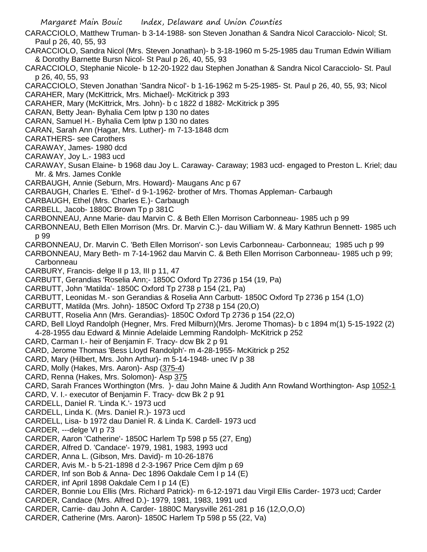CARACCIOLO, Matthew Truman- b 3-14-1988- son Steven Jonathan & Sandra Nicol Caracciolo- Nicol; St. Paul p 26, 40, 55, 93

CARACCIOLO, Sandra Nicol (Mrs. Steven Jonathan)- b 3-18-1960 m 5-25-1985 dau Truman Edwin William & Dorothy Barnette Bursn Nicol- St Paul p 26, 40, 55, 93

CARACCIOLO, Stephanie Nicole- b 12-20-1922 dau Stephen Jonathan & Sandra Nicol Caracciolo- St. Paul p 26, 40, 55, 93

CARACCIOLO, Steven Jonathan 'Sandra Nicol'- b 1-16-1962 m 5-25-1985- St. Paul p 26, 40, 55, 93; Nicol CARAHER, Mary (McKittrick, Mrs. Michael)- McKitrick p 393

CARAHER, Mary (McKittrick, Mrs. John)- b c 1822 d 1882- McKitrick p 395

CARAN, Betty Jean- Byhalia Cem lptw p 130 no dates

CARAN, Samuel H.- Byhalia Cem lptw p 130 no dates

CARAN, Sarah Ann (Hagar, Mrs. Luther)- m 7-13-1848 dcm

CARATHERS- see Carothers

CARAWAY, James- 1980 dcd

CARAWAY, Joy L.- 1983 ucd

CARAWAY, Susan Elaine- b 1968 dau Joy L. Caraway- Caraway; 1983 ucd- engaged to Preston L. Kriel; dau Mr. & Mrs. James Conkle

CARBAUGH, Annie (Seburn, Mrs. Howard)- Maugans Anc p 67

CARBAUGH, Charles E. 'Ethel'- d 9-1-1962- brother of Mrs. Thomas Appleman- Carbaugh

CARBAUGH, Ethel (Mrs. Charles E.)- Carbaugh

CARBELL, Jacob- 1880C Brown Tp p 381C

CARBONNEAU, Anne Marie- dau Marvin C. & Beth Ellen Morrison Carbonneau- 1985 uch p 99

CARBONNEAU, Beth Ellen Morrison (Mrs. Dr. Marvin C.)- dau William W. & Mary Kathrun Bennett- 1985 uch p 99

CARBONNEAU, Dr. Marvin C. 'Beth Ellen Morrison'- son Levis Carbonneau- Carbonneau; 1985 uch p 99

- CARBONNEAU, Mary Beth- m 7-14-1962 dau Marvin C. & Beth Ellen Morrison Carbonneau- 1985 uch p 99; Carbonneau
- CARBURY, Francis- delge II p 13, III p 11, 47

CARBUTT, Gerandias 'Roselia Ann;- 1850C Oxford Tp 2736 p 154 (19, Pa)

CARBUTT, John 'Matilda'- 1850C Oxford Tp 2738 p 154 (21, Pa)

CARBUTT, Leonidas M.- son Gerandias & Roselia Ann Carbutt- 1850C Oxford Tp 2736 p 154 (1,O)

CARBUTT, Matilda (Mrs. John)- 1850C Oxford Tp 2738 p 154 (20,O)

CARBUTT, Roselia Ann (Mrs. Gerandias)- 1850C Oxford Tp 2736 p 154 (22,O)

CARD, Bell Lloyd Randolph (Hegner, Mrs. Fred Milburn)(Mrs. Jerome Thomas)- b c 1894 m(1) 5-15-1922 (2) 4-28-1955 dau Edward & Minnie Adelaide Lemming Randolph- McKitrick p 252

CARD, Carman I.- heir of Benjamin F. Tracy- dcw Bk 2 p 91

CARD, Jerome Thomas 'Bess Lloyd Randolph'- m 4-28-1955- McKitrick p 252

CARD, Mary (Hilbert, Mrs. John Arthur)- m 5-14-1948- unec IV p 38

CARD, Molly (Hakes, Mrs. Aaron)- Asp (375-4)

CARD, Renna (Hakes, Mrs. Solomon)- Asp 375

CARD, Sarah Frances Worthington (Mrs. )- dau John Maine & Judith Ann Rowland Worthington- Asp 1052-1

CARD, V. I.- executor of Benjamin F. Tracy- dcw Bk 2 p 91

CARDELL, Daniel R. 'Linda K.'- 1973 ucd

CARDELL, Linda K. (Mrs. Daniel R.)- 1973 ucd

CARDELL, Lisa- b 1972 dau Daniel R. & Linda K. Cardell- 1973 ucd

CARDER, ---delge VI p 73

CARDER, Aaron 'Catherine'- 1850C Harlem Tp 598 p 55 (27, Eng)

CARDER, Alfred D. 'Candace'- 1979, 1981, 1983, 1993 ucd

CARDER, Anna L. (Gibson, Mrs. David)- m 10-26-1876

CARDER, Avis M.- b 5-21-1898 d 2-3-1967 Price Cem djlm p 69

CARDER, Inf son Bob & Anna- Dec 1896 Oakdale Cem I p 14 (E)

CARDER, inf April 1898 Oakdale Cem I p 14 (E)

CARDER, Bonnie Lou Ellis (Mrs. Richard Patrick)- m 6-12-1971 dau Virgil Ellis Carder- 1973 ucd; Carder

CARDER, Candace (Mrs. Alfred D.)- 1979, 1981, 1983, 1991 ucd

CARDER, Carrie- dau John A. Carder- 1880C Marysville 261-281 p 16 (12,O,O,O)

CARDER, Catherine (Mrs. Aaron)- 1850C Harlem Tp 598 p 55 (22, Va)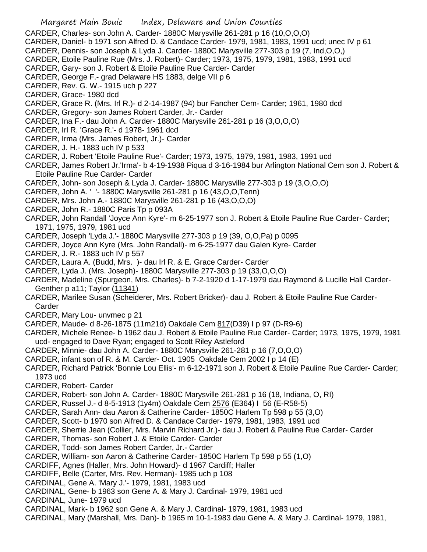- CARDER, Charles- son John A. Carder- 1880C Marysville 261-281 p 16 (10,O,O,O)
- CARDER, Daniel- b 1971 son Alfred D. & Candace Carder- 1979, 1981, 1983, 1991 ucd; unec IV p 61
- CARDER, Dennis- son Joseph & Lyda J. Carder- 1880C Marysville 277-303 p 19 (7, Ind,O,O,)
- CARDER, Etoile Pauline Rue (Mrs. J. Robert)- Carder; 1973, 1975, 1979, 1981, 1983, 1991 ucd
- CARDER, Gary- son J. Robert & Etoile Pauline Rue Carder- Carder
- CARDER, George F.- grad Delaware HS 1883, delge VII p 6
- CARDER, Rev. G. W.- 1915 uch p 227
- CARDER, Grace- 1980 dcd
- CARDER, Grace R. (Mrs. Irl R.)- d 2-14-1987 (94) bur Fancher Cem- Carder; 1961, 1980 dcd
- CARDER, Gregory- son James Robert Carder, Jr.- Carder
- CARDER, Ina F.- dau John A. Carder- 1880C Marysville 261-281 p 16 (3,O,O,O)
- CARDER, Irl R. 'Grace R.'- d 1978- 1961 dcd
- CARDER, Irma (Mrs. James Robert, Jr.)- Carder
- CARDER, J. H.- 1883 uch IV p 533
- CARDER, J. Robert 'Etoile Pauline Rue'- Carder; 1973, 1975, 1979, 1981, 1983, 1991 ucd
- CARDER, James Robert Jr.'Irma'- b 4-19-1938 Piqua d 3-16-1984 bur Arlington National Cem son J. Robert & Etoile Pauline Rue Carder- Carder
- CARDER, John- son Joseph & Lyda J. Carder- 1880C Marysville 277-303 p 19 (3,O,O,O)
- CARDER, John A. ' '- 1880C Marysville 261-281 p 16 (43,O,O,Tenn)
- CARDER, Mrs. John A.- 1880C Marysville 261-281 p 16 (43,O,O,O)
- CARDER, John R.- 1880C Paris Tp p 093A
- CARDER, John Randall 'Joyce Ann Kyre'- m 6-25-1977 son J. Robert & Etoile Pauline Rue Carder- Carder; 1971, 1975, 1979, 1981 ucd
- CARDER, Joseph 'Lyda J.'- 1880C Marysville 277-303 p 19 (39, O,O,Pa) p 0095
- CARDER, Joyce Ann Kyre (Mrs. John Randall)- m 6-25-1977 dau Galen Kyre- Carder
- CARDER, J. R.- 1883 uch IV p 557
- CARDER, Laura A. (Budd, Mrs. )- dau Irl R. & E. Grace Carder- Carder
- CARDER, Lyda J. (Mrs. Joseph)- 1880C Marysville 277-303 p 19 (33,O,O,O)
- CARDER, Madeline (Spurgeon, Mrs. Charles)- b 7-2-1920 d 1-17-1979 dau Raymond & Lucille Hall Carder-Genther p a11; Taylor (11341)
- CARDER, Marilee Susan (Scheiderer, Mrs. Robert Bricker)- dau J. Robert & Etoile Pauline Rue Carder-Carder
- CARDER, Mary Lou- unvmec p 21
- CARDER, Maude- d 8-26-1875 (11m21d) Oakdale Cem 817(D39) I p 97 (D-R9-6)
- CARDER, Michele Renee- b 1962 dau J. Robert & Etoile Pauline Rue Carder- Carder; 1973, 1975, 1979, 1981 ucd- engaged to Dave Ryan; engaged to Scott Riley Astleford
- CARDER, Minnie- dau John A. Carder- 1880C Marysville 261-281 p 16 (7,O,O,O)
- CARDER, infant son of R. & M. Carder- Oct. 1905 Oakdale Cem 2002 I p 14 (E)
- CARDER, Richard Patrick 'Bonnie Lou Ellis'- m 6-12-1971 son J. Robert & Etoile Pauline Rue Carder- Carder; 1973 ucd
- CARDER, Robert- Carder
- CARDER, Robert- son John A. Carder- 1880C Marysville 261-281 p 16 (18, Indiana, O, RI)
- CARDER, Russel J.- d 8-5-1913 (1y4m) Oakdale Cem 2576 (E364) I 56 (E-R58-5)
- CARDER, Sarah Ann- dau Aaron & Catherine Carder- 1850C Harlem Tp 598 p 55 (3,O)
- CARDER, Scott- b 1970 son Alfred D. & Candace Carder- 1979, 1981, 1983, 1991 ucd
- CARDER, Sherrie Jean (Collier, Mrs. Marvin Richard Jr.)- dau J. Robert & Pauline Rue Carder- Carder
- CARDER, Thomas- son Robert J. & Etoile Carder- Carder
- CARDER, Todd- son James Robert Carder, Jr.- Carder
- CARDER, William- son Aaron & Catherine Carder- 1850C Harlem Tp 598 p 55 (1,O)
- CARDIFF, Agnes (Haller, Mrs. John Howard)- d 1967 Cardiff; Haller
- CARDIFF, Belle (Carter, Mrs. Rev. Herman)- 1985 uch p 108
- CARDINAL, Gene A. 'Mary J.'- 1979, 1981, 1983 ucd
- CARDINAL, Gene- b 1963 son Gene A. & Mary J. Cardinal- 1979, 1981 ucd
- CARDINAL, June- 1979 ucd
- CARDINAL, Mark- b 1962 son Gene A. & Mary J. Cardinal- 1979, 1981, 1983 ucd
- CARDINAL, Mary (Marshall, Mrs. Dan)- b 1965 m 10-1-1983 dau Gene A. & Mary J. Cardinal- 1979, 1981,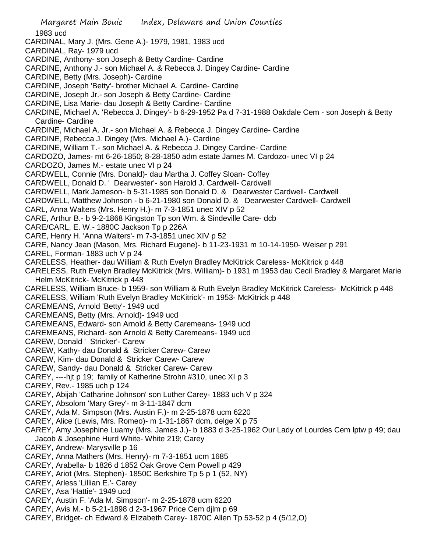Margaret Main Bouic Index, Delaware and Union Counties 1983 ucd CARDINAL, Mary J. (Mrs. Gene A.)- 1979, 1981, 1983 ucd CARDINAL, Ray- 1979 ucd CARDINE, Anthony- son Joseph & Betty Cardine- Cardine CARDINE, Anthony J.- son Michael A. & Rebecca J. Dingey Cardine- Cardine CARDINE, Betty (Mrs. Joseph)- Cardine CARDINE, Joseph 'Betty'- brother Michael A. Cardine- Cardine CARDINE, Joseph Jr.- son Joseph & Betty Cardine- Cardine CARDINE, Lisa Marie- dau Joseph & Betty Cardine- Cardine CARDINE, Michael A. 'Rebecca J. Dingey'- b 6-29-1952 Pa d 7-31-1988 Oakdale Cem - son Joseph & Betty Cardine- Cardine CARDINE, Michael A. Jr.- son Michael A. & Rebecca J. Dingey Cardine- Cardine CARDINE, Rebecca J. Dingey (Mrs. Michael A.)- Cardine CARDINE, William T.- son Michael A. & Rebecca J. Dingey Cardine- Cardine CARDOZO, James- mt 6-26-1850; 8-28-1850 adm estate James M. Cardozo- unec VI p 24 CARDOZO, James M.- estate unec VI p 24 CARDWELL, Connie (Mrs. Donald)- dau Martha J. Coffey Sloan- Coffey CARDWELL, Donald D. ' Dearwester'- son Harold J. Cardwell- Cardwell CARDWELL, Mark Jameson- b 5-31-1985 son Donald D. & Dearwester Cardwell- Cardwell CARDWELL, Matthew Johnson - b 6-21-1980 son Donald D. & Dearwester Cardwell- Cardwell CARL, Anna Walters (Mrs. Henry H.)- m 7-3-1851 unec XIV p 52 CARE, Arthur B.- b 9-2-1868 Kingston Tp son Wm. & Sindeville Care- dcb CARE/CARL, E. W.- 1880C Jackson Tp p 226A CARE, Henry H. 'Anna Walters'- m 7-3-1851 unec XIV p 52 CARE, Nancy Jean (Mason, Mrs. Richard Eugene)- b 11-23-1931 m 10-14-1950- Weiser p 291 CAREL, Forman- 1883 uch V p 24 CARELESS, Heather- dau William & Ruth Evelyn Bradley McKitrick Careless- McKitrick p 448 CARELESS, Ruth Evelyn Bradley McKitrick (Mrs. William)- b 1931 m 1953 dau Cecil Bradley & Margaret Marie Helm McKitrick- McKitrick p 448 CARELESS, William Bruce- b 1959- son William & Ruth Evelyn Bradley McKitrick Careless- McKitrick p 448 CARELESS, William 'Ruth Evelyn Bradley McKitrick'- m 1953- McKitrick p 448 CAREMEANS, Arnold 'Betty'- 1949 ucd CAREMEANS, Betty (Mrs. Arnold)- 1949 ucd CAREMEANS, Edward- son Arnold & Betty Caremeans- 1949 ucd CAREMEANS, Richard- son Arnold & Betty Caremeans- 1949 ucd CAREW, Donald ' Stricker'- Carew CAREW, Kathy- dau Donald & Stricker Carew- Carew CAREW, Kim- dau Donald & Stricker Carew- Carew CAREW, Sandy- dau Donald & Stricker Carew- Carew CAREY, ----hjt p 19; family of Katherine Strohn #310, unec XI p 3 CAREY, Rev.- 1985 uch p 124 CAREY, Abijah 'Catharine Johnson' son Luther Carey- 1883 uch V p 324 CAREY, Absolom 'Mary Grey'- m 3-11-1847 dcm CAREY, Ada M. Simpson (Mrs. Austin F.)- m 2-25-1878 ucm 6220 CAREY, Alice (Lewis, Mrs. Romeo)- m 1-31-1867 dcm, delge X p 75 CAREY, Amy Josephine Luamy (Mrs. James J.)- b 1883 d 3-25-1962 Our Lady of Lourdes Cem lptw p 49; dau Jacob & Josephine Hurd White- White 219; Carey CAREY, Andrew- Marysville p 16 CAREY, Anna Mathers (Mrs. Henry)- m 7-3-1851 ucm 1685 CAREY, Arabella- b 1826 d 1852 Oak Grove Cem Powell p 429 CAREY, Ariot (Mrs. Stephen)- 1850C Berkshire Tp 5 p 1 (52, NY) CAREY, Arless 'Lillian E.'- Carey CAREY, Asa 'Hattie'- 1949 ucd CAREY, Austin F. 'Ada M. Simpson'- m 2-25-1878 ucm 6220 CAREY, Avis M.- b 5-21-1898 d 2-3-1967 Price Cem djlm p 69 CAREY, Bridget- ch Edward & Elizabeth Carey- 1870C Allen Tp 53-52 p 4 (5/12,O)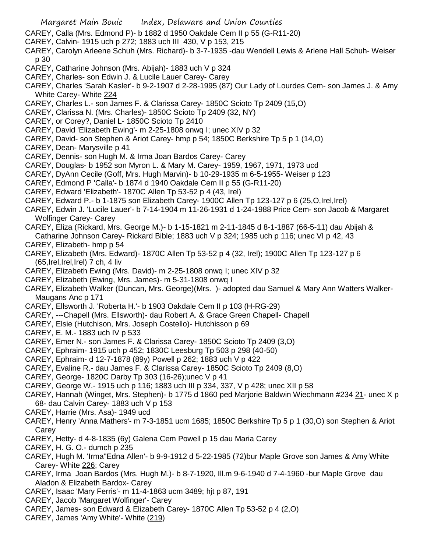- Margaret Main Bouic Index, Delaware and Union Counties CAREY, Calla (Mrs. Edmond P)- b 1882 d 1950 Oakdale Cem II p 55 (G-R11-20) CAREY, Calvin- 1915 uch p 272; 1883 uch III 430, V p 153, 215 CAREY, Carolyn Arleene Schuh (Mrs. Richard)- b 3-7-1935 -dau Wendell Lewis & Arlene Hall Schuh- Weiser p 30 CAREY, Catharine Johnson (Mrs. Abijah)- 1883 uch V p 324 CAREY, Charles- son Edwin J. & Lucile Lauer Carey- Carey CAREY, Charles 'Sarah Kasler'- b 9-2-1907 d 2-28-1995 (87) Our Lady of Lourdes Cem- son James J. & Amy White Carey- White 224 CAREY, Charles L.- son James F. & Clarissa Carey- 1850C Scioto Tp 2409 (15,O) CAREY, Clarissa N. (Mrs. Charles)- 1850C Scioto Tp 2409 (32, NY)
- CAREY, or Corey?, Daniel L- 1850C Scioto Tp 2410
- CAREY, David 'Elizabeth Ewing'- m 2-25-1808 onwq I; unec XIV p 32
- CAREY, David- son Stephen & Ariot Carey- hmp p 54; 1850C Berkshire Tp 5 p 1 (14,O)
- CAREY, Dean- Marysville p 41
- CAREY, Dennis- son Hugh M. & Irma Joan Bardos Carey- Carey
- CAREY, Douglas- b 1952 son Myron L. & Mary M. Carey- 1959, 1967, 1971, 1973 ucd
- CAREY, DyAnn Cecile (Goff, Mrs. Hugh Marvin)- b 10-29-1935 m 6-5-1955- Weiser p 123
- CAREY, Edmond P 'Calla'- b 1874 d 1940 Oakdale Cem II p 55 (G-R11-20)
- CAREY, Edward 'Elizabeth'- 1870C Allen Tp 53-52 p 4 (43, Irel)
- CAREY, Edward P.- b 1-1875 son Elizabeth Carey- 1900C Allen Tp 123-127 p 6 (25,O,Irel,Irel)
- CAREY, Edwin J. 'Lucile Lauer'- b 7-14-1904 m 11-26-1931 d 1-24-1988 Price Cem- son Jacob & Margaret Wolfinger Carey- Carey
- CAREY, Eliza (Rickard, Mrs. George M.)- b 1-15-1821 m 2-11-1845 d 8-1-1887 (66-5-11) dau Abijah &
- Catharine Johnson Carey- Rickard Bible; 1883 uch V p 324; 1985 uch p 116; unec VI p 42, 43 CAREY, Elizabeth- hmp p 54
- CAREY, Elizabeth (Mrs. Edward)- 1870C Allen Tp 53-52 p 4 (32, Irel); 1900C Allen Tp 123-127 p 6 (65,Irel,Irel,Irel) 7 ch, 4 liv
- CAREY, Elizabeth Ewing (Mrs. David)- m 2-25-1808 onwq I; unec XIV p 32
- CAREY, Elizabeth (Ewing, Mrs. James)- m 5-31-1808 onwq I
- CAREY, Elizabeth Walker (Duncan, Mrs. George)(Mrs. )- adopted dau Samuel & Mary Ann Watters Walker-Maugans Anc p 171
- CAREY, Ellsworth J. 'Roberta H.'- b 1903 Oakdale Cem II p 103 (H-RG-29)
- CAREY, ---Chapell (Mrs. Ellsworth)- dau Robert A. & Grace Green Chapell- Chapell
- CAREY, Elsie (Hutchison, Mrs. Joseph Costello)- Hutchisson p 69
- CAREY, E. M.- 1883 uch IV p 533
- CAREY, Emer N.- son James F. & Clarissa Carey- 1850C Scioto Tp 2409 (3,O)
- CAREY, Ephraim- 1915 uch p 452; 1830C Leesburg Tp 503 p 298 (40-50)
- CAREY, Ephraim- d 12-7-1878 (89y) Powell p 262; 1883 uch V p 422
- CAREY, Evaline R.- dau James F. & Clarissa Carey- 1850C Scioto Tp 2409 (8,O)
- CAREY, George- 1820C Darby Tp 303 (16-26);unec V p 41
- CAREY, George W.- 1915 uch p 116; 1883 uch III p 334, 337, V p 428; unec XII p 58
- CAREY, Hannah (Winget, Mrs. Stephen)- b 1775 d 1860 ped Marjorie Baldwin Wiechmann #234 21- unec X p 68- dau Calvin Carey- 1883 uch V p 153
- CAREY, Harrie (Mrs. Asa)- 1949 ucd
- CAREY, Henry 'Anna Mathers'- m 7-3-1851 ucm 1685; 1850C Berkshire Tp 5 p 1 (30,O) son Stephen & Ariot Carey
- CAREY, Hetty- d 4-8-1835 (6y) Galena Cem Powell p 15 dau Maria Carey
- CAREY, H. G. O.- dumch p 235
- CAREY, Hugh M. 'Irma''Edna Allen'- b 9-9-1912 d 5-22-1985 (72)bur Maple Grove son James & Amy White Carey- White 226; Carey
- CAREY, Irma Joan Bardos (Mrs. Hugh M.)- b 8-7-1920, Ill.m 9-6-1940 d 7-4-1960 -bur Maple Grove dau Aladon & Elizabeth Bardox- Carey
- CAREY, Isaac 'Mary Ferris'- m 11-4-1863 ucm 3489; hjt p 87, 191
- CAREY, Jacob 'Margaret Wolfinger'- Carey
- CAREY, James- son Edward & Elizabeth Carey- 1870C Allen Tp 53-52 p 4 (2,O)
- CAREY, James 'Amy White'- White (219)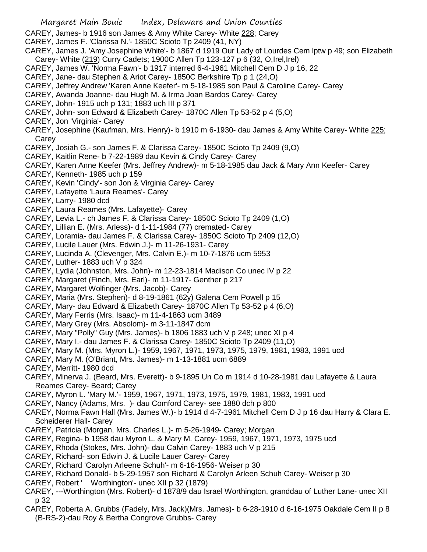- CAREY, James- b 1916 son James & Amy White Carey- White 228; Carey
- CAREY, James F. 'Clarissa N.'- 1850C Scioto Tp 2409 (41, NY)
- CAREY, James J. 'Amy Josephine White'- b 1867 d 1919 Our Lady of Lourdes Cem lptw p 49; son Elizabeth Carey- White (219) Curry Cadets; 1900C Allen Tp 123-127 p 6 (32, O,Irel,Irel)
- CAREY, James W. 'Norma Fawn'- b 1917 interred 6-4-1961 Mitchell Cem D J p 16, 22
- CAREY, Jane- dau Stephen & Ariot Carey- 1850C Berkshire Tp p 1 (24,O)
- CAREY, Jeffrey Andrew 'Karen Anne Keefer'- m 5-18-1985 son Paul & Caroline Carey- Carey
- CAREY, Awanda Joanne- dau Hugh M. & Irma Joan Bardos Carey- Carey
- CAREY, John- 1915 uch p 131; 1883 uch III p 371
- CAREY, John- son Edward & Elizabeth Carey- 1870C Allen Tp 53-52 p 4 (5,O)
- CAREY, Jon 'Virginia'- Carey
- CAREY, Josephine (Kaufman, Mrs. Henry)- b 1910 m 6-1930- dau James & Amy White Carey- White 225; Carey
- CAREY, Josiah G.- son James F. & Clarissa Carey- 1850C Scioto Tp 2409 (9,O)
- CAREY, Kaitlin Rene- b 7-22-1989 dau Kevin & Cindy Carey- Carey
- CAREY, Karen Anne Keefer (Mrs. Jeffrey Andrew)- m 5-18-1985 dau Jack & Mary Ann Keefer- Carey
- CAREY, Kenneth- 1985 uch p 159
- CAREY, Kevin 'Cindy'- son Jon & Virginia Carey- Carey
- CAREY, Lafayette 'Laura Reames'- Carey
- CAREY, Larry- 1980 dcd
- CAREY, Laura Reames (Mrs. Lafayette)- Carey
- CAREY, Levia L.- ch James F. & Clarissa Carey- 1850C Scioto Tp 2409 (1,O)
- CAREY, Lillian E. (Mrs. Arless)- d 1-11-1984 (77) cremated- Carey
- CAREY, Loramia- dau James F. & Clarissa Carey- 1850C Scioto Tp 2409 (12,O)
- CAREY, Lucile Lauer (Mrs. Edwin J.)- m 11-26-1931- Carey
- CAREY, Lucinda A. (Clevenger, Mrs. Calvin E.)- m 10-7-1876 ucm 5953
- CAREY, Luther- 1883 uch V p 324
- CAREY, Lydia (Johnston, Mrs. John)- m 12-23-1814 Madison Co unec IV p 22
- CAREY, Margaret (Finch, Mrs. Earl)- m 11-1917- Genther p 217
- CAREY, Margaret Wolfinger (Mrs. Jacob)- Carey
- CAREY, Maria (Mrs. Stephen)- d 8-19-1861 (62y) Galena Cem Powell p 15
- CAREY, Mary- dau Edward & Elizabeth Carey- 1870C Allen Tp 53-52 p 4 (6,O)
- CAREY, Mary Ferris (Mrs. Isaac)- m 11-4-1863 ucm 3489
- CAREY, Mary Grey (Mrs. Absolom)- m 3-11-1847 dcm
- CAREY, Mary "Polly" Guy (Mrs. James)- b 1806 1883 uch V p 248; unec XI p 4
- CAREY, Mary I.- dau James F. & Clarissa Carey- 1850C Scioto Tp 2409 (11,O)
- CAREY, Mary M. (Mrs. Myron L.)- 1959, 1967, 1971, 1973, 1975, 1979, 1981, 1983, 1991 ucd
- CAREY, Mary M. (O'Briant, Mrs. James)- m 1-13-1881 ucm 6889
- CAREY, Merritt- 1980 dcd
- CAREY, Minerva J. (Beard, Mrs. Everett)- b 9-1895 Un Co m 1914 d 10-28-1981 dau Lafayette & Laura Reames Carey- Beard; Carey
- CAREY, Myron L. 'Mary M.'- 1959, 1967, 1971, 1973, 1975, 1979, 1981, 1983, 1991 ucd
- CAREY, Nancy (Adams, Mrs. )- dau Comford Carey- see 1880 dch p 800
- CAREY, Norma Fawn Hall (Mrs. James W.)- b 1914 d 4-7-1961 Mitchell Cem D J p 16 dau Harry & Clara E. Scheiderer Hall- Carey
- CAREY, Patricia (Morgan, Mrs. Charles L.)- m 5-26-1949- Carey; Morgan
- CAREY, Regina- b 1958 dau Myron L. & Mary M. Carey- 1959, 1967, 1971, 1973, 1975 ucd
- CAREY, Rhoda (Stokes, Mrs. John)- dau Calvin Carey- 1883 uch V p 215
- CAREY, Richard- son Edwin J. & Lucile Lauer Carey- Carey
- CAREY, Richard 'Carolyn Arleene Schuh'- m 6-16-1956- Weiser p 30
- CAREY, Richard Donald- b 5-29-1957 son Richard & Carolyn Arleen Schuh Carey- Weiser p 30
- CAREY, Robert ' Worthington'- unec XII p 32 (1879)
- CAREY, ---Worthington (Mrs. Robert)- d 1878/9 dau Israel Worthington, granddau of Luther Lane- unec XII p 32
- CAREY, Roberta A. Grubbs (Fadely, Mrs. Jack)(Mrs. James)- b 6-28-1910 d 6-16-1975 Oakdale Cem II p 8 (B-RS-2)-dau Roy & Bertha Congrove Grubbs- Carey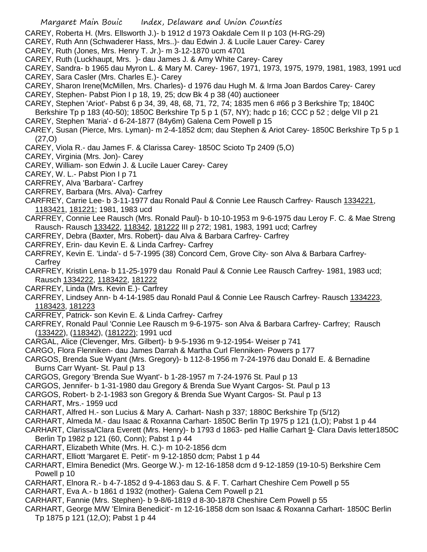- CAREY, Roberta H. (Mrs. Ellsworth J.)- b 1912 d 1973 Oakdale Cem II p 103 (H-RG-29)
- CAREY, Ruth Ann (Schwaderer Hass, Mrs..)- dau Edwin J. & Lucile Lauer Carey- Carey
- CAREY, Ruth (Jones, Mrs. Henry T. Jr.)- m 3-12-1870 ucm 4701
- CAREY, Ruth (Luckhaupt, Mrs. )- dau James J. & Amy White Carey- Carey
- CAREY, Sandra- b 1965 dau Myron L. & Mary M. Carey- 1967, 1971, 1973, 1975, 1979, 1981, 1983, 1991 ucd
- CAREY, Sara Casler (Mrs. Charles E.)- Carey
- CAREY, Sharon Irene(McMillen, Mrs. Charles)- d 1976 dau Hugh M. & Irma Joan Bardos Carey- Carey
- CAREY, Stephen- Pabst Pion I p 18, 19, 25; dcw Bk 4 p 38 (40) auctioneer
- CAREY, Stephen 'Ariot'- Pabst 6 p 34, 39, 48, 68, 71, 72, 74; 1835 men 6 #66 p 3 Berkshire Tp; 1840C Berkshire Tp p 183 (40-50); 1850C Berkshire Tp 5 p 1 (57, NY); hadc p 16; CCC p 52 ; delge VII p 21
- CAREY, Stephen 'Maria'- d 6-24-1877 (84y6m) Galena Cem Powell p 15
- CAREY, Susan (Pierce, Mrs. Lyman)- m 2-4-1852 dcm; dau Stephen & Ariot Carey- 1850C Berkshire Tp 5 p 1 (27,O)
- CAREY, Viola R.- dau James F. & Clarissa Carey- 1850C Scioto Tp 2409 (5,O)
- CAREY, Virginia (Mrs. Jon)- Carey
- CAREY, William- son Edwin J. & Lucile Lauer Carey- Carey
- CAREY, W. L.- Pabst Pion I p 71
- CARFREY, Alva 'Barbara'- Carfrey
- CARFREY, Barbara (Mrs. Alva)- Carfrey
- CARFREY, Carrie Lee- b 3-11-1977 dau Ronald Paul & Connie Lee Rausch Carfrey- Rausch 1334221, 1183421, 181221; 1981, 1983 ucd
- CARFREY, Connie Lee Rausch (Mrs. Ronald Paul)- b 10-10-1953 m 9-6-1975 dau Leroy F. C. & Mae Streng Rausch- Rausch 133422, 118342, 181222 III p 272; 1981, 1983, 1991 ucd; Carfrey
- CARFREY, Debra (Baxter, Mrs. Robert)- dau Alva & Barbara Carfrey- Carfrey
- CARFREY, Erin- dau Kevin E. & Linda Carfrey- Carfrey
- CARFREY, Kevin E. 'Linda'- d 5-7-1995 (38) Concord Cem, Grove City- son Alva & Barbara Carfrey-Carfrey
- CARFREY, Kristin Lena- b 11-25-1979 dau Ronald Paul & Connie Lee Rausch Carfrey- 1981, 1983 ucd; Rausch 1334222, 1183422, 181222
- CARFREY, Linda (Mrs. Kevin E.)- Carfrey
- CARFREY, Lindsey Ann- b 4-14-1985 dau Ronald Paul & Connie Lee Rausch Carfrey- Rausch 1334223, 1183423, 181223
- CARFREY, Patrick- son Kevin E. & Linda Carfrey- Carfrey
- CARFREY, Ronald Paul 'Connie Lee Rausch m 9-6-1975- son Alva & Barbara Carfrey- Carfrey; Rausch (133422), (118342), (181222); 1991 ucd
- CARGAL, Alice (Clevenger, Mrs. Gilbert)- b 9-5-1936 m 9-12-1954- Weiser p 741
- CARGO, Flora Flenniken- dau James Darrah & Martha Curl Flenniken- Powers p 177
- CARGOS, Brenda Sue Wyant (Mrs. Gregory)- b 112-8-1956 m 7-24-1976 dau Donald E. & Bernadine Burns Carr Wyant- St. Paul p 13
- CARGOS, Gregory 'Brenda Sue Wyant'- b 1-28-1957 m 7-24-1976 St. Paul p 13
- CARGOS, Jennifer- b 1-31-1980 dau Gregory & Brenda Sue Wyant Cargos- St. Paul p 13
- CARGOS, Robert- b 2-1-1983 son Gregory & Brenda Sue Wyant Cargos- St. Paul p 13
- CARHART, Mrs.- 1959 ucd
- CARHART, Alfred H.- son Lucius & Mary A. Carhart- Nash p 337; 1880C Berkshire Tp (5/12)
- CARHART, Almeda M.- dau Isaac & Roxanna Carhart- 1850C Berlin Tp 1975 p 121 (1,O); Pabst 1 p 44
- CARHART, Clarissa/Clara Everett (Mrs. Henry)- b 1793 d 1863- ped Hallie Carhart 9- Clara Davis letter1850C Berlin Tp 1982 p 121 (60, Conn); Pabst 1 p 44
- CARHART, Elizabeth White (Mrs. H. C.)- m 10-2-1856 dcm
- CARHART, Elliott 'Margaret E. Petit'- m 9-12-1850 dcm; Pabst 1 p 44
- CARHART, Elmira Benedict (Mrs. George W.)- m 12-16-1858 dcm d 9-12-1859 (19-10-5) Berkshire Cem Powell p 10
- CARHART, Elnora R.- b 4-7-1852 d 9-4-1863 dau S. & F. T. Carhart Cheshire Cem Powell p 55
- CARHART, Eva A.- b 1861 d 1932 (mother)- Galena Cem Powell p 21
- CARHART, Fannie (Mrs. Stephen)- b 9-8/6-1819 d 8-30-1878 Cheshire Cem Powell p 55
- CARHART, George M/W 'Elmira Benedicit'- m 12-16-1858 dcm son Isaac & Roxanna Carhart- 1850C Berlin Tp 1875 p 121 (12,O); Pabst 1 p 44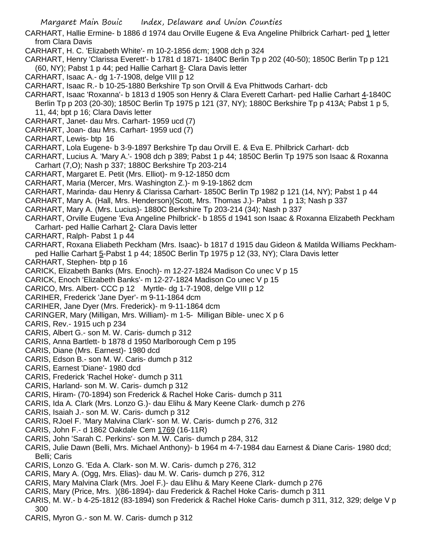CARHART, Hallie Ermine- b 1886 d 1974 dau Orville Eugene & Eva Angeline Philbrick Carhart- ped 1 letter from Clara Davis

CARHART, H. C. 'Elizabeth White'- m 10-2-1856 dcm; 1908 dch p 324

CARHART, Henry 'Clarissa Everett'- b 1781 d 1871- 1840C Berlin Tp p 202 (40-50); 1850C Berlin Tp p 121 (60, NY); Pabst 1 p 44; ped Hallie Carhart 8- Clara Davis letter

CARHART, Isaac A.- dg 1-7-1908, delge VIII p 12

CARHART, Isaac R.- b 10-25-1880 Berkshire Tp son Orvill & Eva Phittwods Carhart- dcb

- CARHART, Isaac 'Roxanna'- b 1813 d 1905 son Henry & Clara Everett Carhart- ped Hallie Carhart 4-1840C Berlin Tp p 203 (20-30); 1850C Berlin Tp 1975 p 121 (37, NY); 1880C Berkshire Tp p 413A; Pabst 1 p 5, 11, 44; bpt p 16; Clara Davis letter
- CARHART, Janet- dau Mrs. Carhart- 1959 ucd (7)
- CARHART, Joan- dau Mrs. Carhart- 1959 ucd (7)

CARHART, Lewis- btp 16

- CARHART, Lola Eugene- b 3-9-1897 Berkshire Tp dau Orvill E. & Eva E. Philbrick Carhart- dcb
- CARHART, Lucius A. 'Mary A.'- 1908 dch p 389; Pabst 1 p 44; 1850C Berlin Tp 1975 son Isaac & Roxanna Carhart (7,O); Nash p 337; 1880C Berkshire Tp 203-214
- CARHART, Margaret E. Petit (Mrs. Elliot)- m 9-12-1850 dcm
- CARHART, Maria (Mercer, Mrs. Washington Z.)- m 9-19-1862 dcm
- CARHART, Marinda- dau Henry & Clarissa Carhart- 1850C Berlin Tp 1982 p 121 (14, NY); Pabst 1 p 44
- CARHART, Mary A. (Hall, Mrs. Henderson)(Scott, Mrs. Thomas J.)- Pabst 1 p 13; Nash p 337
- CARHART, Mary A. (Mrs. Lucius)- 1880C Berkshire Tp 203-214 (34); Nash p 337
- CARHART, Orville Eugene 'Eva Angeline Philbrick'- b 1855 d 1941 son Isaac & Roxanna Elizabeth Peckham Carhart- ped Hallie Carhart 2- Clara Davis letter
- CARHART, Ralph- Pabst 1 p 44
- CARHART, Roxana Eliabeth Peckham (Mrs. Isaac)- b 1817 d 1915 dau Gideon & Matilda Williams Peckhamped Hallie Carhart 5-Pabst 1 p 44; 1850C Berlin Tp 1975 p 12 (33, NY); Clara Davis letter
- CARHART, Stephen- btp p 16
- CARICK, Elizabeth Banks (Mrs. Enoch)- m 12-27-1824 Madison Co unec V p 15
- CARICK, Enoch 'Elizabeth Banks'- m 12-27-1824 Madison Co unec V p 15
- CARICO, Mrs. Albert- CCC p 12 Myrtle- dg 1-7-1908, delge VIII p 12
- CARIHER, Frederick 'Jane Dyer'- m 9-11-1864 dcm
- CARIHER, Jane Dyer (Mrs. Frederick)- m 9-11-1864 dcm
- CARINGER, Mary (Milligan, Mrs. William)- m 1-5- Milligan Bible- unec X p 6
- CARIS, Rev.- 1915 uch p 234
- CARIS, Albert G.- son M. W. Caris- dumch p 312
- CARIS, Anna Bartlett- b 1878 d 1950 Marlborough Cem p 195
- CARIS, Diane (Mrs. Earnest)- 1980 dcd
- CARIS, Edson B.- son M. W. Caris- dumch p 312
- CARIS, Earnest 'Diane'- 1980 dcd
- CARIS, Frederick 'Rachel Hoke'- dumch p 311
- CARIS, Harland- son M. W. Caris- dumch p 312
- CARIS, Hiram- (70-1894) son Frederick & Rachel Hoke Caris- dumch p 311
- CARIS, Ida A. Clark (Mrs. Lonzo G.)- dau Elihu & Mary Keene Clark- dumch p 276
- CARIS, Isaiah J.- son M. W. Caris- dumch p 312
- CARIS, RJoel F. 'Mary Malvina Clark'- son M. W. Caris- dumch p 276, 312
- CARIS, John F.- d 1862 Oakdale Cem 1769 (16-11R)
- CARIS, John 'Sarah C. Perkins'- son M. W. Caris- dumch p 284, 312
- CARIS, Julie Dawn (Belli, Mrs. Michael Anthony)- b 1964 m 4-7-1984 dau Earnest & Diane Caris- 1980 dcd; Belli; Caris
- CARIS, Lonzo G. 'Eda A. Clark- son M. W. Caris- dumch p 276, 312
- CARIS, Mary A. (Ogg, Mrs. Elias)- dau M. W. Caris- dumch p 276, 312
- CARIS, Mary Malvina Clark (Mrs. Joel F.)- dau Elihu & Mary Keene Clark- dumch p 276
- CARIS, Mary (Price, Mrs. )(86-1894)- dau Frederick & Rachel Hoke Caris- dumch p 311
- CARIS, M. W.- b 4-25-1812 (83-1894) son Frederick & Rachel Hoke Caris- dumch p 311, 312, 329; delge V p 300
- CARIS, Myron G.- son M. W. Caris- dumch p 312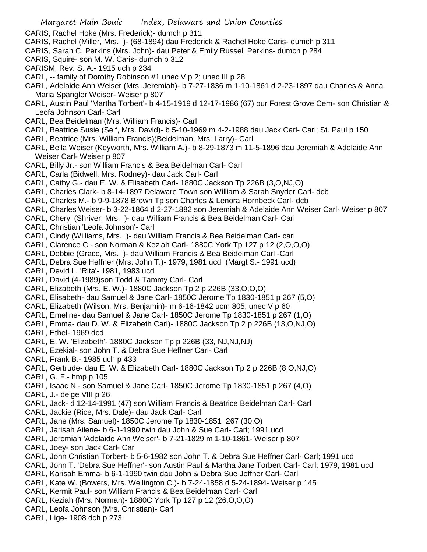CARIS, Rachel Hoke (Mrs. Frederick)- dumch p 311

- CARIS, Rachel (Miller, Mrs. )- (68-1894) dau Frederick & Rachel Hoke Caris- dumch p 311
- CARIS, Sarah C. Perkins (Mrs. John)- dau Peter & Emily Russell Perkins- dumch p 284
- CARIS, Squire- son M. W. Caris- dumch p 312
- CARISM, Rev. S. A.- 1915 uch p 234
- CARL, -- family of Dorothy Robinson #1 unec V p 2; unec III p 28
- CARL, Adelaide Ann Weiser (Mrs. Jeremiah)- b 7-27-1836 m 1-10-1861 d 2-23-1897 dau Charles & Anna Maria Spangler Weiser- Weiser p 807
- CARL, Austin Paul 'Martha Torbert'- b 4-15-1919 d 12-17-1986 (67) bur Forest Grove Cem- son Christian & Leofa Johnson Carl- Carl
- CARL, Bea Beidelman (Mrs. William Francis)- Carl
- CARL, Beatrice Susie (Seif, Mrs. David)- b 5-10-1969 m 4-2-1988 dau Jack Carl- Carl; St. Paul p 150
- CARL, Beatrice (Mrs. William Francis)(Beidelman, Mrs. Larry)- Carl
- CARL, Bella Weiser (Keyworth, Mrs. William A.)- b 8-29-1873 m 11-5-1896 dau Jeremiah & Adelaide Ann Weiser Carl- Weiser p 807
- CARL, Billy Jr.- son William Francis & Bea Beidelman Carl- Carl
- CARL, Carla (Bidwell, Mrs. Rodney)- dau Jack Carl- Carl
- CARL, Cathy G.- dau E. W. & Elisabeth Carl- 1880C Jackson Tp 226B (3,O,NJ,O)
- CARL, Charles Clark- b 8-14-1897 Delaware Town son William & Sarah Snyder Carl- dcb
- CARL, Charles M.- b 9-9-1878 Brown Tp son Charles & Lenora Hornbeck Carl- dcb
- CARL, Charles Weiser- b 3-22-1864 d 2-27-1882 son Jeremiah & Adelaide Ann Weiser Carl- Weiser p 807
- CARL, Cheryl (Shriver, Mrs. )- dau William Francis & Bea Beidelman Carl- Carl
- CARL, Christian 'Leofa Johnson'- Carl
- CARL, Cindy (Williams, Mrs. )- dau William Francis & Bea Beidelman Carl- carl
- CARL, Clarence C.- son Norman & Keziah Carl- 1880C York Tp 127 p 12 (2,O,O,O)
- CARL, Debbie (Grace, Mrs. )- dau William Francis & Bea Beidelman Carl -Carl
- CARL, Debra Sue Heffner (Mrs. John T.)- 1979, 1981 ucd (Margt S.- 1991 ucd)
- CARL, Devid L. 'Rita'- 1981, 1983 ucd
- CARL, David (4-1989)son Todd & Tammy Carl- Carl
- CARL, Elizabeth (Mrs. E. W.)- 1880C Jackson Tp 2 p 226B (33,O,O,O)
- CARL, Elisabeth- dau Samuel & Jane Carl- 1850C Jerome Tp 1830-1851 p 267 (5,O)
- CARL, Elizabeth (Wilson, Mrs. Benjamin)- m 6-16-1842 ucm 805; unec V p 60
- CARL, Emeline- dau Samuel & Jane Carl- 1850C Jerome Tp 1830-1851 p 267 (1,O)
- CARL, Emma- dau D. W. & Elizabeth Carl)- 1880C Jackson Tp 2 p 226B (13,O,NJ,O)

CARL, Ethel- 1969 dcd

- CARL, E. W. 'Elizabeth'- 1880C Jackson Tp p 226B (33, NJ,NJ,NJ)
- CARL, Ezekial- son John T. & Debra Sue Heffner Carl- Carl
- CARL, Frank B.- 1985 uch p 433
- CARL, Gertrude- dau E. W. & Elizabeth Carl- 1880C Jackson Tp 2 p 226B (8,O,NJ,O)
- CARL, G. F.- hmp p 105
- CARL, Isaac N.- son Samuel & Jane Carl- 1850C Jerome Tp 1830-1851 p 267 (4,O)
- CARL, J.- delge VIII p 26
- CARL, Jack- d 12-14-1991 (47) son William Francis & Beatrice Beidelman Carl- Carl
- CARL, Jackie (Rice, Mrs. Dale)- dau Jack Carl- Carl
- CARL, Jane (Mrs. Samuel)- 1850C Jerome Tp 1830-1851 267 (30,O)
- CARL, Jarisah Ailene- b 6-1-1990 twin dau John & Sue Carl- Carl; 1991 ucd
- CARL, Jeremiah 'Adelaide Ann Weiser'- b 7-21-1829 m 1-10-1861- Weiser p 807
- CARL, Joey- son Jack Carl- Carl
- CARL, John Christian Torbert- b 5-6-1982 son John T. & Debra Sue Heffner Carl- Carl; 1991 ucd
- CARL, John T. 'Debra Sue Heffner'- son Austin Paul & Martha Jane Torbert Carl- Carl; 1979, 1981 ucd
- CARL, Karisah Emma- b 6-1-1990 twin dau John & Debra Sue Jeffner Carl- Carl
- CARL, Kate W. (Bowers, Mrs. Wellington C.)- b 7-24-1858 d 5-24-1894- Weiser p 145
- CARL, Kermit Paul- son William Francis & Bea Beidelman Carl- Carl
- CARL, Keziah (Mrs. Norman)- 1880C York Tp 127 p 12 (26,O,O,O)
- CARL, Leofa Johnson (Mrs. Christian)- Carl
- CARL, Lige- 1908 dch p 273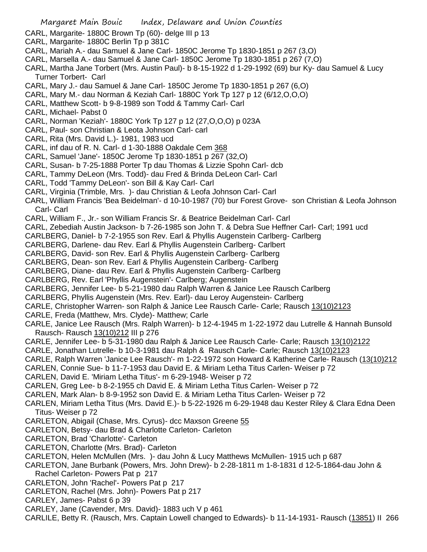- CARL, Margarite- 1880C Brown Tp (60)- delge III p 13
- CARL, Margarite- 1880C Berlin Tp p 381C
- CARL, Mariah A.- dau Samuel & Jane Carl- 1850C Jerome Tp 1830-1851 p 267 (3,O)
- CARL, Marsella A.- dau Samuel & Jane Carl- 1850C Jerome Tp 1830-1851 p 267 (7,O)
- CARL, Martha Jane Torbert (Mrs. Austin Paul)- b 8-15-1922 d 1-29-1992 (69) bur Ky- dau Samuel & Lucy Turner Torbert- Carl
- CARL, Mary J.- dau Samuel & Jane Carl- 1850C Jerome Tp 1830-1851 p 267 (6,O)
- CARL, Mary M.- dau Norman & Keziah Carl- 1880C York Tp 127 p 12 (6/12,O,O,O)
- CARL, Matthew Scott- b 9-8-1989 son Todd & Tammy Carl- Carl
- CARL, Michael- Pabst 0
- CARL, Norman 'Keziah'- 1880C York Tp 127 p 12 (27,O,O,O) p 023A
- CARL, Paul- son Christian & Leota Johnson Carl- carl
- CARL, Rita (Mrs. David L.)- 1981, 1983 ucd
- CARL, inf dau of R. N. Carl- d 1-30-1888 Oakdale Cem 368
- CARL, Samuel 'Jane'- 1850C Jerome Tp 1830-1851 p 267 (32,O)
- CARL, Susan- b 7-25-1888 Porter Tp dau Thomas & Lizzie Spohn Carl- dcb
- CARL, Tammy DeLeon (Mrs. Todd)- dau Fred & Brinda DeLeon Carl- Carl
- CARL, Todd 'Tammy DeLeon'- son Bill & Kay Carl- Carl
- CARL, Virginia (Trimble, Mrs. )- dau Christian & Leofa Johnson Carl- Carl
- CARL, William Francis 'Bea Beidelman'- d 10-10-1987 (70) bur Forest Grove- son Christian & Leofa Johnson Carl- Carl
- CARL, William F., Jr.- son William Francis Sr. & Beatrice Beidelman Carl- Carl
- CARL, Zebediah Austin Jackson- b 7-26-1985 son John T. & Debra Sue Heffner Carl- Carl; 1991 ucd
- CARLBERG, Daniel- b 7-2-1955 son Rev. Earl & Phyllis Augenstein Carlberg- Carlberg
- CARLBERG, Darlene- dau Rev. Earl & Phyllis Augenstein Carlberg- Carlbert
- CARLBERG, David- son Rev. Earl & Phyllis Augenstein Carlberg- Carlberg
- CARLBERG, Dean- son Rev. Earl & Phyllis Augenstein Carlberg- Carlberg
- CARLBERG, Diane- dau Rev. Earl & Phyllis Augenstein Carlberg- Carlberg
- CARLBERG, Rev. Earl 'Phyllis Augenstein'- Carlberg; Augenstein
- CARLBERG, Jennifer Lee- b 5-21-1980 dau Ralph Warren & Janice Lee Rausch Carlberg
- CARLBERG, Phyllis Augenstein (Mrs. Rev. Earl)- dau Leroy Augenstein- Carlberg
- CARLE, Christopher Warren- son Ralph & Janice Lee Rausch Carle- Carle; Rausch 13(10)2123
- CARLE, Freda (Matthew, Mrs. Clyde)- Matthew; Carle
- CARLE, Janice Lee Rausch (Mrs. Ralph Warren)- b 12-4-1945 m 1-22-1972 dau Lutrelle & Hannah Bunsold Rausch- Rausch 13(10)212 III p 276
- CARLE, Jennifer Lee- b 5-31-1980 dau Ralph & Janice Lee Rausch Carle- Carle; Rausch 13(10)2122
- CARLE, Jonathan Lutrelle- b 10-3-1981 dau Ralph & Rausch Carle- Carle; Rausch 13(10)2123
- CARLE, Ralph Warren 'Janice Lee Rausch'- m 1-22-1972 son Howard & Katherine Carle- Rausch (13(10)212
- CARLEN, Connie Sue- b 11-7-1953 dau David E. & Miriam Letha Titus Carlen- Weiser p 72
- CARLEN, David E. 'Miriam Letha Titus'- m 6-29-1948- Weiser p 72
- CARLEN, Greg Lee- b 8-2-1955 ch David E. & Miriam Letha Titus Carlen- Weiser p 72
- CARLEN, Mark Alan- b 8-9-1952 son David E. & Miriam Letha Titus Carlen- Weiser p 72
- CARLEN, Miriam Letha Titus (Mrs. David E.)- b 5-22-1926 m 6-29-1948 dau Kester Riley & Clara Edna Deen Titus- Weiser p 72
- CARLETON, Abigail (Chase, Mrs. Cyrus)- dcc Maxson Greene 55
- CARLETON, Betsy- dau Brad & Charlotte Carleton- Carleton
- CARLETON, Brad 'Charlotte'- Carleton
- CARLETON, Charlotte (Mrs. Brad)- Carleton
- CARLETON, Helen McMullen (Mrs. )- dau John & Lucy Matthews McMullen- 1915 uch p 687
- CARLETON, Jane Burbank (Powers, Mrs. John Drew)- b 2-28-1811 m 1-8-1831 d 12-5-1864-dau John & Rachel Carleton- Powers Pat p 217
- CARLETON, John 'Rachel'- Powers Pat p 217
- CARLETON, Rachel (Mrs. John)- Powers Pat p 217
- CARLEY, James- Pabst 6 p 39
- CARLEY, Jane (Cavender, Mrs. David)- 1883 uch V p 461
- CARLILE, Betty R. (Rausch, Mrs. Captain Lowell changed to Edwards)- b 11-14-1931- Rausch (13851) II 266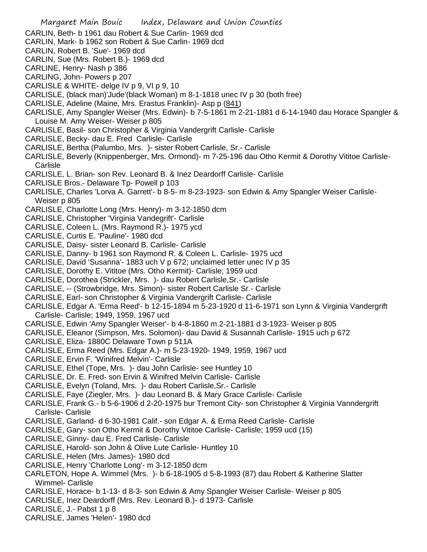- CARLIN, Beth- b 1961 dau Robert & Sue Carlin- 1969 dcd
- CARLIN, Mark- b 1962 son Robert & Sue Carlin- 1969 dcd
- CARLIN, Robert B. 'Sue'- 1969 dcd
- CARLIN, Sue (Mrs. Robert B.)- 1969 dcd
- CARLINE, Henry- Nash p 386
- CARLING, John- Powers p 207
- CARLISLE & WHITE- delge IV p 9, VI p 9, 10
- CARLISLE, (black man)'Jude'(black Woman) m 8-1-1818 unec IV p 30 (both free)
- CARLISLE, Adeline (Maine, Mrs. Erastus Franklin)- Asp p (841)
- CARLISLE, Amy Spangler Weiser (Mrs. Edwin)- b 7-5-1861 m 2-21-1881 d 6-14-1940 dau Horace Spangler & Louise M. Amy Weiser- Weiser p 805
- CARLISLE, Basil- son Christopher & Virginia Vandergrift Carlisle- Carlisle
- CARLISLE, Becky- dau E. Fred Carlisle- Carlisle
- CARLISLE, Bertha (Palumbo, Mrs. )- sister Robert Carlisle, Sr.- Carlisle
- CARLISLE, Beverly (Knippenberger, Mrs. Ormond)- m 7-25-196 dau Otho Kermit & Dorothy Vititoe Carlisle-Carlisle
- CARLISLE, L. Brian- son Rev. Leonard B. & Inez Deardorff Carlisle- Carlisle
- CARLISLE Bros.- Delaware Tp- Powell p 103
- CARLISLE, Charles 'Lorva A. Garrett'- b 8-5- m 8-23-1923- son Edwin & Amy Spangler Weiser Carlisle-Weiser p 805
- CARLISLE, Charlotte Long (Mrs. Henry)- m 3-12-1850 dcm
- CARLISLE, Christopher 'Virginia Vandegrift'- Carlisle
- CARLISLE, Coleen L. (Mrs. Raymond R.)- 1975 ycd
- CARLISLE, Curtis E. 'Pauline'- 1980 dcd
- CARLISLE, Daisy- sister Leonard B. Carlisle- Carlisle
- CARLISLE, Danny- b 1961 son Raymond R. & Coleen L. Carlisle- 1975 ucd
- CARLISLE, David 'Susanna'- 1883 uch V p 672; unclaimed letter unec IV p 35
- CARLISLE, Dorothy E. Vititoe (Mrs. Otho Kermit)- Carlisle; 1959 ucd
- CARLISLE, Dorothea (Strickler, Mrs. )- dau Robert Carlisle,Sr.- Carlisle
- CARLISLE, -- (Strowbridge, Mrs. Simon)- sister Robert Carlisle Sr.- Carlisle
- CARLISLE, Earl- son Christopher & Virginia Vandergrift Carlisle- Carlisle
- CARLISLE, Edgar A. 'Erma Reed'- b 12-15-1894 m 5-23-1920 d 11-6-1971 son Lynn & Virginia Vandergrift Carlisle- Carlisle; 1949, 1959, 1967 ucd
- CARLISLE, Edwin 'Amy Spangler Weiser'- b 4-8-1860 m 2-21-1881 d 3-1923- Weiser p 805
- CARLISLE, Eleanor (Simpson, Mrs. Solomon)- dau David & Susannah Carlisle- 1915 uch p 672
- CARLISLE, Eliza- 1880C Delaware Town p 511A
- CARLISLE, Erma Reed (Mrs. Edgar A.)- m 5-23-1920- 1949, 1959, 1967 ucd
- CARLISLE, Ervin F. 'Winifred Melvin'- Carlisle
- CARLISLE, Ethel (Tope, Mrs. )- dau John Carlisle- see Huntley 10
- CARLISLE, Dr. E. Fred- son Ervin & Winifred Melvin Carlisle- Carlisle
- CARLISLE, Evelyn (Toland, Mrs. )- dau Robert Carlisle,Sr.- Carlisle
- CARLISLE, Faye (Ziegler, Mrs. )- dau Leonard B. & Mary Grace Carlisle- Carlisle
- CARLISLE, Frank G.- b 5-6-1906 d 2-20-1975 bur Tremont City- son Christopher & Virginia Vanndergrift Carlisle- Carlisle
- CARLISLE, Garland- d 6-30-1981 Calif.- son Edgar A. & Erma Reed Carlisle- Carlisle
- CARLISLE, Gary- son Otho Kermit & Dorothy Vititoe Carlisle- Carlisle; 1959 ucd (15)
- CARLISLE, Ginny- dau E. Fred Carlisle- Carlisle
- CARLISLE, Harold- son John & Olive Lute Carlisle- Huntley 10
- CARLISLE, Helen (Mrs. James)- 1980 dcd
- CARLISLE, Henry 'Charlotte Long'- m 3-12-1850 dcm
- CARLETON, Hope A. Wimmel (Mrs. )- b 6-18-1905 d 5-8-1993 (87) dau Robert & Katherine Slatter Wimmel- Carlisle
- CARLISLE, Horace- b 1-13- d 8-3- son Edwin & Amy Spangler Weiser Carlisle- Weiser p 805
- CARLISLE, Inez Deardorff (Mrs. Rev. Leonard B.)- d 1973- Carlisle
- CARLISLE, J.- Pabst 1 p 8
- CARLISLE, James 'Helen'- 1980 dcd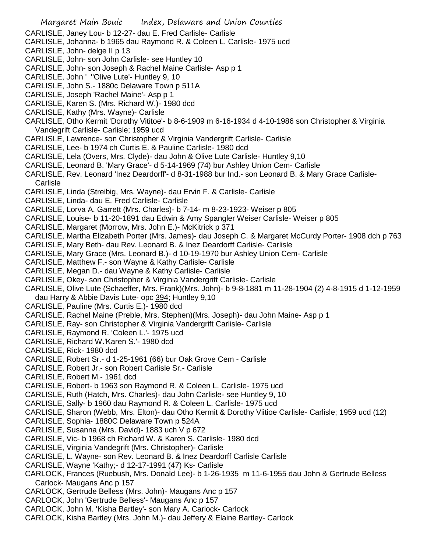CARLISLE, Janey Lou- b 12-27- dau E. Fred Carlisle- Carlisle

- CARLISLE, Johanna- b 1965 dau Raymond R. & Coleen L. Carlisle- 1975 ucd
- CARLISLE, John- delge II p 13
- CARLISLE, John- son John Carlisle- see Huntley 10
- CARLISLE, John- son Joseph & Rachel Maine Carlisle- Asp p 1
- CARLISLE, John ' ''Olive Lute'- Huntley 9, 10
- CARLISLE, John S.- 1880c Delaware Town p 511A
- CARLISLE, Joseph 'Rachel Maine'- Asp p 1
- CARLISLE, Karen S. (Mrs. Richard W.)- 1980 dcd
- CARLISLE, Kathy (Mrs. Wayne)- Carlisle
- CARLISLE, Otho Kermit 'Dorothy Vititoe'- b 8-6-1909 m 6-16-1934 d 4-10-1986 son Christopher & Virginia Vandegrift Carlisle- Carlisle; 1959 ucd
- CARLISLE, Lawrence- son Christopher & Virginia Vandergrift Carlisle- Carlisle
- CARLISLE, Lee- b 1974 ch Curtis E. & Pauline Carlisle- 1980 dcd
- CARLISLE, Lela (Overs, Mrs. Clyde)- dau John & Olive Lute Carlisle- Huntley 9,10
- CARLISLE, Leonard B. 'Mary Grace'- d 5-14-1969 (74) bur Ashley Union Cem- Carlisle
- CARLISLE, Rev. Leonard 'Inez Deardorff'- d 8-31-1988 bur Ind.- son Leonard B. & Mary Grace Carlisle-**Carlisle**
- CARLISLE, Linda (Streibig, Mrs. Wayne)- dau Ervin F. & Carlisle- Carlisle
- CARLISLE, Linda- dau E. Fred Carlisle- Carlisle
- CARLISLE, Lorva A. Garrett (Mrs. Charles)- b 7-14- m 8-23-1923- Weiser p 805
- CARLISLE, Louise- b 11-20-1891 dau Edwin & Amy Spangler Weiser Carlisle- Weiser p 805
- CARLISLE, Margaret (Morrow, Mrs. John E.)- McKitrick p 371
- CARLISLE, Martha Elizabeth Porter (Mrs. James)- dau Joseph C. & Margaret McCurdy Porter- 1908 dch p 763
- CARLISLE, Mary Beth- dau Rev. Leonard B. & Inez Deardorff Carlisle- Carlisle
- CARLISLE, Mary Grace (Mrs. Leonard B.)- d 10-19-1970 bur Ashley Union Cem- Carlisle
- CARLISLE, Matthew F.- son Wayne & Kathy Carlisle- Carlisle
- CARLISLE, Megan D.- dau Wayne & Kathy Carlisle- Carlisle
- CARLISLE, Okey- son Christopher & Virginia Vandergrift Carlisle- Carlisle
- CARLISLE, Olive Lute (Schaeffer, Mrs. Frank)(Mrs. John)- b 9-8-1881 m 11-28-1904 (2) 4-8-1915 d 1-12-1959 dau Harry & Abbie Davis Lute- opc 394; Huntley 9,10
- CARLISLE, Pauline (Mrs. Curtis E.)- 1980 dcd
- CARLISLE, Rachel Maine (Preble, Mrs. Stephen)(Mrs. Joseph)- dau John Maine- Asp p 1
- CARLISLE, Ray- son Christopher & Virginia Vandergrift Carlisle- Carlisle
- CARLISLE, Raymond R. 'Coleen L.'- 1975 ucd
- CARLISLE, Richard W.'Karen S.'- 1980 dcd
- CARLISLE, Rick- 1980 dcd
- CARLISLE, Robert Sr.- d 1-25-1961 (66) bur Oak Grove Cem Carlisle
- CARLISLE, Robert Jr.- son Robert Carlisle Sr.- Carlisle
- CARLISLE, Robert M.- 1961 dcd
- CARLISLE, Robert- b 1963 son Raymond R. & Coleen L. Carlisle- 1975 ucd
- CARLISLE, Ruth (Hatch, Mrs. Charles)- dau John Carlisle- see Huntley 9, 10
- CARLISLE, Sally- b 1960 dau Raymond R. & Coleen L. Carlisle- 1975 ucd
- CARLISLE, Sharon (Webb, Mrs. Elton)- dau Otho Kermit & Dorothy Viitioe Carlisle- Carlisle; 1959 ucd (12)
- CARLISLE, Sophia- 1880C Delaware Town p 524A
- CARLISLE, Susanna (Mrs. David)- 1883 uch V p 672
- CARLISLE, Vic- b 1968 ch Richard W. & Karen S. Carlisle- 1980 dcd
- CARLISLE, Virginia Vandegrift (Mrs. Christopher)- Carlisle
- CARLISLE, L. Wayne- son Rev. Leonard B. & Inez Deardorff Carlisle Carlisle
- CARLISLE, Wayne 'Kathy;- d 12-17-1991 (47) Ks- Carlisle
- CARLOCK, Frances (Ruebush, Mrs. Donald Lee)- b 1-26-1935 m 11-6-1955 dau John & Gertrude Belless Carlock- Maugans Anc p 157
- CARLOCK, Gertrude Belless (Mrs. John)- Maugans Anc p 157
- CARLOCK, John 'Gertrude Belless'- Maugans Anc p 157
- CARLOCK, John M. 'Kisha Bartley'- son Mary A. Carlock- Carlock
- CARLOCK, Kisha Bartley (Mrs. John M.)- dau Jeffery & Elaine Bartley- Carlock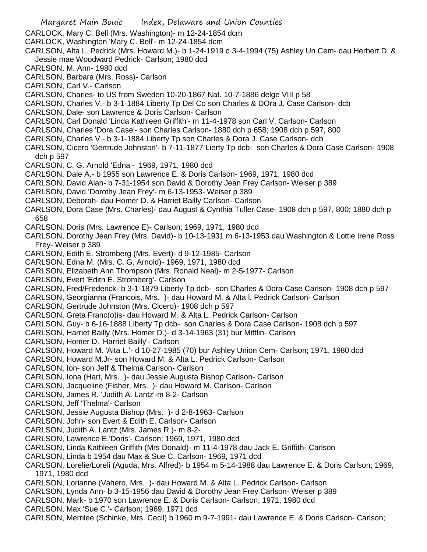- Margaret Main Bouic Index, Delaware and Union Counties CARLOCK, Mary C. Bell (Mrs. Washington)- m 12-24-1854 dcm CARLOCK, Washington 'Mary C. Bell'- m 12-24-1854 dcm CARLSON, Alta L. Pedrick (Mrs. Howard M.)- b 1-24-1919 d 3-4-1994 (75) Ashley Un Cem- dau Herbert D. & Jessie mae Woodward Pedrick- Carlson; 1980 dcd CARLSON, M. Ann- 1980 dcd CARLSON, Barbara (Mrs. Ross)- Carlson CARLSON, Carl V.- Carlson CARLSON, Charles- to US from Sweden 10-20-1867 Nat. 10-7-1886 delge VIII p 58 CARLSON, Charles V.- b 3-1-1884 Liberty Tp Del Co son Charles & DOra J. Case Carlson- dcb CARLSON, Dale- son Lawrence & Doris Carlson- Carlson CARLSON, Carl Donald 'Linda Kathleen Griffith'- m 11-4-1978 son Carl V. Carlson- Carlson CARLSON, Charles 'Dora Case'- son Charles Carlson- 1880 dch p 658; 1908 dch p 597, 800 CARLSON, Charles V.- b 3-1-1884 Liberty Tp son Charles & Dora J. Case Carlson- dcb CARLSON, Cicero 'Gertrude Johnston'- b 7-11-1877 Lierty Tp dcb- son Charles & Dora Case Carlson- 1908 dch p 597 CARLSON, C. G. Arnold 'Edna'- 1969, 1971, 1980 dcd CARLSON, Dale A.- b 1955 son Lawrence E. & Doris Carlson- 1969, 1971, 1980 dcd CARLSON, David Alan- b 7-31-1954 son David & Dorothy Jean Frey Carlson- Weiser p 389 CARLSON, David 'Dorothy Jean Frey'- m 6-13-1953- Weiser p 389 CARLSON, Deborah- dau Homer D. & Harriet Bailly Carlson- Carlson CARLSON, Dora Case (Mrs. Charles)- dau August & Cynthia Tuller Case- 1908 dch p 597, 800; 1880 dch p 658 CARLSON, Doris (Mrs. Lawrence E)- Carlson; 1969, 1971, 1980 dcd CARLSON, Dorothy Jean Frey (Mrs. David)- b 10-13-1931 m 6-13-1953 dau Washington & Lottie Irene Ross Frey- Weiser p 389 CARLSON, Edith E. Stromberg (Mrs. Evert)- d 9-12-1985- Carlson CARLSON, Edna M. (Mrs. C. G. Arnold)- 1969, 1971, 1980 dcd CARLSON, Elizabeth Ann Thompson (Mrs. Ronald Neal)- m 2-5-1977- Carlson CARLSON, Evert 'Edith E. Stromberg'- Carlson CARLSON, Fred/Frederick- b 3-1-1879 Liberty Tp dcb- son Charles & Dora Case Carlson- 1908 dch p 597 CARLSON, Georgianna (Francois, Mrs. )- dau Howard M. & Alta l. Pedrick Carlson- Carlson CARLSON, Gertrude Johnston (Mrs. Cicero)- 1908 dch p 597 CARLSON, Greta Franc(o)is- dau Howard M. & Alta L. Pedrick Carlson- Carlson CARLSON, Guy- b 6-16-1888 Liberty Tp dcb- son Charles & Dora Case Carlson- 1908 dch p 597 CARLSON, Harriet Bailly (Mrs. Homer D.)- d 3-14-1963 (31) bur Mifflin- Carlson CARLSON, Homer D. 'Harriet Bailly'- Carlson CARLSON, Howard M. 'Alta L.'- d 10-27-1985 (70) bur Ashley Union Cem- Carlson; 1971, 1980 dcd CARLSON, Howard M.Jr- son Howard M. & Alta L. Pedrick Carlson- Carlson CARLSON, Ion- son Jeff & Thelma Carlson- Carlson CARLSON, Iona (Hart, Mrs. )- dau Jessie Augusta Bishop Carlson- Carlson CARLSON, Jacqueline (Fisher, Mrs. )- dau Howard M. Carlson- Carlson CARLSON, James R. 'Judith A. Lantz'-m 8-2- Carlson CARLSON, Jeff 'Thelma'- Carlson CARLSON, Jessie Augusta Bishop (Mrs. )- d 2-8-1963- Carlson CARLSON, John- son Evert & Edith E. Carlson- Carlson CARLSON, Judith A. Lantz (Mrs. James R.)- m 8-2- CARLSON, Lawrence E.'Doris'- Carlson; 1969, 1971, 1980 dcd CARLSON, Linda Kathleen Griffith (Mrs Donald)- m 11-4-1978 dau Jack E. Griffith- Carlson CARLSON, Linda b 1954 dau Max & Sue C. Carlson- 1969, 1971 dcd CARLSON, Lorelie/Loreli (Aguda, Mrs. Alfred)- b 1954 m 5-14-1988 dau Lawrence E. & Doris Carlson; 1969, 1971, 1980 dcd CARLSON, Lorianne (Vahero, Mrs. )- dau Howard M. & Alta L. Pedrick Carlson- Carlson
- CARLSON, Lynda Ann- b 3-15-1956 dau David & Dorothy Jean Frey Carlson- Weiser p 389
- CARLSON, Mark- b 1970 son Lawrence E. & Doris Carlson- Carlson; 1971, 1980 dcd
- CARLSON, Max 'Sue C.'- Carlson; 1969, 1971 dcd
- CARLSON, Merrilee (Schinke, Mrs. Cecil) b 1960 m 9-7-1991- dau Lawrence E. & Doris Carlson- Carlson;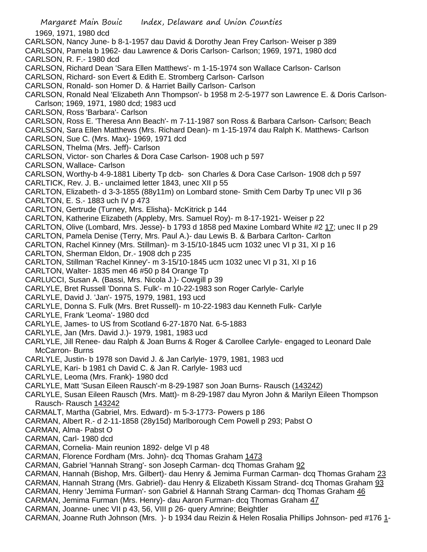1969, 1971, 1980 dcd

- CARLSON, Nancy June- b 8-1-1957 dau David & Dorothy Jean Frey Carlson- Weiser p 389
- CARLSON, Pamela b 1962- dau Lawrence & Doris Carlson- Carlson; 1969, 1971, 1980 dcd
- CARLSON, R. F.- 1980 dcd
- CARLSON, Richard Dean 'Sara Ellen Matthews'- m 1-15-1974 son Wallace Carlson- Carlson
- CARLSON, Richard- son Evert & Edith E. Stromberg Carlson- Carlson
- CARLSON, Ronald- son Homer D. & Harriet Bailly Carlson- Carlson
- CARLSON, Ronald Neal 'Elizabeth Ann Thompson'- b 1958 m 2-5-1977 son Lawrence E. & Doris Carlson-Carlson; 1969, 1971, 1980 dcd; 1983 ucd
- CARLSON, Ross 'Barbara'- Carlson
- CARLSON, Ross E. 'Theresa Ann Beach'- m 7-11-1987 son Ross & Barbara Carlson- Carlson; Beach
- CARLSON, Sara Ellen Matthews (Mrs. Richard Dean)- m 1-15-1974 dau Ralph K. Matthews- Carlson
- CARLSON, Sue C. (Mrs. Max)- 1969, 1971 dcd
- CARLSON, Thelma (Mrs. Jeff)- Carlson
- CARLSON, Victor- son Charles & Dora Case Carlson- 1908 uch p 597
- CARLSON, Wallace- Carlson
- CARLSON, Worthy-b 4-9-1881 Liberty Tp dcb- son Charles & Dora Case Carlson- 1908 dch p 597 CARLTICK, Rev. J. B.- unclaimed letter 1843, unec XII p 55
- CARLTON, Elizabeth- d 3-3-1855 (88y11m) on Lombard stone- Smith Cem Darby Tp unec VII p 36
- CARLTON, E. S.- 1883 uch IV p 473
- CARLTON, Gertrude (Turney, Mrs. Elisha)- McKitrick p 144
- CARLTON, Katherine Elizabeth (Appleby, Mrs. Samuel Roy)- m 8-17-1921- Weiser p 22
- CARLTON, Olive (Lombard, Mrs. Jesse)- b 1793 d 1858 ped Maxine Lombard White #2 17; unec II p 29
- CARLTON, Pamela Denise (Terry, Mrs. Paul A.)- dau Lewis B. & Barbara Carlton- Carlton
- CARLTON, Rachel Kinney (Mrs. Stillman)- m 3-15/10-1845 ucm 1032 unec VI p 31, XI p 16
- CARLTON, Sherman Eldon, Dr.- 1908 dch p 235
- CARLTON, Stillman 'Rachel Kinney'- m 3-15/10-1845 ucm 1032 unec VI p 31, XI p 16
- CARLTON, Walter- 1835 men 46 #50 p 84 Orange Tp
- CARLUCCI, Susan A. (Bassi, Mrs. Nicola J.)- Cowgill p 39
- CARLYLE, Bret Russell 'Donna S. Fulk'- m 10-22-1983 son Roger Carlyle- Carlyle
- CARLYLE, David J. 'Jan'- 1975, 1979, 1981, 193 ucd
- CARLYLE, Donna S. Fulk (Mrs. Bret Russell)- m 10-22-1983 dau Kenneth Fulk- Carlyle
- CARLYLE, Frank 'Leoma'- 1980 dcd
- CARLYLE, James- to US from Scotland 6-27-1870 Nat. 6-5-1883
- CARLYLE, Jan (Mrs. David J.)- 1979, 1981, 1983 ucd
- CARLYLE, Jill Renee- dau Ralph & Joan Burns & Roger & Carollee Carlyle- engaged to Leonard Dale McCarron- Burns
- CARLYLE, Justin- b 1978 son David J. & Jan Carlyle- 1979, 1981, 1983 ucd
- CARLYLE, Kari- b 1981 ch David C. & Jan R. Carlyle- 1983 ucd
- CARLYLE, Leoma (Mrs. Frank)- 1980 dcd
- CARLYLE, Matt 'Susan Eileen Rausch'-m 8-29-1987 son Joan Burns- Rausch (143242)
- CARLYLE, Susan Eileen Rausch (Mrs. Matt)- m 8-29-1987 dau Myron John & Marilyn Eileen Thompson Rausch- Rausch 143242
- CARMALT, Martha (Gabriel, Mrs. Edward)- m 5-3-1773- Powers p 186
- CARMAN, Albert R.- d 2-11-1858 (28y15d) Marlborough Cem Powell p 293; Pabst O
- CARMAN, Alma- Pabst O
- CARMAN, Carl- 1980 dcd
- CARMAN, Cornelia- Main reunion 1892- delge VI p 48
- CARMAN, Florence Fordham (Mrs. John)- dcq Thomas Graham 1473
- CARMAN, Gabriel 'Hannah Strang'- son Joseph Carman- dcq Thomas Graham 92
- CARMAN, Hannah (Bishop, Mrs. Gilbert)- dau Henry & Jemima Furman Carman- dcq Thomas Graham 23
- CARMAN, Hannah Strang (Mrs. Gabriel)- dau Henry & Elizabeth Kissam Strand- dcq Thomas Graham 93
- CARMAN, Henry 'Jemima Furman'- son Gabriel & Hannah Strang Carman- dcq Thomas Graham 46
- CARMAN, Jemima Furman (Mrs. Henry)- dau Aaron Furman- dcq Thomas Graham 47
- CARMAN, Joanne- unec VII p 43, 56, VIII p 26- query Amrine; Beightler
- CARMAN, Joanne Ruth Johnson (Mrs. )- b 1934 dau Reizin & Helen Rosalia Phillips Johnson- ped #176 1-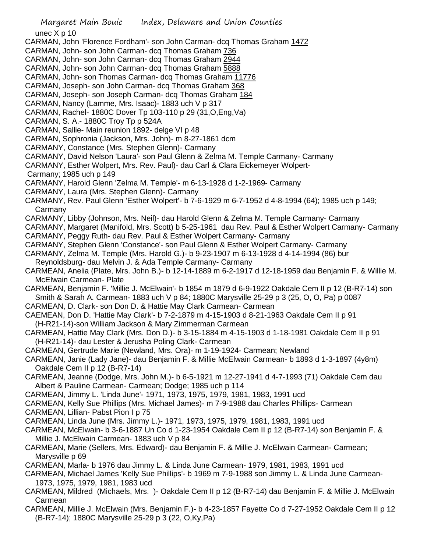- Margaret Main Bouic Index, Delaware and Union Counties unec X p 10 CARMAN, John 'Florence Fordham'- son John Carman- dcq Thomas Graham 1472 CARMAN, John- son John Carman- dcq Thomas Graham 736 CARMAN, John- son John Carman- dcq Thomas Graham 2944 CARMAN, John- son John Carman- dcq Thomas Graham 5888 CARMAN, John- son Thomas Carman- dcq Thomas Graham 11776 CARMAN, Joseph- son John Carman- dcq Thomas Graham 368 CARMAN, Joseph- son Joseph Carman- dcq Thomas Graham 184 CARMAN, Nancy (Lamme, Mrs. Isaac)- 1883 uch V p 317 CARMAN, Rachel- 1880C Dover Tp 103-110 p 29 (31,O,Eng,Va) CARMAN, S. A.- 1880C Troy Tp p 524A CARMAN, Sallie- Main reunion 1892- delge VI p 48 CARMAN, Sophronia (Jackson, Mrs. John)- m 8-27-1861 dcm CARMANY, Constance (Mrs. Stephen Glenn)- Carmany CARMANY, David Nelson 'Laura'- son Paul Glenn & Zelma M. Temple Carmany- Carmany CARMANY, Esther Wolpert, Mrs. Rev. Paul)- dau Carl & Clara Eickemeyer Wolpert-Carmany; 1985 uch p 149 CARMANY, Harold Glenn 'Zelma M. Temple'- m 6-13-1928 d 1-2-1969- Carmany CARMANY, Laura (Mrs. Stephen Glenn)- Carmany CARMANY, Rev. Paul Glenn 'Esther Wolpert'- b 7-6-1929 m 6-7-1952 d 4-8-1994 (64); 1985 uch p 149; Carmany CARMANY, Libby (Johnson, Mrs. Neil)- dau Harold Glenn & Zelma M. Temple Carmany- Carmany CARMANY, Margaret (Manifold, Mrs. Scott) b 5-25-1961 dau Rev. Paul & Esther Wolpert Carmany- Carmany CARMANY, Peggy Ruth- dau Rev. Paul & Esther Wolpert Carmany- Carmany CARMANY, Stephen Glenn 'Constance'- son Paul Glenn & Esther Wolpert Carmany- Carmany CARMANY, Zelma M. Temple (Mrs. Harold G.)- b 9-23-1907 m 6-13-1928 d 4-14-1994 (86) bur Reynoldsburg- dau Melvin J. & Ada Temple Carmany- Carmany CARMEAN, Anelia (Plate, Mrs. John B.)- b 12-14-1889 m 6-2-1917 d 12-18-1959 dau Benjamin F. & Willie M. McElwain Carmean- Plate CARMEAN, Benjamin F. 'Millie J. McElwain'- b 1854 m 1879 d 6-9-1922 Oakdale Cem II p 12 (B-R7-14) son Smith & Sarah A. Carmean- 1883 uch V p 84; 1880C Marysville 25-29 p 3 (25, O, O, Pa) p 0087 CARMEAN, D. Clark- son Don D. & Hattie May Clark Carmean- Carmean CAEMEAN, Don D. 'Hattie May Clark'- b 7-2-1879 m 4-15-1903 d 8-21-1963 Oakdale Cem II p 91 (H-R21-14)-son William Jackson & Mary Zimmerman Carmean CARMEAN, Hattie May Clark (Mrs. Don D.)- b 3-15-1884 m 4-15-1903 d 1-18-1981 Oakdale Cem II p 91 (H-R21-14)- dau Lester & Jerusha Poling Clark- Carmean CARMEAN, Gertrude Marie (Newland, Mrs. Ora)- m 1-19-1924- Carmean; Newland CARMEAN, Janie (Lady Jane)- dau Benjamin F. & Millie McElwain Carmean- b 1893 d 1-3-1897 (4y8m) Oakdale Cem II p 12 (B-R7-14) CARMEAN, Jeanne (Dodge, Mrs. John M.)- b 6-5-1921 m 12-27-1941 d 4-7-1993 (71) Oakdale Cem dau Albert & Pauline Carmean- Carmean; Dodge; 1985 uch p 114 CARMEAN, Jimmy L. 'Linda June'- 1971, 1973, 1975, 1979, 1981, 1983, 1991 ucd CARMEAN, Kelly Sue Phillips (Mrs. Michael James)- m 7-9-1988 dau Charles Phillips- Carmean CARMEAN, Lillian- Pabst Pion I p 75 CARMEAN, Linda June (Mrs. Jimmy L.)- 1971, 1973, 1975, 1979, 1981, 1983, 1991 ucd CARMEAN, McElwain- b 3-6-1887 Un Co d 1-23-1954 Oakdale Cem II p 12 (B-R7-14) son Benjamin F. & Millie J. McElwain Carmean- 1883 uch V p 84 CARMEAN, Marie (Sellers, Mrs. Edward)- dau Benjamin F. & Millie J. McElwain Carmean- Carmean; Marysville p 69 CARMEAN, Marla- b 1976 dau Jimmy L. & Linda June Carmean- 1979, 1981, 1983, 1991 ucd CARMEAN, Michael James 'Kelly Sue Phillips'- b 1969 m 7-9-1988 son Jimmy L. & Linda June Carmean-1973, 1975, 1979, 1981, 1983 ucd CARMEAN, Mildred (Michaels, Mrs. )- Oakdale Cem II p 12 (B-R7-14) dau Benjamin F. & Millie J. McElwain Carmean
- CARMEAN, Millie J. McElwain (Mrs. Benjamin F.)- b 4-23-1857 Fayette Co d 7-27-1952 Oakdale Cem II p 12 (B-R7-14); 1880C Marysville 25-29 p 3 (22, O,Ky,Pa)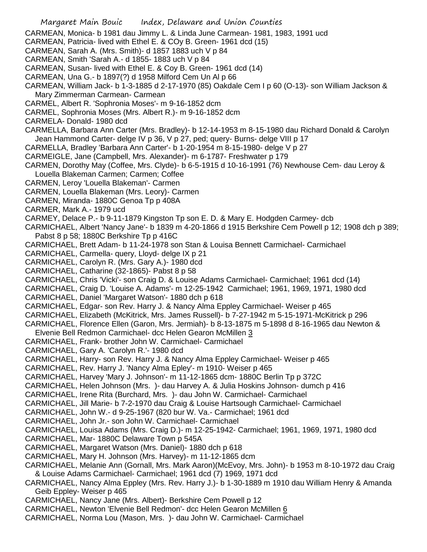- Margaret Main Bouic Index, Delaware and Union Counties CARMEAN, Monica- b 1981 dau Jimmy L. & Linda June Carmean- 1981, 1983, 1991 ucd CARMEAN, Patricia- lived with Ethel E. & COy B. Green- 1961 dcd (15) CARMEAN, Sarah A. (Mrs. Smith)- d 1857 1883 uch V p 84 CARMEAN, Smith 'Sarah A.- d 1855- 1883 uch V p 84 CARMEAN, Susan- lived with Ethel E. & Coy B. Green- 1961 dcd (14) CARMEAN, Una G.- b 1897(?) d 1958 Milford Cem Un Al p 66 CARMEAN, William Jack- b 1-3-1885 d 2-17-1970 (85) Oakdale Cem I p 60 (O-13)- son William Jackson & Mary Zimmerman Carmean- Carmean CARMEL, Albert R. 'Sophronia Moses'- m 9-16-1852 dcm CARMEL, Sophronia Moses (Mrs. Albert R.)- m 9-16-1852 dcm CARMELA- Donald- 1980 dcd CARMELLA, Barbara Ann Carter (Mrs. Bradley)- b 12-14-1953 m 8-15-1980 dau Richard Donald & Carolyn Jean Hammond Carter- delge IV p 36, V p 27, ped; query- Burns- delge VIII p 17 CARMELLA, Bradley 'Barbara Ann Carter'- b 1-20-1954 m 8-15-1980- delge V p 27 CARMEIGLE, Jane (Campbell, Mrs. Alexander)- m 6-1787- Freshwater p 179 CARMEN, Dorothy May (Coffee, Mrs. Clyde)- b 6-5-1915 d 10-16-1991 (76) Newhouse Cem- dau Leroy & Louella Blakeman Carmen; Carmen; Coffee CARMEN, Leroy 'Louella Blakeman'- Carmen CARMEN, Louella Blakeman (Mrs. Leory)- Carmen CARMEN, Miranda- 1880C Genoa Tp p 408A CARMER, Mark A.- 1979 ucd CARMEY, Delace P.- b 9-11-1879 Kingston Tp son E. D. & Mary E. Hodgden Carmey- dcb CARMICHAEL, Albert 'Nancy Jane'- b 1839 m 4-20-1866 d 1915 Berkshire Cem Powell p 12; 1908 dch p 389; Pabst 8 p 58; 1880C Berkshire Tp p 416C CARMICHAEL, Brett Adam- b 11-24-1978 son Stan & Louisa Bennett Carmichael- Carmichael CARMICHAEL, Carmella- query, Lloyd- delge IX p 21 CARMICHAEL, Carolyn R. (Mrs. Gary A.)- 1980 dcd CARMICHAEL, Catharine (32-1865)- Pabst 8 p 58 CARMICHAEL, Chris 'Vicki'- son Craig D. & Louise Adams Carmichael- Carmichael; 1961 dcd (14) CARMICHAEL, Craig D. 'Louise A. Adams'- m 12-25-1942 Carmichael; 1961, 1969, 1971, 1980 dcd CARMICHAEL, Daniel 'Margaret Watson'- 1880 dch p 618 CARMICHAEL, Edgar- son Rev. Harry J. & Nancy Alma Eppley Carmichael- Weiser p 465 CARMICHAEL, Elizabeth (McKitrick, Mrs. James Russell)- b 7-27-1942 m 5-15-1971-McKitrick p 296 CARMICHAEL, Florence Ellen (Garon, Mrs. Jermiah)- b 8-13-1875 m 5-1898 d 8-16-1965 dau Newton & Elvenie Bell Redmon Carmichael- dcc Helen Gearon McMillen 3 CARMICHAEL, Frank- brother John W. Carmichael- Carmichael CARMICHAEL, Gary A. 'Carolyn R.'- 1980 dcd CARMICHAEL, Harry- son Rev. Harry J. & Nancy Alma Eppley Carmichael- Weiser p 465 CARMICHAEL, Rev. Harry J. 'Nancy Alma Epley'- m 1910- Weiser p 465 CARMICHAEL, Harvey 'Mary J. Johnson'- m 11-12-1865 dcm- 1880C Berlin Tp p 372C CARMICHAEL, Helen Johnson (Mrs. )- dau Harvey A. & Julia Hoskins Johnson- dumch p 416 CARMICHAEL, Irene Rita (Burchard, Mrs. )- dau John W. Carmichael- Carmichael CARMICHAEL, Jill Marie- b 7-2-1970 dau Craig & Louise Hartsough Carmichael- Carmichael CARMICHAEL, John W.- d 9-25-1967 (820 bur W. Va.- Carmichael; 1961 dcd CARMICHAEL, John Jr.- son John W. Carmichael- Carmichael CARMICHAEL, Louisa Adams (Mrs. Craig D.)- m 12-25-1942- Carmichael; 1961, 1969, 1971, 1980 dcd CARMICHAEL, Mar- 1880C Delaware Town p 545A CARMICHAEL, Margaret Watson (Mrs. Daniel)- 1880 dch p 618 CARMICHAEL, Mary H. Johnson (Mrs. Harvey)- m 11-12-1865 dcm CARMICHAEL, Melanie Ann (Gornall, Mrs. Mark Aaron)(McEvoy, Mrs. John)- b 1953 m 8-10-1972 dau Craig & Louise Adams Carmichael- Carmichael; 1961 dcd (7) 1969, 1971 dcd CARMICHAEL, Nancy Alma Eppley (Mrs. Rev. Harry J.)- b 1-30-1889 m 1910 dau William Henry & Amanda Geib Eppley- Weiser p 465 CARMICHAEL, Nancy Jane (Mrs. Albert)- Berkshire Cem Powell p 12 CARMICHAEL, Newton 'Elvenie Bell Redmon'- dcc Helen Gearon McMillen 6
- CARMICHAEL, Norma Lou (Mason, Mrs. )- dau John W. Carmichael- Carmichael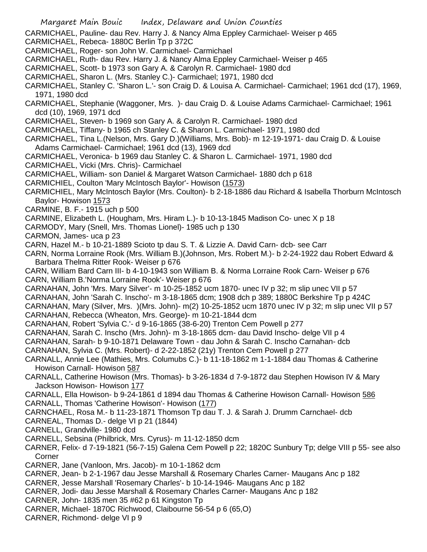- Margaret Main Bouic Index, Delaware and Union Counties CARMICHAEL, Pauline- dau Rev. Harry J. & Nancy Alma Eppley Carmichael- Weiser p 465 CARMICHAEL, Rebeca- 1880C Berlin Tp p 372C CARMICHAEL, Roger- son John W. Carmichael- Carmichael CARMICHAEL, Ruth- dau Rev. Harry J. & Nancy Alma Eppley Carmichael- Weiser p 465 CARMICHAEL, Scott- b 1973 son Gary A. & Carolyn R. Carmichael- 1980 dcd CARMICHAEL, Sharon L. (Mrs. Stanley C.)- Carmichael; 1971, 1980 dcd CARMICHAEL, Stanley C. 'Sharon L.'- son Craig D. & Louisa A. Carmichael- Carmichael; 1961 dcd (17), 1969, 1971, 1980 dcd CARMICHAEL, Stephanie (Waggoner, Mrs. )- dau Craig D. & Louise Adams Carmichael- Carmichael; 1961 dcd (10), 1969, 1971 dcd CARMICHAEL, Steven- b 1969 son Gary A. & Carolyn R. Carmichael- 1980 dcd CARMICHAEL, Tiffany- b 1965 ch Stanley C. & Sharon L. Carmichael- 1971, 1980 dcd CARMICHAEL, Tina L.(Nelson, Mrs. Gary D.)(Williams, Mrs. Bob)- m 12-19-1971- dau Craig D. & Louise Adams Carmichael- Carmichael; 1961 dcd (13), 1969 dcd CARMICHAEL, Veronica- b 1969 dau Stanley C. & Sharon L. Carmichael- 1971, 1980 dcd CARMICHAEL, Vicki (Mrs. Chris)- Carmichael CARMICHAEL, William- son Daniel & Margaret Watson Carmichael- 1880 dch p 618 CARMICHIEL, Coulton 'Mary McIntosch Baylor'- Howison (1573) CARMICHIEL, Mary McIntosch Baylor (Mrs. Coulton)- b 2-18-1886 dau Richard & Isabella Thorburn McIntosch Baylor- Howison 1573 CARMINE, B. F.- 1915 uch p 500 CARMINE, Elizabeth L. (Hougham, Mrs. Hiram L.)- b 10-13-1845 Madison Co- unec X p 18 CARMODY, Mary (Snell, Mrs. Thomas Lionel)- 1985 uch p 130 CARMON, James- uca p 23 CARN, Hazel M.- b 10-21-1889 Scioto tp dau S. T. & Lizzie A. David Carn- dcb- see Carr CARN, Norma Lorraine Rook (Mrs. William B.)(Johnson, Mrs. Robert M.)- b 2-24-1922 dau Robert Edward & Barbara Thelma Ritter Rook- Weiser p 676 CARN, William Bard Carn III- b 4-10-1943 son William B. & Norma Lorraine Rook Carn- Weiser p 676 CARN, William B.'Norma Lorraine Rook'- Weiser p 676 CARNAHAN, John 'Mrs. Mary Silver'- m 10-25-1852 ucm 1870- unec IV p 32; m slip unec VII p 57 CARNAHAN, John 'Sarah C. Inscho'- m 3-18-1865 dcm; 1908 dch p 389; 1880C Berkshire Tp p 424C CARNAHAN, Mary (Silver, Mrs. )(Mrs. John)- m(2) 10-25-1852 ucm 1870 unec IV p 32; m slip unec VII p 57 CARNAHAN, Rebecca (Wheaton, Mrs. George)- m 10-21-1844 dcm CARNAHAN, Robert 'Sylvia C.'- d 9-16-1865 (38-6-20) Trenton Cem Powell p 277 CARNAHAN, Sarah C. Inscho (Mrs. John)- m 3-18-1865 dcm- dau David Inscho- delge VII p 4 CARNAHAN, Sarah- b 9-10-1871 Delaware Town - dau John & Sarah C. Inscho Carnahan- dcb CARNAHAN, Sylvia C. (Mrs. Robert)- d 2-22-1852 (21y) Trenton Cem Powell p 277 CARNALL, Annie Lee (Mathies, Mrs. Columubs C.)- b 11-18-1862 m 1-1-1884 dau Thomas & Catherine Howison Carnall- Howison 587 CARNALL, Catherine Howison (Mrs. Thomas)- b 3-26-1834 d 7-9-1872 dau Stephen Howison IV & Mary Jackson Howison- Howison 177 CARNALL, Ella Howison- b 9-24-1861 d 1894 dau Thomas & Catherine Howison Carnall- Howison 586 CARNALL, Thomas 'Catherine Howison'- Howison (177) CARNCHAEL, Rosa M.- b 11-23-1871 Thomson Tp dau T. J. & Sarah J. Drumm Carnchael- dcb CARNEAL, Thomas D.- delge VI p 21 (1844) CARNELL, Grandville- 1980 dcd CARNELL, Sebsina (Philbrick, Mrs. Cyrus)- m 11-12-1850 dcm CARNER, Felix- d 7-19-1821 (56-7-15) Galena Cem Powell p 22; 1820C Sunbury Tp; delge VIII p 55- see also Corner CARNER, Jane (Vanloon, Mrs. Jacob)- m 10-1-1862 dcm CARNER, Jean- b 2-1-1967 dau Jesse Marshall & Rosemary Charles Carner- Maugans Anc p 182 CARNER, Jesse Marshall 'Rosemary Charles'- b 10-14-1946- Maugans Anc p 182
- CARNER, Jodi- dau Jesse Marshall & Rosemary Charles Carner- Maugans Anc p 182
- CARNER, John- 1835 men 35 #62 p 61 Kingston Tp
- CARNER, Michael- 1870C Richwood, Claibourne 56-54 p 6 (65,O)
- CARNER, Richmond- delge VI p 9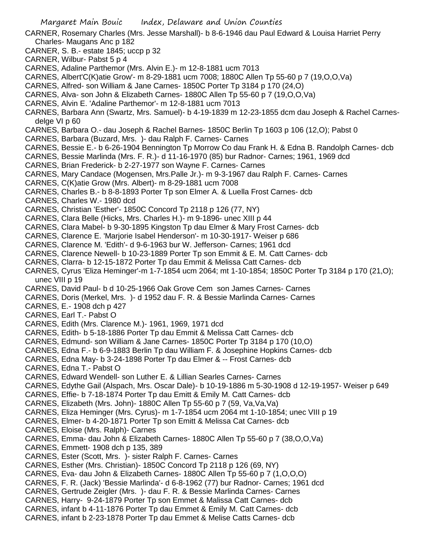- CARNER, Rosemary Charles (Mrs. Jesse Marshall)- b 8-6-1946 dau Paul Edward & Louisa Harriet Perry Charles- Maugans Anc p 182
- CARNER, S. B.- estate 1845; uccp p 32
- CARNER, Wilbur- Pabst 5 p 4
- CARNES, Adaline Parthemor (Mrs. Alvin E.)- m 12-8-1881 ucm 7013
- CARNES, Albert'C(K)atie Grow'- m 8-29-1881 ucm 7008; 1880C Allen Tp 55-60 p 7 (19,O,O,Va)
- CARNES, Alfred- son William & Jane Carnes- 1850C Porter Tp 3184 p 170 (24,O)
- CARNES, Alva- son John & Elizabeth Carnes- 1880C Allen Tp 55-60 p 7 (19,O,O,Va)
- CARNES, Alvin E. 'Adaline Parthemor'- m 12-8-1881 ucm 7013
- CARNES, Barbara Ann (Swartz, Mrs. Samuel)- b 4-19-1839 m 12-23-1855 dcm dau Joseph & Rachel Carnesdelge VI p 60
- CARNES, Barbara O.- dau Joseph & Rachel Barnes- 1850C Berlin Tp 1603 p 106 (12,O); Pabst 0
- CARNES, Barbara (Buzard, Mrs. )- dau Ralph F. Carnes- Carnes
- CARNES, Bessie E.- b 6-26-1904 Bennington Tp Morrow Co dau Frank H. & Edna B. Randolph Carnes- dcb
- CARNES, Bessie Marlinda (Mrs. F. R.)- d 11-16-1970 (85) bur Radnor- Carnes; 1961, 1969 dcd
- CARNES, Brian Frederick- b 2-27-1977 son Wayne F. Carnes- Carnes
- CARNES, Mary Candace (Mogensen, Mrs.Palle Jr.)- m 9-3-1967 dau Ralph F. Carnes- Carnes
- CARNES, C(K)atie Grow (Mrs. Albert)- m 8-29-1881 ucm 7008
- CARNES, Charles B.- b 8-8-1893 Porter Tp son Elmer A. & Luella Frost Carnes- dcb
- CARNES, Charles W.- 1980 dcd
- CARNES, Christian 'Esther'- 1850C Concord Tp 2118 p 126 (77, NY)
- CARNES, Clara Belle (Hicks, Mrs. Charles H.)- m 9-1896- unec XIII p 44
- CARNES, Clara Mabel- b 9-30-1895 Kingston Tp dau Elmer & Mary Frost Carnes- dcb
- CARNES, Clarence E. 'Marjorie Isabel Henderson'- m 10-30-1917- Weiser p 686
- CARNES, Clarence M. 'Edith'- d 9-6-1963 bur W. Jefferson- Carnes; 1961 dcd
- CARNES, Clarence Newell- b 10-23-1889 Porter Tp son Emmit & E. M. Catt Carnes- dcb
- CARNES, Clarra- b 12-15-1872 Porter Tp dau Emmit & Melissa Catt Carnes- dcb
- CARNES, Cyrus 'Eliza Heminger'-m 1-7-1854 ucm 2064; mt 1-10-1854; 1850C Porter Tp 3184 p 170 (21,O); unec VIII p 19
- CARNES, David Paul- b d 10-25-1966 Oak Grove Cem son James Carnes- Carnes
- CARNES, Doris (Merkel, Mrs. )- d 1952 dau F. R. & Bessie Marlinda Carnes- Carnes
- CARNES, E.- 1908 dch p 427
- CARNES, Earl T.- Pabst O
- CARNES, Edith (Mrs. Clarence M.)- 1961, 1969, 1971 dcd
- CARNES, Edith- b 5-18-1886 Porter Tp dau Emmit & Melissa Catt Carnes- dcb
- CARNES, Edmund- son William & Jane Carnes- 1850C Porter Tp 3184 p 170 (10,O)
- CARNES, Edna F.- b 6-9-1883 Berlin Tp dau William F. & Josephine Hopkins Carnes- dcb
- CARNES, Edna May- b 3-24-1898 Porter Tp dau Elmer & -- Frost Carnes- dcb
- CARNES, Edna T.- Pabst O
- CARNES, Edward Wendell- son Luther E. & Lillian Searles Carnes- Carnes
- CARNES, Edythe Gail (Alspach, Mrs. Oscar Dale)- b 10-19-1886 m 5-30-1908 d 12-19-1957- Weiser p 649
- CARNES, Effie- b 7-18-1874 Porter Tp dau Emitt & Emily M. Catt Carnes- dcb
- CARNES, Elizabeth (Mrs. John)- 1880C Allen Tp 55-60 p 7 (59, Va,Va,Va)
- CARNES, Eliza Heminger (Mrs. Cyrus)- m 1-7-1854 ucm 2064 mt 1-10-1854; unec VIII p 19
- CARNES, Elmer- b 4-20-1871 Porter Tp son Emitt & Melissa Cat Carnes- dcb
- CARNES, Eloise (Mrs. Ralph)- Carnes
- CARNES, Emma- dau John & Elizabeth Carnes- 1880C Allen Tp 55-60 p 7 (38,O,O,Va)
- CARNES, Emmett- 1908 dch p 135, 389
- CARNES, Ester (Scott, Mrs. )- sister Ralph F. Carnes- Carnes
- CARNES, Esther (Mrs. Christian)- 1850C Concord Tp 2118 p 126 (69, NY)
- CARNES, Eva- dau John & Elizabeth Carnes- 1880C Allen Tp 55-60 p 7 (1,O,O,O)
- CARNES, F. R. (Jack) 'Bessie Marlinda'- d 6-8-1962 (77) bur Radnor- Carnes; 1961 dcd
- CARNES, Gertrude Zeigler (Mrs. )- dau F. R. & Bessie Marlinda Carnes- Carnes
- CARNES, Harry- 9-24-1879 Porter Tp son Emmet & Malissa Catt Carnes- dcb
- CARNES, infant b 4-11-1876 Porter Tp dau Emmet & Emily M. Catt Carnes- dcb
- CARNES, infant b 2-23-1878 Porter Tp dau Emmet & Melise Catts Carnes- dcb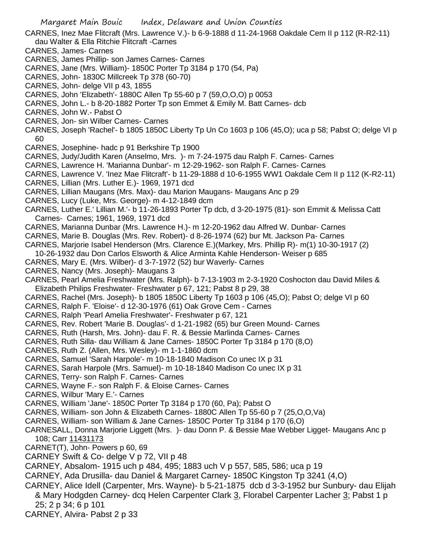- CARNES, Inez Mae Flitcraft (Mrs. Lawrence V.)- b 6-9-1888 d 11-24-1968 Oakdale Cem II p 112 (R-R2-11) dau Walter & Ella Ritchie Flitcraft -Carnes
- CARNES, James- Carnes
- CARNES, James Phillip- son James Carnes- Carnes
- CARNES, Jane (Mrs. William)- 1850C Porter Tp 3184 p 170 (54, Pa)
- CARNES, John- 1830C Millcreek Tp 378 (60-70)
- CARNES, John- delge VII p 43, 1855
- CARNES, John 'Elizabeth'- 1880C Allen Tp 55-60 p 7 (59,O,O,O) p 0053
- CARNES, John L.- b 8-20-1882 Porter Tp son Emmet & Emily M. Batt Carnes- dcb
- CARNES, John W.- Pabst O
- CARNES, Jon- sin Wilber Carnes- Carnes
- CARNES, Joseph 'Rachel'- b 1805 1850C Liberty Tp Un Co 1603 p 106 (45,O); uca p 58; Pabst O; delge VI p 60
- CARNES, Josephine- hadc p 91 Berkshire Tp 1900
- CARNES, Judy/Judith Karen (Anselmo, Mrs. )- m 7-24-1975 dau Ralph F. Carnes- Carnes
- CARNES, Lawrence H. 'Marianna Dunbar'- m 12-29-1962- son Ralph F. Carnes- Carnes
- CARNES, Lawrence V. 'Inez Mae Flitcraft'- b 11-29-1888 d 10-6-1955 WW1 Oakdale Cem II p 112 (K-R2-11)
- CARNES, Lillian (Mrs. Luther E.)- 1969, 1971 dcd
- CARNES, Lillian Maugans (Mrs. Max)- dau Marion Maugans- Maugans Anc p 29
- CARNES, Lucy (Luke, Mrs. George)- m 4-12-1849 dcm
- CARNES, Luther E.' Lillian M.'- b 11-26-1893 Porter Tp dcb, d 3-20-1975 (81)- son Emmit & Melissa Catt Carnes- Carnes; 1961, 1969, 1971 dcd
- CARNES, Marianna Dunbar (Mrs. Lawrence H.)- m 12-20-1962 dau Alfred W. Dunbar- Carnes
- CARNES, Marie B. Douglas (Mrs. Rev. Robert)- d 8-26-1974 (62) bur Mt. Jackson Pa- Carnes
- CARNES, Marjorie Isabel Henderson (Mrs. Clarence E.)(Markey, Mrs. Phillip R)- m(1) 10-30-1917 (2)
- 10-26-1932 dau Don Carlos Elsworth & Alice Arminta Kahle Henderson- Weiser p 685
- CARNES, Mary E. (Mrs. Wilber)- d 3-7-1972 (52) bur Waverly- Carnes
- CARNES, Nancy (Mrs. Joseph)- Maugans 3
- CARNES, Pearl Amelia Freshwater (Mrs. Ralph)- b 7-13-1903 m 2-3-1920 Coshocton dau David Miles & Elizabeth Philips Freshwater- Freshwater p 67, 121; Pabst 8 p 29, 38
- CARNES, Rachel (Mrs. Joseph)- b 1805 1850C Liberty Tp 1603 p 106 (45,O); Pabst O; delge VI p 60
- CARNES, Ralph F. 'Eloise'- d 12-30-1976 (61) Oak Grove Cem Carnes
- CARNES, Ralph 'Pearl Amelia Freshwater'- Freshwater p 67, 121
- CARNES, Rev. Robert 'Marie B. Douglas'- d 1-21-1982 (65) bur Green Mound- Carnes
- CARNES, Ruth (Harsh, Mrs. John)- dau F. R. & Bessie Marlinda Carnes- Carnes
- CARNES, Ruth Silla- dau William & Jane Carnes- 1850C Porter Tp 3184 p 170 (8,O)
- CARNES, Ruth Z. (Allen, Mrs. Wesley)- m 1-1-1860 dcm
- CARNES, Samuel 'Sarah Harpole'- m 10-18-1840 Madison Co unec IX p 31
- CARNES, Sarah Harpole (Mrs. Samuel)- m 10-18-1840 Madison Co unec IX p 31
- CARNES, Terry- son Ralph F. Carnes- Carnes
- CARNES, Wayne F.- son Ralph F. & Eloise Carnes- Carnes
- CARNES, Wilbur 'Mary E.'- Carnes
- CARNES, William 'Jane'- 1850C Porter Tp 3184 p 170 (60, Pa); Pabst O
- CARNES, William- son John & Elizabeth Carnes- 1880C Allen Tp 55-60 p 7 (25,O,O,Va)
- CARNES, William- son William & Jane Carnes- 1850C Porter Tp 3184 p 170 (6,O)
- CARNESALL, Donna Marjorie Liggett (Mrs. )- dau Donn P. & Bessie Mae Webber Ligget- Maugans Anc p 108; Carr 11431173
- CARNET(T), John- Powers p 60, 69
- CARNEY Swift & Co- delge V p 72, VII p 48
- CARNEY, Absalom- 1915 uch p 484, 495; 1883 uch V p 557, 585, 586; uca p 19
- CARNEY, Ada Drusilla- dau Daniel & Margaret Carney- 1850C Kingston Tp 3241 (4,O)
- CARNEY, Alice Idell (Carpenter, Mrs. Wayne)- b 5-21-1875 dcb d 3-3-1952 bur Sunbury- dau Elijah & Mary Hodgden Carney- dcq Helen Carpenter Clark 3, Florabel Carpenter Lacher 3; Pabst 1 p 25; 2 p 34; 6 p 101
- CARNEY, Alvira- Pabst 2 p 33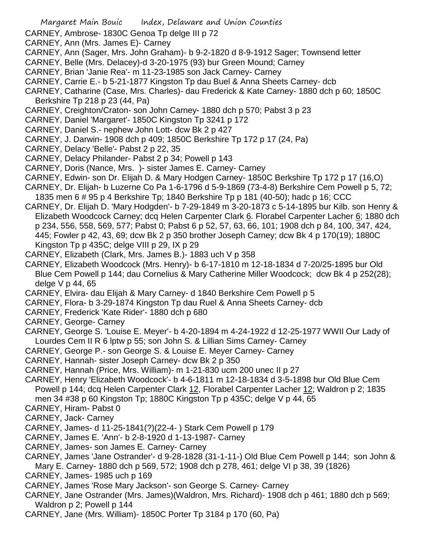- CARNEY, Ambrose- 1830C Genoa Tp delge III p 72
- CARNEY, Ann (Mrs. James E)- Carney
- CARNEY, Ann (Sager, Mrs. John Graham)- b 9-2-1820 d 8-9-1912 Sager; Townsend letter
- CARNEY, Belle (Mrs. Delacey)-d 3-20-1975 (93) bur Green Mound; Carney
- CARNEY, Brian 'Janie Rea'- m 11-23-1985 son Jack Carney- Carney
- CARNEY, Carrie E.- b 5-21-1877 Kingston Tp dau Buel & Anna Sheets Carney- dcb
- CARNEY, Catharine (Case, Mrs. Charles)- dau Frederick & Kate Carney- 1880 dch p 60; 1850C Berkshire Tp 218 p 23 (44, Pa)
- CARNEY, Creighton/Craton- son John Carney- 1880 dch p 570; Pabst 3 p 23
- CARNEY, Daniel 'Margaret'- 1850C Kingston Tp 3241 p 172
- CARNEY, Daniel S.- nephew John Lott- dcw Bk 2 p 427
- CARNEY, J. Darwin- 1908 dch p 409; 1850C Berkshire Tp 172 p 17 (24, Pa)
- CARNEY, Delacy 'Belle'- Pabst 2 p 22, 35
- CARNEY, Delacy Philander- Pabst 2 p 34; Powell p 143
- CARNEY, Doris (Nance, Mrs. )- sister James E. Carney- Carney
- CARNEY, Edwin- son Dr. Elijah D. & Mary Hodgen Carney- 1850C Berkshire Tp 172 p 17 (16,O)
- CARNEY, Dr. Elijah- b Luzerne Co Pa 1-6-1796 d 5-9-1869 (73-4-8) Berkshire Cem Powell p 5, 72; 1835 men 6 # 95 p 4 Berkshire Tp; 1840 Berkshire Tp p 181 (40-50); hadc p 16; CCC
- CARNEY, Dr. Elijah D. 'Mary Hodgden'- b 7-29-1849 m 3-20-1873 c 5-14-1895 bur Kilb. son Henry & Elizabeth Woodcock Carney; dcq Helen Carpenter Clark 6. Florabel Carpenter Lacher 6; 1880 dch p 234, 556, 558, 569, 577; Pabst 0; Pabst 6 p 52, 57, 63, 66, 101; 1908 dch p 84, 100, 347, 424, 445; Fowler p 42, 43, 69; dcw Bk 2 p 350 brother Joseph Carney; dcw Bk 4 p 170(19); 1880C Kingston Tp p 435C; delge VIII p 29, IX p 29
- CARNEY, Elizabeth (Clark, Mrs. James B.)- 1883 uch V p 358
- CARNEY, Elizabeth Woodcock (Mrs. Henry)- b 6-17-1810 m 12-18-1834 d 7-20/25-1895 bur Old Blue Cem Powell p 144; dau Cornelius & Mary Catherine Miller Woodcock; dcw Bk 4 p 252(28); delge V p 44, 65
- CARNEY, Elvira- dau Elijah & Mary Carney- d 1840 Berkshire Cem Powell p 5
- CARNEY, Flora- b 3-29-1874 Kingston Tp dau Ruel & Anna Sheets Carney- dcb
- CARNEY, Frederick 'Kate Rider'- 1880 dch p 680
- CARNEY, George- Carney
- CARNEY, George S. 'Louise E. Meyer'- b 4-20-1894 m 4-24-1922 d 12-25-1977 WWII Our Lady of Lourdes Cem II R 6 lptw p 55; son John S. & Lillian Sims Carney- Carney
- CARNEY, George P.- son George S. & Louise E. Meyer Carney- Carney
- CARNEY, Hannah- sister Joseph Carney- dcw Bk 2 p 350
- CARNEY, Hannah (Price, Mrs. William)- m 1-21-830 ucm 200 unec II p 27
- CARNEY, Henry 'Elizabeth Woodcock'- b 4-6-1811 m 12-18-1834 d 3-5-1898 bur Old Blue Cem Powell p 144; dcq Helen Carpenter Clark 12, Florabel Carpenter Lacher 12; Waldron p 2; 1835 men 34 #38 p 60 Kingston Tp; 1880C Kingston Tp p 435C; delge V p 44, 65
- CARNEY, Hiram- Pabst 0
- CARNEY, Jack- Carney
- CARNEY, James- d 11-25-1841(?)(22-4- ) Stark Cem Powell p 179
- CARNEY, James E. 'Ann'- b 2-8-1920 d 1-13-1987- Carney
- CARNEY, James- son James E. Carney- Carney
- CARNEY, James 'Jane Ostrander'- d 9-28-1828 (31-1-11-) Old Blue Cem Powell p 144; son John & Mary E. Carney- 1880 dch p 569, 572; 1908 dch p 278, 461; delge VI p 38, 39 (1826)
- CARNEY, James- 1985 uch p 169
- CARNEY, James 'Rose Mary Jackson'- son George S. Carney- Carney
- CARNEY, Jane Ostrander (Mrs. James)(Waldron, Mrs. Richard)- 1908 dch p 461; 1880 dch p 569; Waldron p 2; Powell p 144
- CARNEY, Jane (Mrs. William)- 1850C Porter Tp 3184 p 170 (60, Pa)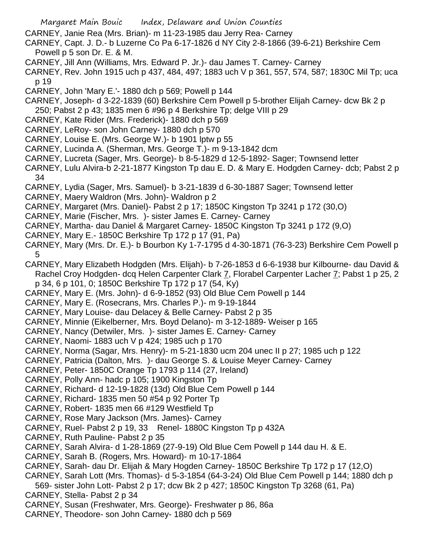CARNEY, Janie Rea (Mrs. Brian)- m 11-23-1985 dau Jerry Rea- Carney

- CARNEY, Capt. J. D.- b Luzerne Co Pa 6-17-1826 d NY City 2-8-1866 (39-6-21) Berkshire Cem Powell p 5 son Dr. E. & M.
- CARNEY, Jill Ann (Williams, Mrs. Edward P. Jr.)- dau James T. Carney- Carney
- CARNEY, Rev. John 1915 uch p 437, 484, 497; 1883 uch V p 361, 557, 574, 587; 1830C Mil Tp; uca p 19
- CARNEY, John 'Mary E.'- 1880 dch p 569; Powell p 144
- CARNEY, Joseph- d 3-22-1839 (60) Berkshire Cem Powell p 5-brother Elijah Carney- dcw Bk 2 p 250; Pabst 2 p 43; 1835 men 6 #96 p 4 Berkshire Tp; delge VIII p 29
- CARNEY, Kate Rider (Mrs. Frederick)- 1880 dch p 569
- CARNEY, LeRoy- son John Carney- 1880 dch p 570
- CARNEY, Louise E. (Mrs. George W.)- b 1901 lptw p 55
- CARNEY, Lucinda A. (Sherman, Mrs. George T.)- m 9-13-1842 dcm
- CARNEY, Lucreta (Sager, Mrs. George)- b 8-5-1829 d 12-5-1892- Sager; Townsend letter
- CARNEY, Lulu Alvira-b 2-21-1877 Kingston Tp dau E. D. & Mary E. Hodgden Carney- dcb; Pabst 2 p 34
- CARNEY, Lydia (Sager, Mrs. Samuel)- b 3-21-1839 d 6-30-1887 Sager; Townsend letter
- CARNEY, Maery Waldron (Mrs. John)- Waldron p 2
- CARNEY, Margaret (Mrs. Daniel)- Pabst 2 p 17; 1850C Kingston Tp 3241 p 172 (30,O)
- CARNEY, Marie (Fischer, Mrs. )- sister James E. Carney- Carney
- CARNEY, Martha- dau Daniel & Margaret Carney- 1850C Kingston Tp 3241 p 172 (9,O)
- CARNEY, Mary E.- 1850C Berkshire Tp 172 p 17 (91, Pa)
- CARNEY, Mary (Mrs. Dr. E.)- b Bourbon Ky 1-7-1795 d 4-30-1871 (76-3-23) Berkshire Cem Powell p 5
- CARNEY, Mary Elizabeth Hodgden (Mrs. Elijah)- b 7-26-1853 d 6-6-1938 bur Kilbourne- dau David & Rachel Croy Hodgden- dcq Helen Carpenter Clark 7, Florabel Carpenter Lacher 7; Pabst 1 p 25, 2
- p 34, 6 p 101, 0; 1850C Berkshire Tp 172 p 17 (54, Ky)
- CARNEY, Mary E. (Mrs. John)- d 6-9-1852 (93) Old Blue Cem Powell p 144
- CARNEY, Mary E. (Rosecrans, Mrs. Charles P.)- m 9-19-1844
- CARNEY, Mary Louise- dau Delacey & Belle Carney- Pabst 2 p 35
- CARNEY, Minnie (Eikelberner, Mrs. Boyd Delano)- m 3-12-1889- Weiser p 165
- CARNEY, Nancy (Detwiler, Mrs. )- sister James E. Carney- Carney
- CARNEY, Naomi- 1883 uch V p 424; 1985 uch p 170
- CARNEY, Norma (Sagar, Mrs. Henry)- m 5-21-1830 ucm 204 unec II p 27; 1985 uch p 122
- CARNEY, Patricia (Dalton, Mrs. )- dau George S. & Louise Meyer Carney- Carney
- CARNEY, Peter- 1850C Orange Tp 1793 p 114 (27, Ireland)
- CARNEY, Polly Ann- hadc p 105; 1900 Kingston Tp
- CARNEY, Richard- d 12-19-1828 (13d) Old Blue Cem Powell p 144
- CARNEY, Richard- 1835 men 50 #54 p 92 Porter Tp
- CARNEY, Robert- 1835 men 66 #129 Westfield Tp
- CARNEY, Rose Mary Jackson (Mrs. James)- Carney
- CARNEY, Ruel- Pabst 2 p 19, 33 Renel- 1880C Kingston Tp p 432A
- CARNEY, Ruth Pauline- Pabst 2 p 35
- CARNEY, Sarah Alvira- d 1-28-1869 (27-9-19) Old Blue Cem Powell p 144 dau H. & E.
- CARNEY, Sarah B. (Rogers, Mrs. Howard)- m 10-17-1864
- CARNEY, Sarah- dau Dr. Elijah & Mary Hogden Carney- 1850C Berkshire Tp 172 p 17 (12,O)
- CARNEY, Sarah Lott (Mrs. Thomas)- d 5-3-1854 (64-3-24) Old Blue Cem Powell p 144; 1880 dch p
- 569- sister John Lott- Pabst 2 p 17; dcw Bk 2 p 427; 1850C Kingston Tp 3268 (61, Pa)
- CARNEY, Stella- Pabst 2 p 34
- CARNEY, Susan (Freshwater, Mrs. George)- Freshwater p 86, 86a
- CARNEY, Theodore- son John Carney- 1880 dch p 569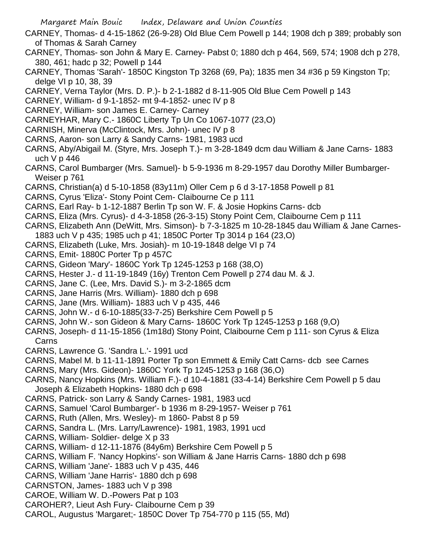- CARNEY, Thomas- d 4-15-1862 (26-9-28) Old Blue Cem Powell p 144; 1908 dch p 389; probably son of Thomas & Sarah Carney
- CARNEY, Thomas- son John & Mary E. Carney- Pabst 0; 1880 dch p 464, 569, 574; 1908 dch p 278, 380, 461; hadc p 32; Powell p 144
- CARNEY, Thomas 'Sarah'- 1850C Kingston Tp 3268 (69, Pa); 1835 men 34 #36 p 59 Kingston Tp; delge VI p 10, 38, 39
- CARNEY, Verna Taylor (Mrs. D. P.)- b 2-1-1882 d 8-11-905 Old Blue Cem Powell p 143
- CARNEY, William- d 9-1-1852- mt 9-4-1852- unec IV p 8
- CARNEY, William- son James E. Carney- Carney
- CARNEYHAR, Mary C.- 1860C Liberty Tp Un Co 1067-1077 (23,O)
- CARNISH, Minerva (McClintock, Mrs. John)- unec IV p 8
- CARNS, Aaron- son Larry & Sandy Carns- 1981, 1983 ucd
- CARNS, Aby/Abigail M. (Styre, Mrs. Joseph T.)- m 3-28-1849 dcm dau William & Jane Carns- 1883 uch V p 446
- CARNS, Carol Bumbarger (Mrs. Samuel)- b 5-9-1936 m 8-29-1957 dau Dorothy Miller Bumbarger-Weiser p 761
- CARNS, Christian(a) d 5-10-1858 (83y11m) Oller Cem p 6 d 3-17-1858 Powell p 81
- CARNS, Cyrus 'Eliza'- Stony Point Cem- Claibourne Ce p 111
- CARNS, Earl Ray- b 1-12-1887 Berlin Tp son W. F. & Josie Hopkins Carns- dcb
- CARNS, Eliza (Mrs. Cyrus)- d 4-3-1858 (26-3-15) Stony Point Cem, Claibourne Cem p 111
- CARNS, Elizabeth Ann (DeWitt, Mrs. Simson)- b 7-3-1825 m 10-28-1845 dau William & Jane Carnes-
- 1883 uch V p 435; 1985 uch p 41; 1850C Porter Tp 3014 p 164 (23,O)
- CARNS, Elizabeth (Luke, Mrs. Josiah)- m 10-19-1848 delge VI p 74
- CARNS, Emit- 1880C Porter Tp p 457C
- CARNS, Gideon 'Mary'- 1860C York Tp 1245-1253 p 168 (38,O)
- CARNS, Hester J.- d 11-19-1849 (16y) Trenton Cem Powell p 274 dau M. & J.
- CARNS, Jane C. (Lee, Mrs. David S.)- m 3-2-1865 dcm
- CARNS, Jane Harris (Mrs. William)- 1880 dch p 698
- CARNS, Jane (Mrs. William)- 1883 uch V p 435, 446
- CARNS, John W.- d 6-10-1885(33-7-25) Berkshire Cem Powell p 5
- CARNS, John W.- son Gideon & Mary Carns- 1860C York Tp 1245-1253 p 168 (9,O)
- CARNS, Joseph- d 11-15-1856 (1m18d) Stony Point, Claibourne Cem p 111- son Cyrus & Eliza Carns
- CARNS, Lawrence G. 'Sandra L.'- 1991 ucd
- CARNS, Mabel M. b 11-11-1891 Porter Tp son Emmett & Emily Catt Carns- dcb see Carnes
- CARNS, Mary (Mrs. Gideon)- 1860C York Tp 1245-1253 p 168 (36,O)
- CARNS, Nancy Hopkins (Mrs. William F.)- d 10-4-1881 (33-4-14) Berkshire Cem Powell p 5 dau Joseph & Elizabeth Hopkins- 1880 dch p 698
- CARNS, Patrick- son Larry & Sandy Carnes- 1981, 1983 ucd
- CARNS, Samuel 'Carol Bumbarger'- b 1936 m 8-29-1957- Weiser p 761
- CARNS, Ruth (Allen, Mrs. Wesley)- m 1860- Pabst 8 p 59
- CARNS, Sandra L. (Mrs. Larry/Lawrence)- 1981, 1983, 1991 ucd
- CARNS, William- Soldier- delge X p 33
- CARNS, William- d 12-11-1876 (84y6m) Berkshire Cem Powell p 5
- CARNS, William F. 'Nancy Hopkins'- son William & Jane Harris Carns- 1880 dch p 698
- CARNS, William 'Jane'- 1883 uch V p 435, 446
- CARNS, William 'Jane Harris'- 1880 dch p 698
- CARNSTON, James- 1883 uch V p 398
- CAROE, William W. D.-Powers Pat p 103
- CAROHER?, Lieut Ash Fury- Claibourne Cem p 39
- CAROL, Augustus 'Margaret;- 1850C Dover Tp 754-770 p 115 (55, Md)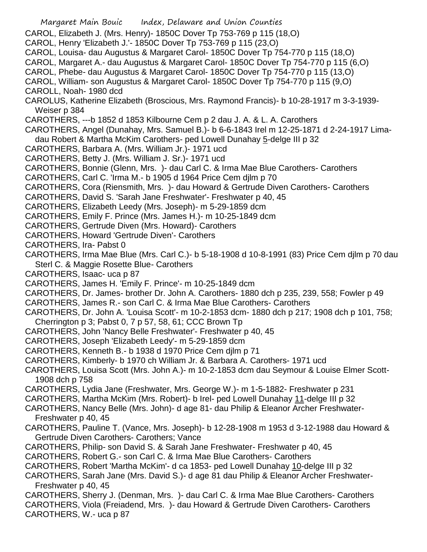Margaret Main Bouic Index, Delaware and Union Counties CAROL, Elizabeth J. (Mrs. Henry)- 1850C Dover Tp 753-769 p 115 (18,O) CAROL, Henry 'Elizabeth J.'- 1850C Dover Tp 753-769 p 115 (23,O) CAROL, Louisa- dau Augustus & Margaret Carol- 1850C Dover Tp 754-770 p 115 (18,O) CAROL, Margaret A.- dau Augustus & Margaret Carol- 1850C Dover Tp 754-770 p 115 (6,O) CAROL, Phebe- dau Augustus & Margaret Carol- 1850C Dover Tp 754-770 p 115 (13,O) CAROL, William- son Augustus & Margaret Carol- 1850C Dover Tp 754-770 p 115 (9,O) CAROLL, Noah- 1980 dcd CAROLUS, Katherine Elizabeth (Broscious, Mrs. Raymond Francis)- b 10-28-1917 m 3-3-1939- Weiser p 384 CAROTHERS, ---b 1852 d 1853 Kilbourne Cem p 2 dau J. A. & L. A. Carothers CAROTHERS, Angel (Dunahay, Mrs. Samuel B.)- b 6-6-1843 Irel m 12-25-1871 d 2-24-1917 Limadau Robert & Martha McKim Carothers- ped Lowell Dunahay 5-delge III p 32 CAROTHERS, Barbara A. (Mrs. William Jr.)- 1971 ucd CAROTHERS, Betty J. (Mrs. William J. Sr.)- 1971 ucd CAROTHERS, Bonnie (Glenn, Mrs. )- dau Carl C. & Irma Mae Blue Carothers- Carothers CAROTHERS, Carl C. 'Irma M.- b 1905 d 1964 Price Cem djlm p 70 CAROTHERS, Cora (Riensmith, Mrs. )- dau Howard & Gertrude Diven Carothers- Carothers CAROTHERS, David S. 'Sarah Jane Freshwater'- Freshwater p 40, 45 CAROTHERS, Elizabeth Leedy (Mrs. Joseph)- m 5-29-1859 dcm CAROTHERS, Emily F. Prince (Mrs. James H.)- m 10-25-1849 dcm CAROTHERS, Gertrude Diven (Mrs. Howard)- Carothers CAROTHERS, Howard 'Gertrude Diven'- Carothers CAROTHERS, Ira- Pabst 0 CAROTHERS, Irma Mae Blue (Mrs. Carl C.)- b 5-18-1908 d 10-8-1991 (83) Price Cem djlm p 70 dau Sterl C. & Maggie Rosette Blue- Carothers CAROTHERS, Isaac- uca p 87 CAROTHERS, James H. 'Emily F. Prince'- m 10-25-1849 dcm CAROTHERS, Dr. James- brother Dr. John A. Carothers- 1880 dch p 235, 239, 558; Fowler p 49 CAROTHERS, James R.- son Carl C. & Irma Mae Blue Carothers- Carothers CAROTHERS, Dr. John A. 'Louisa Scott'- m 10-2-1853 dcm- 1880 dch p 217; 1908 dch p 101, 758; Cherrington p 3; Pabst 0, 7 p 57, 58, 61; CCC Brown Tp CAROTHERS, John 'Nancy Belle Freshwater'- Freshwater p 40, 45 CAROTHERS, Joseph 'Elizabeth Leedy'- m 5-29-1859 dcm CAROTHERS, Kenneth B.- b 1938 d 1970 Price Cem djlm p 71 CAROTHERS, Kimberly- b 1970 ch William Jr. & Barbara A. Carothers- 1971 ucd CAROTHERS, Louisa Scott (Mrs. John A.)- m 10-2-1853 dcm dau Seymour & Louise Elmer Scott-1908 dch p 758 CAROTHERS, Lydia Jane (Freshwater, Mrs. George W.)- m 1-5-1882- Freshwater p 231 CAROTHERS, Martha McKim (Mrs. Robert)- b Irel- ped Lowell Dunahay 11-delge III p 32 CAROTHERS, Nancy Belle (Mrs. John)- d age 81- dau Philip & Eleanor Archer Freshwater-Freshwater p 40, 45 CAROTHERS, Pauline T. (Vance, Mrs. Joseph)- b 12-28-1908 m 1953 d 3-12-1988 dau Howard & Gertrude Diven Carothers- Carothers; Vance CAROTHERS, Philip- son David S. & Sarah Jane Freshwater- Freshwater p 40, 45 CAROTHERS, Robert G.- son Carl C. & Irma Mae Blue Carothers- Carothers CAROTHERS, Robert 'Martha McKim'- d ca 1853- ped Lowell Dunahay 10-delge III p 32 CAROTHERS, Sarah Jane (Mrs. David S.)- d age 81 dau Philip & Eleanor Archer Freshwater-Freshwater p 40, 45 CAROTHERS, Sherry J. (Denman, Mrs. )- dau Carl C. & Irma Mae Blue Carothers- Carothers CAROTHERS, Viola (Freiadend, Mrs. )- dau Howard & Gertrude Diven Carothers- Carothers CAROTHERS, W.- uca p 87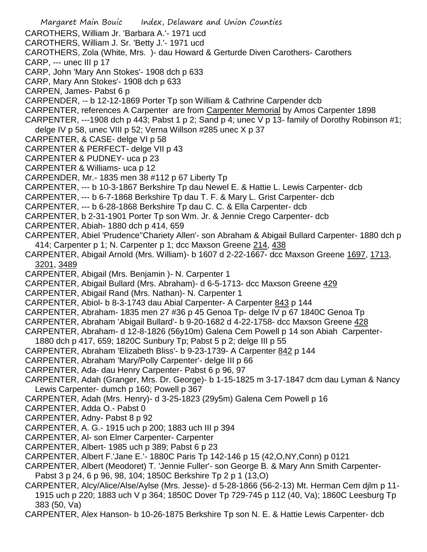Margaret Main Bouic Index, Delaware and Union Counties CAROTHERS, William Jr. 'Barbara A.'- 1971 ucd CAROTHERS, William J. Sr. 'Betty J.'- 1971 ucd CAROTHERS, Zola (White, Mrs. )- dau Howard & Gerturde Diven Carothers- Carothers CARP, --- unec III p 17 CARP, John 'Mary Ann Stokes'- 1908 dch p 633 CARP, Mary Ann Stokes'- 1908 dch p 633 CARPEN, James- Pabst 6 p CARPENDER, -- b 12-12-1869 Porter Tp son William & Cathrine Carpender dcb CARPENTER, references A Carpenter are from Carpenter Memorial by Amos Carpenter 1898 CARPENTER,  $-1908$  dch p 443; Pabst 1 p 2; Sand p 4; unec V p 13- family of Dorothy Robinson #1; delge IV p 58, unec VIII p 52; Verna Willson #285 unec X p 37 CARPENTER, & CASE- delge VI p 58 CARPENTER & PERFECT- delge VII p 43 CARPENTER & PUDNEY- uca p 23 CARPENTER & Williams- uca p 12 CARPENDER, Mr.- 1835 men 38 #112 p 67 Liberty Tp CARPENTER, --- b 10-3-1867 Berkshire Tp dau Newel E. & Hattie L. Lewis Carpenter- dcb CARPENTER, --- b 6-7-1868 Berkshire Tp dau T. F. & Mary L. Grist Carpenter- dcb CARPENTER, --- b 6-28-1868 Berkshire Tp dau C. C. & Ella Carpenter- dcb CARPENTER, b 2-31-1901 Porter Tp son Wm. Jr. & Jennie Crego Carpenter- dcb CARPENTER, Abiah- 1880 dch p 414, 659 CARPENTER, Abiel 'Prudence''Chariety Allen'- son Abraham & Abigail Bullard Carpenter- 1880 dch p 414; Carpenter p 1; N. Carpenter p 1; dcc Maxson Greene 214, 438 CARPENTER, Abigail Arnold (Mrs. William)- b 1607 d 2-22-1667- dcc Maxson Greene 1697, 1713, 3201, 3489 CARPENTER, Abigail (Mrs. Benjamin )- N. Carpenter 1 CARPENTER, Abigail Bullard (Mrs. Abraham) - d 6-5-1713 - dcc Maxson Greene 429 CARPENTER, Abigail Rand (Mrs. Nathan)- N. Carpenter 1 CARPENTER, Abiol- b 8-3-1743 dau Abial Carpenter- A Carpenter 843 p 144 CARPENTER, Abraham- 1835 men 27 #36 p 45 Genoa Tp- delge IV p 67 1840C Genoa Tp CARPENTER, Abraham 'Abigail Bullard'- b 9-20-1682 d 4-22-1758- dcc Maxson Greene 428 CARPENTER, Abraham- d 12-8-1826 (56y10m) Galena Cem Powell p 14 son Abiah Carpenter-1880 dch p 417, 659; 1820C Sunbury Tp; Pabst 5 p 2; delge III p 55 CARPENTER, Abraham 'Elizabeth Bliss'- b 9-23-1739- A Carpenter 842 p 144 CARPENTER, Abraham 'Mary/Polly Carpenter'- delge III p 66 CARPENTER, Ada- dau Henry Carpenter- Pabst 6 p 96, 97 CARPENTER, Adah (Granger, Mrs. Dr. George)- b 1-15-1825 m 3-17-1847 dcm dau Lyman & Nancy Lewis Carpenter- dumch p 160; Powell p 367 CARPENTER, Adah (Mrs. Henry)- d 3-25-1823 (29y5m) Galena Cem Powell p 16 CARPENTER, Adda O.- Pabst 0 CARPENTER, Adny- Pabst 8 p 92 CARPENTER, A. G.- 1915 uch p 200; 1883 uch III p 394 CARPENTER, Al- son Elmer Carpenter- Carpenter CARPENTER, Albert- 1985 uch p 389; Pabst 6 p 23 CARPENTER, Albert F.'Jane E.'- 1880C Paris Tp 142-146 p 15 (42,O,NY,Conn) p 0121 CARPENTER, Albert (Meodoret) T. 'Jennie Fuller'- son George B. & Mary Ann Smith Carpenter-Pabst 3 p 24, 6 p 96, 98, 104; 1850C Berkshire Tp 2 p 1 (13, O) CARPENTER, Alcy/Alice/Alse/Aylse (Mrs. Jesse)- d 5-28-1866 (56-2-13) Mt. Herman Cem djlm p 11- 1915 uch p 220; 1883 uch V p 364; 1850C Dover Tp 729-745 p 112 (40, Va); 1860C Leesburg Tp 383 (50, Va)

CARPENTER, Alex Hanson- b 10-26-1875 Berkshire Tp son N. E. & Hattie Lewis Carpenter- dcb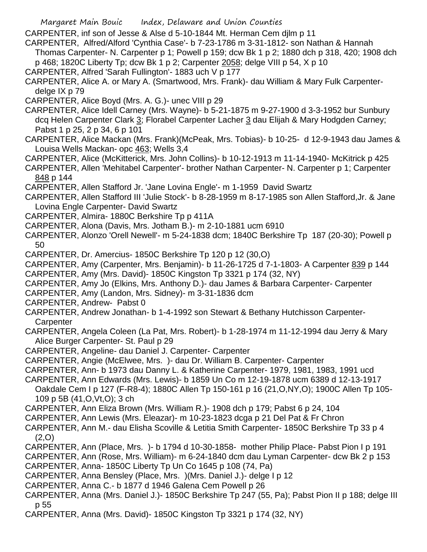CARPENTER, inf son of Jesse & Alse d 5-10-1844 Mt. Herman Cem djlm p 11

CARPENTER, Alfred/Alford 'Cynthia Case'- b 7-23-1786 m 3-31-1812- son Nathan & Hannah Thomas Carpenter- N. Carpenter p 1; Powell p 159; dcw Bk 1 p 2; 1880 dch p 318, 420; 1908 dch p 468; 1820C Liberty Tp; dcw Bk 1 p 2; Carpenter 2058; delge VIII p 54, X p 10

- CARPENTER, Alfred 'Sarah Fullington'- 1883 uch V p 177
- CARPENTER, Alice A. or Mary A. (Smartwood, Mrs. Frank)- dau William & Mary Fulk Carpenterdelge IX p 79

CARPENTER, Alice Boyd (Mrs. A. G.)- unec VIII p 29

- CARPENTER, Alice Idell Carney (Mrs. Wayne)- b 5-21-1875 m 9-27-1900 d 3-3-1952 bur Sunbury dcq Helen Carpenter Clark 3; Florabel Carpenter Lacher 3 dau Elijah & Mary Hodgden Carney; Pabst 1 p 25, 2 p 34, 6 p 101
- CARPENTER, Alice Mackan (Mrs. Frank)(McPeak, Mrs. Tobias)- b 10-25- d 12-9-1943 dau James & Louisa Wells Mackan- opc 463; Wells 3,4
- CARPENTER, Alice (McKitterick, Mrs. John Collins)- b 10-12-1913 m 11-14-1940- McKitrick p 425

CARPENTER, Allen 'Mehitabel Carpenter'- brother Nathan Carpenter- N. Carpenter p 1; Carpenter 848 p 144

CARPENTER, Allen Stafford Jr. 'Jane Lovina Engle'- m 1-1959 David Swartz

- CARPENTER, Allen Stafford III 'Julie Stock'- b 8-28-1959 m 8-17-1985 son Allen Stafford,Jr. & Jane Lovina Engle Carpenter- David Swartz
- CARPENTER, Almira- 1880C Berkshire Tp p 411A
- CARPENTER, Alona (Davis, Mrs. Jotham B.)- m 2-10-1881 ucm 6910
- CARPENTER, Alonzo 'Orell Newell'- m 5-24-1838 dcm; 1840C Berkshire Tp 187 (20-30); Powell p 50
- CARPENTER, Dr. Amercius- 1850C Berkshire Tp 120 p 12 (30,O)
- CARPENTER, Amy (Carpenter, Mrs. Benjamin)- b 11-26-1725 d 7-1-1803- A Carpenter 839 p 144
- CARPENTER, Amy (Mrs. David)- 1850C Kingston Tp 3321 p 174 (32, NY)
- CARPENTER, Amy Jo (Elkins, Mrs. Anthony D.)- dau James & Barbara Carpenter- Carpenter
- CARPENTER, Amy (Landon, Mrs. Sidney)- m 3-31-1836 dcm
- CARPENTER, Andrew- Pabst 0
- CARPENTER, Andrew Jonathan- b 1-4-1992 son Stewart & Bethany Hutchisson Carpenter-**Carpenter**
- CARPENTER, Angela Coleen (La Pat, Mrs. Robert)- b 1-28-1974 m 11-12-1994 dau Jerry & Mary Alice Burger Carpenter- St. Paul p 29
- CARPENTER, Angeline- dau Daniel J. Carpenter- Carpenter

CARPENTER, Angie (McElwee, Mrs. )- dau Dr. William B. Carpenter- Carpenter

- CARPENTER, Ann- b 1973 dau Danny L. & Katherine Carpenter- 1979, 1981, 1983, 1991 ucd
- CARPENTER, Ann Edwards (Mrs. Lewis)- b 1859 Un Co m 12-19-1878 ucm 6389 d 12-13-1917

Oakdale Cem I p 127 (F-R8-4); 1880C Allen Tp 150-161 p 16 (21,O,NY,O); 1900C Allen Tp 105- 109 p 5B (41,O,Vt,O); 3 ch

- CARPENTER, Ann Eliza Brown (Mrs. William R.)- 1908 dch p 179; Pabst 6 p 24, 104
- CARPENTER, Ann Lewis (Mrs. Eleazar)- m 10-23-1823 dcga p 21 Del Pat & Fr Chron
- CARPENTER, Ann M.- dau Elisha Scoville & Letitia Smith Carpenter- 1850C Berkshire Tp 33 p 4  $(2,0)$
- CARPENTER, Ann (Place, Mrs. )- b 1794 d 10-30-1858- mother Philip Place- Pabst Pion I p 191
- CARPENTER, Ann (Rose, Mrs. William)- m 6-24-1840 dcm dau Lyman Carpenter- dcw Bk 2 p 153
- CARPENTER, Anna- 1850C Liberty Tp Un Co 1645 p 108 (74, Pa)
- CARPENTER, Anna Bensley (Place, Mrs. )(Mrs. Daniel J.)- delge I p 12
- CARPENTER, Anna C.- b 1877 d 1946 Galena Cem Powell p 26
- CARPENTER, Anna (Mrs. Daniel J.)- 1850C Berkshire Tp 247 (55, Pa); Pabst Pion II p 188; delge III p 55
- CARPENTER, Anna (Mrs. David)- 1850C Kingston Tp 3321 p 174 (32, NY)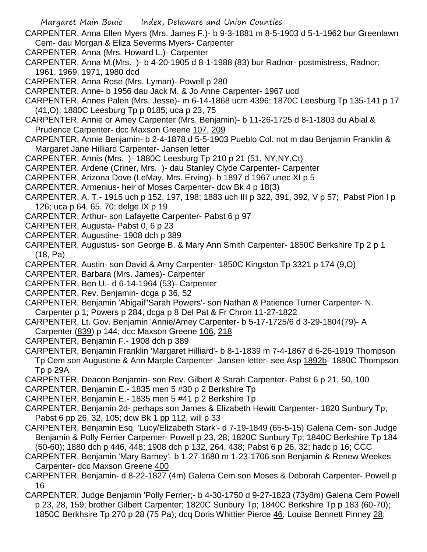- CARPENTER, Anna Ellen Myers (Mrs. James F.)- b 9-3-1881 m 8-5-1903 d 5-1-1962 bur Greenlawn Cem- dau Morgan & Eliza Severms Myers- Carpenter
- CARPENTER, Anna (Mrs. Howard L.)- Carpenter
- CARPENTER, Anna M.(Mrs. )- b 4-20-1905 d 8-1-1988 (83) bur Radnor- postmistress, Radnor; 1961, 1969, 1971, 1980 dcd
- CARPENTER, Anna Rose (Mrs. Lyman)- Powell p 280
- CARPENTER, Anne- b 1956 dau Jack M. & Jo Anne Carpenter- 1967 ucd
- CARPENTER, Annes Palen (Mrs. Jesse)- m 6-14-1868 ucm 4396; 1870C Leesburg Tp 135-141 p 17 (41,O); 1880C Leesburg Tp p 0185; uca p 23, 75
- CARPENTER, Annie or Amey Carpenter (Mrs. Benjamin)- b 11-26-1725 d 8-1-1803 du Abial & Prudence Carpenter- dcc Maxson Greene 107, 209
- CARPENTER, Annie Benjamin- b 2-4-1878 d 5-5-1903 Pueblo Col. not m dau Benjamin Franklin & Margaret Jane Hilliard Carpenter- Jansen letter
- CARPENTER, Annis (Mrs. )- 1880C Leesburg Tp 210 p 21 (51, NY,NY,Ct)
- CARPENTER, Ardene (Criner, Mrs. )- dau Stanley Clyde Carpenter- Carpenter
- CARPENTER, Arizona Dove (LeMay, Mrs. Erving)- b 1897 d 1967 unec XI p 5
- CARPENTER, Armenius- heir of Moses Carpenter- dcw Bk 4 p 18(3)
- CARPENTER, A. T.- 1915 uch p 152, 197, 198; 1883 uch III p 322, 391, 392, V p 57; Pabst Pion I p 126; uca p 64, 65, 70; delge IX p 19
- CARPENTER, Arthur- son Lafayette Carpenter- Pabst 6 p 97
- CARPENTER, Augusta- Pabst 0, 6 p 23
- CARPENTER, Augustine- 1908 dch p 389
- CARPENTER, Augustus- son George B. & Mary Ann Smith Carpenter- 1850C Berkshire Tp 2 p 1 (18, Pa)
- CARPENTER, Austin- son David & Amy Carpenter- 1850C Kingston Tp 3321 p 174 (9,O)
- CARPENTER, Barbara (Mrs. James)- Carpenter
- CARPENTER, Ben U.- d 6-14-1964 (53)- Carpenter
- CARPENTER, Rev. Benjamin- dcga p 36, 52
- CARPENTER, Benjamin 'Abigail''Sarah Powers'- son Nathan & Patience Turner Carpenter- N. Carpenter p 1; Powers p 284; dcga p 8 Del Pat & Fr Chron 11-27-1822
- CARPENTER, Lt. Gov. Benjamin 'Annie/Amey Carpenter- b 5-17-1725/6 d 3-29-1804(79)- A Carpenter (839) p 144; dcc Maxson Greene 106, 218
- CARPENTER, Benjamin F.- 1908 dch p 389
- CARPENTER, Benjamin Franklin 'Margaret Hilliard'- b 8-1-1839 m 7-4-1867 d 6-26-1919 Thompson Tp Cem son Augustine & Ann Marple Carpenter- Jansen letter- see Asp 1892b- 1880C Thompson Tp p 29A
- CARPENTER, Deacon Benjamin- son Rev. Gilbert & Sarah Carpenter- Pabst 6 p 21, 50, 100
- CARPENTER, Benjamin E.- 1835 men 5 #30 p 2 Berkshire Tp
- CARPENTER, Benjamin E.- 1835 men 5 #41 p 2 Berkshire Tp
- CARPENTER, Benjamin 2d- perhaps son James & Elizabeth Hewitt Carpenter- 1820 Sunbury Tp; Pabst 6 pp 26, 32, 105; dcw Bk 1 pp 112, will p 33
- CARPENTER, Benjamin Esq. 'Lucy/Elizabeth Stark'- d 7-19-1849 (65-5-15) Galena Cem- son Judge Benjamin & Polly Ferrier Carpenter- Powell p 23, 28; 1820C Sunbury Tp; 1840C Berkshire Tp 184 (50-60); 1880 dch p 446, 448; 1908 dch p 132, 264, 438; Pabst 6 p 26, 32; hadc p 16; CCC
- CARPENTER, Benjamin 'Mary Barney'- b 1-27-1680 m 1-23-1706 son Benjamin & Renew Weekes Carpenter- dcc Maxson Greene 400
- CARPENTER, Benjamin- d 8-22-1827 (4m) Galena Cem son Moses & Deborah Carpenter- Powell p 16
- CARPENTER, Judge Benjamin 'Polly Ferrier;- b 4-30-1750 d 9-27-1823 (73y8m) Galena Cem Powell p 23, 28, 159; brother Gilbert Carpenter; 1820C Sunbury Tp; 1840C Berkshire Tp p 183 (60-70); 1850C Berkhsire Tp 270 p 28 (75 Pa); dcq Doris Whittier Pierce 46; Louise Bennett Pinney 28;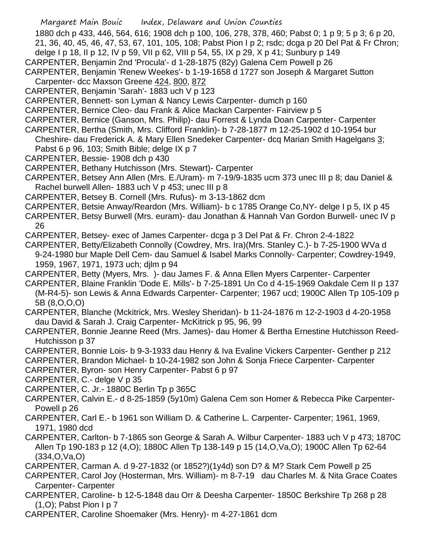1880 dch p 433, 446, 564, 616; 1908 dch p 100, 106, 278, 378, 460; Pabst 0; 1 p 9; 5 p 3; 6 p 20, 21, 36, 40, 45, 46, 47, 53, 67, 101, 105, 108; Pabst Pion I p 2; rsdc; dcga p 20 Del Pat & Fr Chron;

- delge I p 18, II p 12, IV p 59, VII p 62, VIII p 54, 55, IX p 29, X p 41; Sunbury p 149
- CARPENTER, Benjamin 2nd 'Procula'- d 1-28-1875 (82y) Galena Cem Powell p 26
- CARPENTER, Benjamin 'Renew Weekes'- b 1-19-1658 d 1727 son Joseph & Margaret Sutton Carpenter- dcc Maxson Greene 424, 800, 872
- CARPENTER, Benjamin 'Sarah'- 1883 uch V p 123
- CARPENTER, Bennett- son Lyman & Nancy Lewis Carpenter- dumch p 160
- CARPENTER, Bernice Cleo- dau Frank & Alice Mackan Carpenter- Fairview p 5
- CARPENTER, Bernice (Ganson, Mrs. Philip)- dau Forrest & Lynda Doan Carpenter- Carpenter
- CARPENTER, Bertha (Smith, Mrs. Clifford Franklin)- b 7-28-1877 m 12-25-1902 d 10-1954 bur Cheshire- dau Frederick A. & Mary Ellen Snedeker Carpenter- dcq Marian Smith Hagelgans 3;
- Pabst 6 p 96, 103; Smith Bible; delge IX p 7
- CARPENTER, Bessie- 1908 dch p 430
- CARPENTER, Bethany Hutchisson (Mrs. Stewart)- Carpenter
- CARPENTER, Betsey Ann Allen (Mrs. E./Uram)- m 7-19/9-1835 ucm 373 unec III p 8; dau Daniel & Rachel burwell Allen- 1883 uch V p 453; unec III p 8
- CARPENTER, Betsey B. Cornell (Mrs. Rufus)- m 3-13-1862 dcm
- CARPENTER, Betsie Anway/Reardon (Mrs. William)- b c 1785 Orange Co,NY- delge I p 5, IX p 45
- CARPENTER, Betsy Burwell (Mrs. euram)- dau Jonathan & Hannah Van Gordon Burwell- unec IV p 26
- CARPENTER, Betsey- exec of James Carpenter- dcga p 3 Del Pat & Fr. Chron 2-4-1822
- CARPENTER, Betty/Elizabeth Connolly (Cowdrey, Mrs. Ira)(Mrs. Stanley C.)- b 7-25-1900 WVa d 9-24-1980 bur Maple Dell Cem- dau Samuel & Isabel Marks Connolly- Carpenter; Cowdrey-1949, 1959, 1967, 1971, 1973 uch; djlm p 94
- CARPENTER, Betty (Myers, Mrs. )- dau James F. & Anna Ellen Myers Carpenter- Carpenter
- CARPENTER, Blaine Franklin 'Dode E. Mills'- b 7-25-1891 Un Co d 4-15-1969 Oakdale Cem II p 137 (M-R4-5)- son Lewis & Anna Edwards Carpenter- Carpenter; 1967 ucd; 1900C Allen Tp 105-109 p 5B (8,O,O,O)
- CARPENTER, Blanche (Mckitrick, Mrs. Wesley Sheridan)- b 11-24-1876 m 12-2-1903 d 4-20-1958 dau David & Sarah J. Craig Carpenter- McKitrick p 95, 96, 99
- CARPENTER, Bonnie Jeanne Reed (Mrs. James)- dau Homer & Bertha Ernestine Hutchisson Reed-Hutchisson p 37
- CARPENTER, Bonnie Lois- b 9-3-1933 dau Henry & Iva Evaline Vickers Carpenter- Genther p 212
- CARPENTER, Brandon Michael- b 10-24-1982 son John & Sonja Friece Carpenter- Carpenter
- CARPENTER, Byron- son Henry Carpenter- Pabst 6 p 97
- CARPENTER, C.- delge V p 35
- CARPENTER, C. Jr.- 1880C Berlin Tp p 365C
- CARPENTER, Calvin E.- d 8-25-1859 (5y10m) Galena Cem son Homer & Rebecca Pike Carpenter-Powell p 26
- CARPENTER, Carl E.- b 1961 son William D. & Catherine L. Carpenter- Carpenter; 1961, 1969, 1971, 1980 dcd
- CARPENTER, Carlton- b 7-1865 son George & Sarah A. Wilbur Carpenter- 1883 uch V p 473; 1870C Allen Tp 190-183 p 12 (4,O); 1880C Allen Tp 138-149 p 15 (14,O,Va,O); 1900C Allen Tp 62-64 (334,O,Va,O)
- CARPENTER, Carman A. d 9-27-1832 (or 1852?)(1y4d) son D? & M? Stark Cem Powell p 25
- CARPENTER, Carol Joy (Hosterman, Mrs. William)- m 8-7-19 dau Charles M. & Nita Grace Coates Carpenter- Carpenter
- CARPENTER, Caroline- b 12-5-1848 dau Orr & Deesha Carpenter- 1850C Berkshire Tp 268 p 28  $(1,0)$ ; Pabst Pion I p 7
- CARPENTER, Caroline Shoemaker (Mrs. Henry)- m 4-27-1861 dcm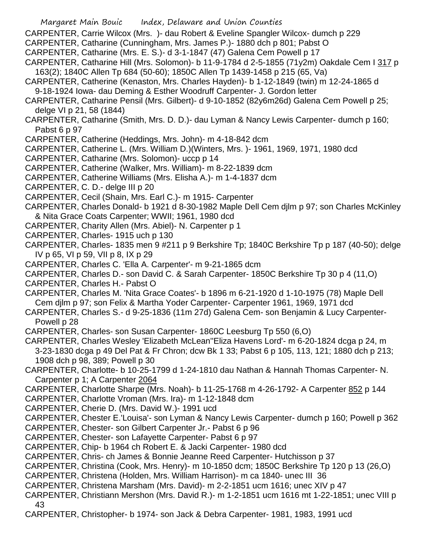- Margaret Main Bouic Index, Delaware and Union Counties
- CARPENTER, Carrie Wilcox (Mrs. )- dau Robert & Eveline Spangler Wilcox- dumch p 229
- CARPENTER, Catharine (Cunningham, Mrs. James P.)- 1880 dch p 801; Pabst O
- CARPENTER, Catharine (Mrs. E. S.)- d 3-1-1847 (47) Galena Cem Powell p 17
- CARPENTER, Catharine Hill (Mrs. Solomon)- b 11-9-1784 d 2-5-1855 (71y2m) Oakdale Cem I 317 p 163(2); 1840C Allen Tp 684 (50-60); 1850C Allen Tp 1439-1458 p 215 (65, Va)
- CARPENTER, Catherine (Kenaston, Mrs. Charles Hayden)- b 1-12-1849 (twin) m 12-24-1865 d 9-18-1924 Iowa- dau Deming & Esther Woodruff Carpenter- J. Gordon letter
- CARPENTER, Catharine Pensil (Mrs. Gilbert)- d 9-10-1852 (82y6m26d) Galena Cem Powell p 25; delge VI p 21, 58 (1844)
- CARPENTER, Catharine (Smith, Mrs. D. D.)- dau Lyman & Nancy Lewis Carpenter- dumch p 160; Pabst 6 p 97
- CARPENTER, Catherine (Heddings, Mrs. John)- m 4-18-842 dcm
- CARPENTER, Catherine L. (Mrs. William D.)(Winters, Mrs. )- 1961, 1969, 1971, 1980 dcd
- CARPENTER, Catharine (Mrs. Solomon)- uccp p 14
- CARPENTER, Catherine (Walker, Mrs. William)- m 8-22-1839 dcm
- CARPENTER, Catherine Williams (Mrs. Elisha A.)- m 1-4-1837 dcm
- CARPENTER, C. D.- delge III p 20
- CARPENTER, Cecil (Shain, Mrs. Earl C.)- m 1915- Carpenter
- CARPENTER, Charles Donald- b 1921 d 8-30-1982 Maple Dell Cem djlm p 97; son Charles McKinley & Nita Grace Coats Carpenter; WWII; 1961, 1980 dcd
- CARPENTER, Charity Allen (Mrs. Abiel)- N. Carpenter p 1
- CARPENTER, Charles- 1915 uch p 130
- CARPENTER, Charles- 1835 men 9 #211 p 9 Berkshire Tp; 1840C Berkshire Tp p 187 (40-50); delge IV p 65, VI p 59, VII p 8, IX p 29
- CARPENTER, Charles C. 'Ella A. Carpenter'- m 9-21-1865 dcm
- CARPENTER, Charles D.- son David C. & Sarah Carpenter- 1850C Berkshire Tp 30 p 4 (11,O)
- CARPENTER, Charles H.- Pabst O
- CARPENTER, Charles M. 'Nita Grace Coates'- b 1896 m 6-21-1920 d 1-10-1975 (78) Maple Dell Cem djlm p 97; son Felix & Martha Yoder Carpenter- Carpenter 1961, 1969, 1971 dcd
- CARPENTER, Charles S.- d 9-25-1836 (11m 27d) Galena Cem- son Benjamin & Lucy Carpenter-Powell p 28
- CARPENTER, Charles- son Susan Carpenter- 1860C Leesburg Tp 550 (6,O)
- CARPENTER, Charles Wesley 'Elizabeth McLean''Eliza Havens Lord'- m 6-20-1824 dcga p 24, m 3-23-1830 dcga p 49 Del Pat & Fr Chron; dcw Bk 1 33; Pabst 6 p 105, 113, 121; 1880 dch p 213; 1908 dch p 98, 389; Powell p 30
- CARPENTER, Charlotte- b 10-25-1799 d 1-24-1810 dau Nathan & Hannah Thomas Carpenter- N. Carpenter p 1; A Carpenter 2064
- CARPENTER, Charlotte Sharpe (Mrs. Noah)- b 11-25-1768 m 4-26-1792- A Carpenter 852 p 144
- CARPENTER, Charlotte Vroman (Mrs. Ira)- m 1-12-1848 dcm
- CARPENTER, Cherie D. (Mrs. David W.)- 1991 ucd
- CARPENTER, Chester E.'Louisa'- son Lyman & Nancy Lewis Carpenter- dumch p 160; Powell p 362
- CARPENTER, Chester- son Gilbert Carpenter Jr.- Pabst 6 p 96
- CARPENTER, Chester- son Lafayette Carpenter- Pabst 6 p 97
- CARPENTER, Chip- b 1964 ch Robert E. & Jacki Carpenter- 1980 dcd
- CARPENTER, Chris- ch James & Bonnie Jeanne Reed Carpenter- Hutchisson p 37
- CARPENTER, Christina (Cook, Mrs. Henry)- m 10-1850 dcm; 1850C Berkshire Tp 120 p 13 (26,O)
- CARPENTER, Christena (Holden, Mrs. William Harrison)- m ca 1840- unec III 36
- CARPENTER, Christena Marsham (Mrs. David)- m 2-2-1851 ucm 1616; unec XIV p 47
- CARPENTER, Christiann Mershon (Mrs. David R.)- m 1-2-1851 ucm 1616 mt 1-22-1851; unec VIII p 43
- CARPENTER, Christopher- b 1974- son Jack & Debra Carpenter- 1981, 1983, 1991 ucd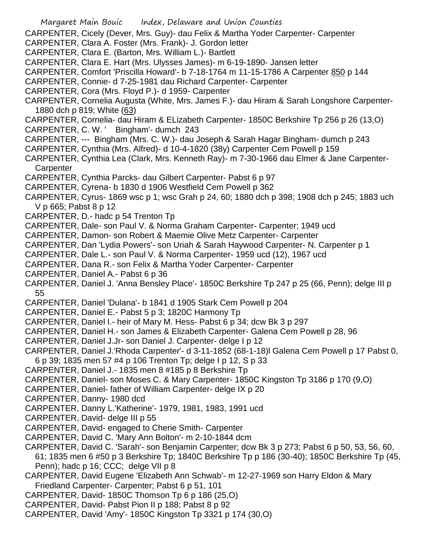- Margaret Main Bouic Index, Delaware and Union Counties CARPENTER, Cicely (Dever, Mrs. Guy)- dau Felix & Martha Yoder Carpenter- Carpenter CARPENTER, Clara A. Foster (Mrs. Frank)- J. Gordon letter CARPENTER, Clara E. (Barton, Mrs. William L.)- Bartlett CARPENTER, Clara E. Hart (Mrs. Ulysses James)- m 6-19-1890- Jansen letter CARPENTER, Comfort 'Priscilla Howard'- b 7-18-1764 m 11-15-1786 A Carpenter 850 p 144 CARPENTER, Connie- d 7-25-1981 dau Richard Carpenter- Carpenter CARPENTER, Cora (Mrs. Floyd P.)- d 1959- Carpenter CARPENTER, Cornelia Augusta (White, Mrs. James F.)- dau Hiram & Sarah Longshore Carpenter-1880 dch p 819; White (63) CARPENTER, Cornelia- dau Hiram & ELizabeth Carpenter- 1850C Berkshire Tp 256 p 26 (13,O) CARPENTER, C. W. ' Bingham'- dumch 243 CARPENTER, --- Bingham (Mrs. C. W.)- dau Joseph & Sarah Hagar Bingham- dumch p 243 CARPENTER, Cynthia (Mrs. Alfred)- d 10-4-1820 (38y) Carpenter Cem Powell p 159 CARPENTER, Cynthia Lea (Clark, Mrs. Kenneth Ray)- m 7-30-1966 dau Elmer & Jane Carpenter-**Carpenter** CARPENTER, Cynthia Parcks- dau Gilbert Carpenter- Pabst 6 p 97 CARPENTER, Cyrena- b 1830 d 1906 Westfield Cem Powell p 362 CARPENTER, Cyrus- 1869 wsc p 1; wsc Grah p 24, 60; 1880 dch p 398; 1908 dch p 245; 1883 uch V p 665; Pabst 8 p 12 CARPENTER, D.- hadc p 54 Trenton Tp CARPENTER, Dale- son Paul V. & Norma Graham Carpenter- Carpenter; 1949 ucd CARPENTER, Damon- son Robert & Maemie Olive Metz Carpenter- Carpenter CARPENTER, Dan 'Lydia Powers'- son Uriah & Sarah Haywood Carpenter- N. Carpenter p 1 CARPENTER, Dale L.- son Paul V. & Norma Carpenter- 1959 ucd (12), 1967 ucd CARPENTER, Dana R.- son Felix & Martha Yoder Carpenter- Carpenter CARPENTER, Daniel A.- Pabst 6 p 36 CARPENTER, Daniel J. 'Anna Bensley Place'- 1850C Berkshire Tp 247 p 25 (66, Penn); delge III p 55 CARPENTER, Daniel 'Dulana'- b 1841 d 1905 Stark Cem Powell p 204 CARPENTER, Daniel E.- Pabst 5 p 3; 1820C Harmony Tp CARPENTER, Daniel I.- heir of Mary M. Hess- Pabst 6 p 34; dcw Bk 3 p 297 CARPENTER, Daniel H.- son James & Elizabeth Carpenter- Galena Cem Powell p 28, 96 CARPENTER, Daniel J.Jr- son Daniel J. Carpenter- delge I p 12 CARPENTER, Daniel J.'Rhoda Carpenter'- d 3-11-1852 (68-1-18)l Galena Cem Powell p 17 Pabst 0, 6 p 39; 1835 men 57 #4 p 106 Trenton Tp; delge I p 12, S p 33 CARPENTER, Daniel J.- 1835 men 8 #185 p 8 Berkshire Tp CARPENTER, Daniel- son Moses C. & Mary Carpenter- 1850C Kingston Tp 3186 p 170 (9,O) CARPENTER, Daniel- father of William Carpenter- delge IX p 20 CARPENTER, Danny- 1980 dcd CARPENTER, Danny L.'Katherine'- 1979, 1981, 1983, 1991 ucd CARPENTER, David- delge III p 55 CARPENTER, David- engaged to Cherie Smith- Carpenter CARPENTER, David C. 'Mary Ann Bolton'- m 2-10-1844 dcm CARPENTER, David C. 'Sarah'- son Benjamin Carpenter; dcw Bk 3 p 273; Pabst 6 p 50, 53, 56, 60, 61; 1835 men 6 #50 p 3 Berkshire Tp; 1840C Berkshire Tp p 186 (30-40); 1850C Berkshire Tp (45, Penn); hadc p 16; CCC; delge VII p 8 CARPENTER, David Eugene 'Elizabeth Ann Schwab'- m 12-27-1969 son Harry Eldon & Mary Friedland Carpenter- Carpenter; Pabst 6 p 51, 101
- CARPENTER, David- 1850C Thomson Tp 6 p 186 (25,O)
- CARPENTER, David- Pabst Pion II p 188; Pabst 8 p 92
- CARPENTER, David 'Amy'- 1850C Kingston Tp 3321 p 174 (30,O)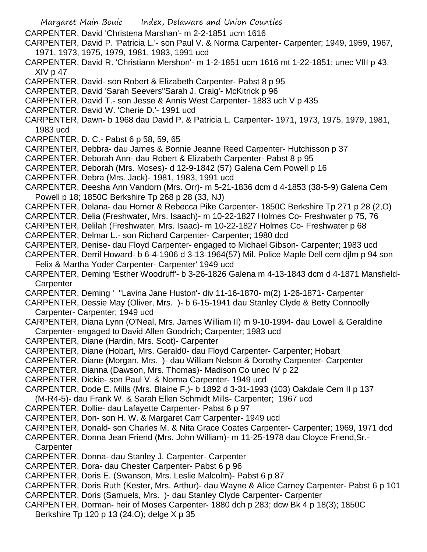Margaret Main Bouic Index, Delaware and Union Counties CARPENTER, David 'Christena Marshan'- m 2-2-1851 ucm 1616 CARPENTER, David P. 'Patricia L.'- son Paul V. & Norma Carpenter- Carpenter; 1949, 1959, 1967, 1971, 1973, 1975, 1979, 1981, 1983, 1991 ucd CARPENTER, David R. 'Christiann Mershon'- m 1-2-1851 ucm 1616 mt 1-22-1851; unec VIII p 43, XIV p 47 CARPENTER, David- son Robert & Elizabeth Carpenter- Pabst 8 p 95 CARPENTER, David 'Sarah Seevers''Sarah J. Craig'- McKitrick p 96 CARPENTER, David T.- son Jesse & Annis West Carpenter- 1883 uch V p 435 CARPENTER, David W. 'Cherie D.'- 1991 ucd CARPENTER, Dawn- b 1968 dau David P. & Patricia L. Carpenter- 1971, 1973, 1975, 1979, 1981, 1983 ucd CARPENTER, D. C.- Pabst 6 p 58, 59, 65 CARPENTER, Debbra- dau James & Bonnie Jeanne Reed Carpenter- Hutchisson p 37 CARPENTER, Deborah Ann- dau Robert & Elizabeth Carpenter- Pabst 8 p 95 CARPENTER, Deborah (Mrs. Moses)- d 12-9-1842 (57) Galena Cem Powell p 16 CARPENTER, Debra (Mrs. Jack)- 1981, 1983, 1991 ucd CARPENTER, Deesha Ann Vandorn (Mrs. Orr)- m 5-21-1836 dcm d 4-1853 (38-5-9) Galena Cem Powell p 18; 1850C Berkshire Tp 268 p 28 (33, NJ) CARPENTER, Delana- dau Homer & Rebecca Pike Carpenter- 1850C Berkshire Tp 271 p 28 (2,O) CARPENTER, Delia (Freshwater, Mrs. Isaach)- m 10-22-1827 Holmes Co- Freshwater p 75, 76 CARPENTER, Delilah (Freshwater, Mrs. Isaac)- m 10-22-1827 Holmes Co- Freshwater p 68 CARPENTER, Delmar L.- son Richard Carpenter- Carpenter; 1980 dcd CARPENTER, Denise- dau Floyd Carpenter- engaged to Michael Gibson- Carpenter; 1983 ucd CARPENTER, Derril Howard- b 6-4-1906 d 3-13-1964(57) Mil. Police Maple Dell cem djlm p 94 son Felix & Martha Yoder Carpenter- Carpenter' 1949 ucd CARPENTER, Deming 'Esther Woodruff'- b 3-26-1826 Galena m 4-13-1843 dcm d 4-1871 Mansfield-**Carpenter** CARPENTER, Deming ' ''Lavina Jane Huston'- div 11-16-1870- m(2) 1-26-1871- Carpenter CARPENTER, Dessie May (Oliver, Mrs. )- b 6-15-1941 dau Stanley Clyde & Betty Connoolly Carpenter- Carpenter; 1949 ucd CARPENTER, Diana Lynn (O'Neal, Mrs. James William II) m 9-10-1994- dau Lowell & Geraldine Carpenter- engaged to David Allen Goodrich; Carpenter; 1983 ucd CARPENTER, Diane (Hardin, Mrs. Scot)- Carpenter CARPENTER, Diane (Hobart, Mrs. Gerald0- dau Floyd Carpenter- Carpenter; Hobart CARPENTER, Diane (Morgan, Mrs. )- dau William Nelson & Dorothy Carpenter- Carpenter CARPENTER, Dianna (Dawson, Mrs. Thomas)- Madison Co unec IV p 22 CARPENTER, Dickie- son Paul V. & Norma Carpenter- 1949 ucd CARPENTER, Dode E. Mills (Mrs. Blaine F.)- b 1892 d 3-31-1993 (103) Oakdale Cem II p 137 (M-R4-5)- dau Frank W. & Sarah Ellen Schmidt Mills- Carpenter; 1967 ucd CARPENTER, Dollie- dau Lafayette Carpenter- Pabst 6 p 97 CARPENTER, Don- son H. W. & Margaret Carr Carpenter- 1949 ucd CARPENTER, Donald- son Charles M. & Nita Grace Coates Carpenter- Carpenter; 1969, 1971 dcd CARPENTER, Donna Jean Friend (Mrs. John William)- m 11-25-1978 dau Cloyce Friend,Sr.- **Carpenter** CARPENTER, Donna- dau Stanley J. Carpenter- Carpenter CARPENTER, Dora- dau Chester Carpenter- Pabst 6 p 96 CARPENTER, Doris E. (Swanson, Mrs. Leslie Malcolm)- Pabst 6 p 87 CARPENTER, Doris Ruth (Kester, Mrs. Arthur)- dau Wayne & Alice Carney Carpenter- Pabst 6 p 101 CARPENTER, Doris (Samuels, Mrs. )- dau Stanley Clyde Carpenter- Carpenter CARPENTER, Dorman- heir of Moses Carpenter- 1880 dch p 283; dcw Bk 4 p 18(3); 1850C Berkshire Tp 120 p 13 (24,O); delge X p 35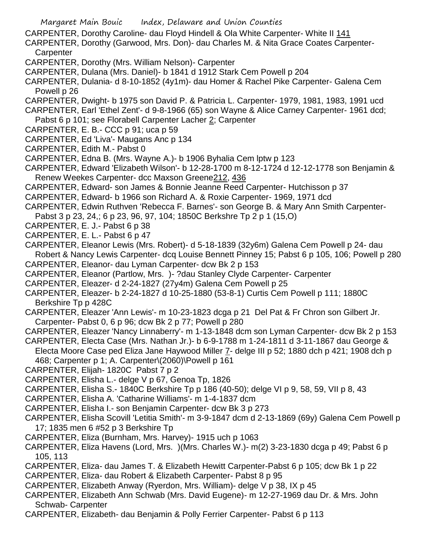- CARPENTER, Dorothy Caroline- dau Floyd Hindell & Ola White Carpenter- White II 141
- CARPENTER, Dorothy (Garwood, Mrs. Don)- dau Charles M. & Nita Grace Coates Carpenter-**Carpenter**
- CARPENTER, Dorothy (Mrs. William Nelson)- Carpenter
- CARPENTER, Dulana (Mrs. Daniel)- b 1841 d 1912 Stark Cem Powell p 204
- CARPENTER, Dulania- d 8-10-1852 (4y1m)- dau Homer & Rachel Pike Carpenter- Galena Cem Powell p 26
- CARPENTER, Dwight- b 1975 son David P. & Patricia L. Carpenter- 1979, 1981, 1983, 1991 ucd
- CARPENTER, Earl 'Ethel Zent'- d 9-8-1966 (65) son Wayne & Alice Carney Carpenter- 1961 dcd;
- Pabst 6 p 101; see Florabell Carpenter Lacher 2; Carpenter
- CARPENTER, E. B.- CCC p 91; uca p 59
- CARPENTER, Ed 'Liva'- Maugans Anc p 134
- CARPENTER, Edith M.- Pabst 0
- CARPENTER, Edna B. (Mrs. Wayne A.)- b 1906 Byhalia Cem lptw p 123
- CARPENTER, Edward 'Elizabeth Wilson'- b 12-28-1700 m 8-12-1724 d 12-12-1778 son Benjamin & Renew Weekes Carpenter- dcc Maxson Greene212, 436
- CARPENTER, Edward- son James & Bonnie Jeanne Reed Carpenter- Hutchisson p 37
- CARPENTER, Edward- b 1966 son Richard A. & Roxie Carpenter- 1969, 1971 dcd
- CARPENTER, Edwin Ruthven 'Rebecca F. Barnes'- son George B. & Mary Ann Smith Carpenter-Pabst 3 p 23, 24,; 6 p 23, 96, 97, 104; 1850C Berkshre Tp 2 p 1 (15,O)
- CARPENTER, E. J.- Pabst 6 p 38
- CARPENTER, E. L.- Pabst 6 p 47
- CARPENTER, Eleanor Lewis (Mrs. Robert)- d 5-18-1839 (32y6m) Galena Cem Powell p 24- dau Robert & Nancy Lewis Carpenter- dcq Louise Bennett Pinney 15; Pabst 6 p 105, 106; Powell p 280
- CARPENTER, Eleanor- dau Lyman Carpenter- dcw Bk 2 p 153
- CARPENTER, Eleanor (Partlow, Mrs. )- ?dau Stanley Clyde Carpenter- Carpenter
- CARPENTER, Eleazer- d 2-24-1827 (27y4m) Galena Cem Powell p 25
- CARPENTER, Eleazer- b 2-24-1827 d 10-25-1880 (53-8-1) Curtis Cem Powell p 111; 1880C Berkshire Tp p 428C
- CARPENTER, Eleazer 'Ann Lewis'- m 10-23-1823 dcga p 21 Del Pat & Fr Chron son Gilbert Jr. Carpenter- Pabst 0, 6 p 96; dcw Bk 2 p 77; Powell p 280
- CARPENTER, Eleazer 'Nancy Linnaberry'- m 1-13-1848 dcm son Lyman Carpenter- dcw Bk 2 p 153
- CARPENTER, Electa Case (Mrs. Nathan Jr.)- b 6-9-1788 m 1-24-1811 d 3-11-1867 dau George & Electa Moore Case ped Eliza Jane Haywood Miller 7- delge III p 52; 1880 dch p 421; 1908 dch p 468; Carpenter p 1; A. Carpenter\(2060)\Powell p 161
- CARPENTER, Elijah- 1820C Pabst 7 p 2
- CARPENTER, Elisha L.- delge V p 67, Genoa Tp, 1826
- CARPENTER, Elisha S.- 1840C Berkshire Tp p 186 (40-50); delge VI p 9, 58, 59, VII p 8, 43
- CARPENTER, Elisha A. 'Catharine Williams'- m 1-4-1837 dcm
- CARPENTER, Elisha I.- son Benjamin Carpenter- dcw Bk 3 p 273
- CARPENTER, Elisha Scovill 'Letitia Smith'- m 3-9-1847 dcm d 2-13-1869 (69y) Galena Cem Powell p 17; 1835 men 6 #52 p 3 Berkshire Tp
- CARPENTER, Eliza (Burnham, Mrs. Harvey)- 1915 uch p 1063
- CARPENTER, Eliza Havens (Lord, Mrs. )(Mrs. Charles W.)- m(2) 3-23-1830 dcga p 49; Pabst 6 p 105, 113
- CARPENTER, Eliza- dau James T. & Elizabeth Hewitt Carpenter-Pabst 6 p 105; dcw Bk 1 p 22
- CARPENTER, Eliza- dau Robert & Elizabeth Carpenter- Pabst 8 p 95
- CARPENTER, Elizabeth Anway (Ryerdon, Mrs. William)- delge V p 38, IX p 45
- CARPENTER, Elizabeth Ann Schwab (Mrs. David Eugene)- m 12-27-1969 dau Dr. & Mrs. John Schwab- Carpenter
- CARPENTER, Elizabeth- dau Benjamin & Polly Ferrier Carpenter- Pabst 6 p 113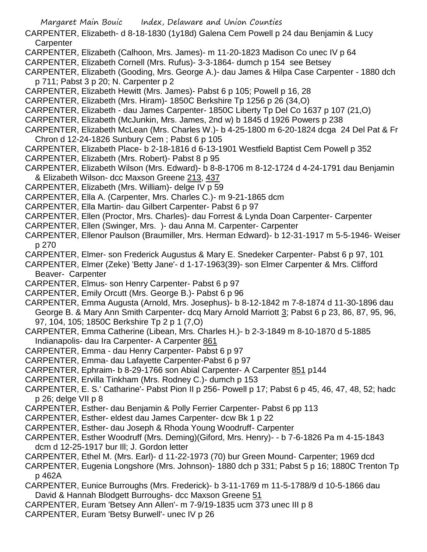- Margaret Main Bouic Index, Delaware and Union Counties
- CARPENTER, Elizabeth- d 8-18-1830 (1y18d) Galena Cem Powell p 24 dau Benjamin & Lucy **Carpenter**
- CARPENTER, Elizabeth (Calhoon, Mrs. James)- m 11-20-1823 Madison Co unec IV p 64
- CARPENTER, Elizabeth Cornell (Mrs. Rufus)- 3-3-1864- dumch p 154 see Betsey
- CARPENTER, Elizabeth (Gooding, Mrs. George A.)- dau James & Hilpa Case Carpenter 1880 dch p 711; Pabst 3 p 20; N. Carpenter p 2
- CARPENTER, Elizabeth Hewitt (Mrs. James)- Pabst 6 p 105; Powell p 16, 28
- CARPENTER, Elizabeth (Mrs. Hiram)- 1850C Berkshire Tp 1256 p 26 (34,O)
- CARPENTER, Elizabeth dau James Carpenter- 1850C Liberty Tp Del Co 1637 p 107 (21,O)
- CARPENTER, Elizabeth (McJunkin, Mrs. James, 2nd w) b 1845 d 1926 Powers p 238
- CARPENTER, Elizabeth McLean (Mrs. Charles W.)- b 4-25-1800 m 6-20-1824 dcga 24 Del Pat & Fr Chron d 12-24-1826 Sunbury Cem ; Pabst 6 p 105
- CARPENTER, Elizabeth Place- b 2-18-1816 d 6-13-1901 Westfield Baptist Cem Powell p 352
- CARPENTER, Elizabeth (Mrs. Robert)- Pabst 8 p 95
- CARPENTER, Elizabeth Wilson (Mrs. Edward)- b 8-8-1706 m 8-12-1724 d 4-24-1791 dau Benjamin & Elizabeth Wilson- dcc Maxson Greene 213, 437
- CARPENTER, Elizabeth (Mrs. William)- delge IV p 59
- CARPENTER, Ella A. (Carpenter, Mrs. Charles C.)- m 9-21-1865 dcm
- CARPENTER, Ella Martin- dau Gilbert Carpenter- Pabst 6 p 97
- CARPENTER, Ellen (Proctor, Mrs. Charles)- dau Forrest & Lynda Doan Carpenter- Carpenter
- CARPENTER, Ellen (Swinger, Mrs. )- dau Anna M. Carpenter- Carpenter
- CARPENTER, Ellenor Paulson (Braumiller, Mrs. Herman Edward)- b 12-31-1917 m 5-5-1946- Weiser p 270
- CARPENTER, Elmer- son Frederick Augustus & Mary E. Snedeker Carpenter- Pabst 6 p 97, 101
- CARPENTER, Elmer (Zeke) 'Betty Jane'- d 1-17-1963(39)- son Elmer Carpenter & Mrs. Clifford Beaver- Carpenter
- CARPENTER, Elmus- son Henry Carpenter- Pabst 6 p 97
- CARPENTER, Emily Orcutt (Mrs. George B.)- Pabst 6 p 96
- CARPENTER, Emma Augusta (Arnold, Mrs. Josephus)- b 8-12-1842 m 7-8-1874 d 11-30-1896 dau George B. & Mary Ann Smith Carpenter- dcq Mary Arnold Marriott 3; Pabst 6 p 23, 86, 87, 95, 96, 97, 104, 105; 1850C Berkshire Tp 2 p 1 (7,O)
- CARPENTER, Emma Catherine (Libean, Mrs. Charles H.)- b 2-3-1849 m 8-10-1870 d 5-1885
- Indianapolis- dau Ira Carpenter- A Carpenter 861
- CARPENTER, Emma dau Henry Carpenter- Pabst 6 p 97
- CARPENTER, Emma- dau Lafayette Carpenter-Pabst 6 p 97
- CARPENTER, Ephraim- b 8-29-1766 son Abial Carpenter- A Carpenter 851 p144
- CARPENTER, Ervilla Tinkham (Mrs. Rodney C.)- dumch p 153
- CARPENTER, E. S.' Catharine'- Pabst Pion II p 256- Powell p 17; Pabst 6 p 45, 46, 47, 48, 52; hadc p 26; delge VII p 8
- CARPENTER, Esther- dau Benjamin & Polly Ferrier Carpenter- Pabst 6 pp 113
- CARPENTER, Esther- eldest dau James Carpenter- dcw Bk 1 p 22
- CARPENTER, Esther- dau Joseph & Rhoda Young Woodruff- Carpenter
- CARPENTER, Esther Woodruff (Mrs. Deming)(Giford, Mrs. Henry)- b 7-6-1826 Pa m 4-15-1843 dcm d 12-25-1917 bur Ill; J. Gordon letter
- CARPENTER, Ethel M. (Mrs. Earl)- d 11-22-1973 (70) bur Green Mound- Carpenter; 1969 dcd
- CARPENTER, Eugenia Longshore (Mrs. Johnson)- 1880 dch p 331; Pabst 5 p 16; 1880C Trenton Tp p 462A
- CARPENTER, Eunice Burroughs (Mrs. Frederick)- b 3-11-1769 m 11-5-1788/9 d 10-5-1866 dau David & Hannah Blodgett Burroughs- dcc Maxson Greene 51
- CARPENTER, Euram 'Betsey Ann Allen'- m 7-9/19-1835 ucm 373 unec III p 8
- CARPENTER, Euram 'Betsy Burwell'- unec IV p 26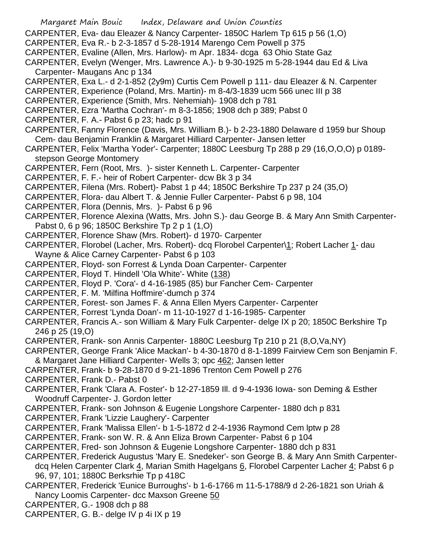- Margaret Main Bouic Index, Delaware and Union Counties
- CARPENTER, Eva- dau Eleazer & Nancy Carpenter- 1850C Harlem Tp 615 p 56 (1,O)
- CARPENTER, Eva R.- b 2-3-1857 d 5-28-1914 Marengo Cem Powell p 375
- CARPENTER, Evaline (Allen, Mrs. Harlow)- m Apr. 1834- dcga 63 Ohio State Gaz
- CARPENTER, Evelyn (Wenger, Mrs. Lawrence A.)- b 9-30-1925 m 5-28-1944 dau Ed & Liva Carpenter- Maugans Anc p 134
- CARPENTER, Exa L.- d 2-1-852 (2y9m) Curtis Cem Powell p 111- dau Eleazer & N. Carpenter
- CARPENTER, Experience (Poland, Mrs. Martin)- m 8-4/3-1839 ucm 566 unec III p 38
- CARPENTER, Experience (Smith, Mrs. Nehemiah)- 1908 dch p 781
- CARPENTER, Ezra 'Martha Cochran'- m 8-3-1856; 1908 dch p 389; Pabst 0
- CARPENTER, F. A.- Pabst 6 p 23; hadc p 91
- CARPENTER, Fanny Florence (Davis, Mrs. William B.)- b 2-23-1880 Delaware d 1959 bur Shoup Cem- dau Benjamin Franklin & Margaret Hilliard Carpenter- Jansen letter
- CARPENTER, Felix 'Martha Yoder'- Carpenter; 1880C Leesburg Tp 288 p 29 (16,O,O,O) p 0189 stepson George Montomery
- CARPENTER, Fern (Root, Mrs. )- sister Kenneth L. Carpenter- Carpenter
- CARPENTER, F. F.- heir of Robert Carpenter- dcw Bk 3 p 34
- CARPENTER, Filena (Mrs. Robert)- Pabst 1 p 44; 1850C Berkshire Tp 237 p 24 (35,O)
- CARPENTER, Flora- dau Albert T. & Jennie Fuller Carpenter- Pabst 6 p 98, 104
- CARPENTER, Flora (Dennis, Mrs. )- Pabst 6 p 96
- CARPENTER, Florence Alexina (Watts, Mrs. John S.)- dau George B. & Mary Ann Smith Carpenter-Pabst 0, 6 p 96; 1850C Berkshire Tp 2 p 1 (1,O)
- CARPENTER, Florence Shaw (Mrs. Robert)- d 1970- Carpenter
- CARPENTER, Florobel (Lacher, Mrs. Robert)- dcq Florobel Carpenter\1; Robert Lacher 1- dau Wayne & Alice Carney Carpenter- Pabst 6 p 103
- CARPENTER, Floyd- son Forrest & Lynda Doan Carpenter- Carpenter
- CARPENTER, Floyd T. Hindell 'Ola White'- White (138)
- CARPENTER, Floyd P. 'Cora'- d 4-16-1985 (85) bur Fancher Cem- Carpenter
- CARPENTER, F. M. 'Milfina Hoffmire'-dumch p 374
- CARPENTER, Forest- son James F. & Anna Ellen Myers Carpenter- Carpenter
- CARPENTER, Forrest 'Lynda Doan'- m 11-10-1927 d 1-16-1985- Carpenter
- CARPENTER, Francis A.- son William & Mary Fulk Carpenter- delge IX p 20; 1850C Berkshire Tp 246 p 25 (19,O)
- CARPENTER, Frank- son Annis Carpenter- 1880C Leesburg Tp 210 p 21 (8,O,Va,NY)
- CARPENTER, George Frank 'Alice Mackan'- b 4-30-1870 d 8-1-1899 Fairview Cem son Benjamin F.
- & Margaret Jane Hilliard Carpenter- Wells 3; opc 462; Jansen letter
- CARPENTER, Frank- b 9-28-1870 d 9-21-1896 Trenton Cem Powell p 276
- CARPENTER, Frank D.- Pabst 0
- CARPENTER, Frank 'Clara A. Foster'- b 12-27-1859 Ill. d 9-4-1936 Iowa- son Deming & Esther Woodruff Carpenter- J. Gordon letter
- CARPENTER, Frank- son Johnson & Eugenie Longshore Carpenter- 1880 dch p 831
- CARPENTER, Frank 'Lizzie Laughery'- Carpenter
- CARPENTER, Frank 'Malissa Ellen'- b 1-5-1872 d 2-4-1936 Raymond Cem lptw p 28
- CARPENTER, Frank- son W. R. & Ann Eliza Brown Carpenter- Pabst 6 p 104
- CARPENTER, Fred- son Johnson & Eugenie Longshore Carpenter- 1880 dch p 831
- CARPENTER, Frederick Augustus 'Mary E. Snedeker'- son George B. & Mary Ann Smith Carpenter-
- dcq Helen Carpenter Clark 4, Marian Smith Hagelgans 6, Florobel Carpenter Lacher 4; Pabst 6 p 96, 97, 101; 1880C Berksrhie Tp p 418C
- CARPENTER, Frederick 'Eunice Burroughs'- b 1-6-1766 m 11-5-1788/9 d 2-26-1821 son Uriah & Nancy Loomis Carpenter- dcc Maxson Greene 50
- CARPENTER, G.- 1908 dch p 88
- CARPENTER, G. B.- delge IV p 4i IX p 19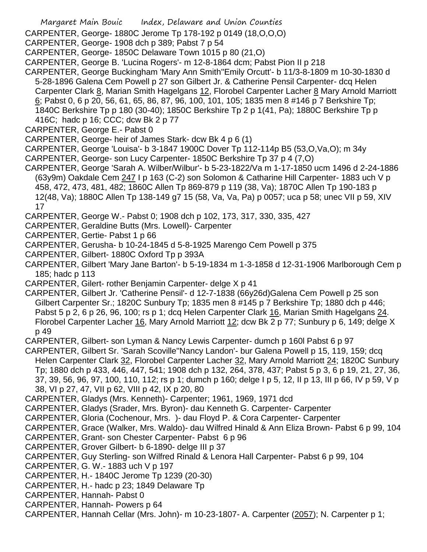CARPENTER, George- 1880C Jerome Tp 178-192 p 0149 (18,O,O,O)

CARPENTER, George- 1908 dch p 389; Pabst 7 p 54

CARPENTER, George- 1850C Delaware Town 1015 p 80 (21,O)

CARPENTER, George B. 'Lucina Rogers'- m 12-8-1864 dcm; Pabst Pion II p 218

- CARPENTER, George Buckingham 'Mary Ann Smith''Emily Orcutt'- b 11/3-8-1809 m 10-30-1830 d 5-28-1896 Galena Cem Powell p 27 son Gilbert Jr. & Catherine Pensil Carpenter- dcq Helen Carpenter Clark 8, Marian Smith Hagelgans 12, Florobel Carpenter Lacher 8 Mary Arnold Marriott 6; Pabst 0, 6 p 20, 56, 61, 65, 86, 87, 96, 100, 101, 105; 1835 men 8 #146 p 7 Berkshire Tp; 1840C Berkshire Tp p 180 (30-40); 1850C Berkshire Tp 2 p 1(41, Pa); 1880C Berkshire Tp p 416C; hadc p 16; CCC; dcw Bk 2 p 77
- CARPENTER, George E.- Pabst 0
- CARPENTER, George- heir of James Stark- dcw Bk 4 p 6 (1)
- CARPENTER, George 'Louisa'- b 3-1847 1900C Dover Tp 112-114p B5 (53,O,Va,O); m 34y
- CARPENTER, George- son Lucy Carpenter- 1850C Berkshire Tp 37 p 4 (7,O)
- CARPENTER, George 'Sarah A. Wilber/Wilbur'- b 5-23-1822/Va m 1-17-1850 ucm 1496 d 2-24-1886 (63y9m) Oakdale Cem 247 I p 163 (C-2) son Solomon & Catharine Hill Carpenter- 1883 uch V p 458, 472, 473, 481, 482; 1860C Allen Tp 869-879 p 119 (38, Va); 1870C Allen Tp 190-183 p 12(48, Va); 1880C Allen Tp 138-149 g7 15 (58, Va, Va, Pa) p 0057; uca p 58; unec VII p 59, XIV 17
- CARPENTER, George W.- Pabst 0; 1908 dch p 102, 173, 317, 330, 335, 427
- CARPENTER, Geraldine Butts (Mrs. Lowell)- Carpenter
- CARPENTER, Gertie- Pabst 1 p 66
- CARPENTER, Gerusha- b 10-24-1845 d 5-8-1925 Marengo Cem Powell p 375
- CARPENTER, Gilbert- 1880C Oxford Tp p 393A
- CARPENTER, Gilbert 'Mary Jane Barton'- b 5-19-1834 m 1-3-1858 d 12-31-1906 Marlborough Cem p 185; hadc p 113
- CARPENTER, Gilert- rother Benjamin Carpenter- delge X p 41
- CARPENTER, Gilbert Jr. 'Catherine Pensil'- d 12-7-1838 (66y26d)Galena Cem Powell p 25 son Gilbert Carpenter Sr.; 1820C Sunbury Tp; 1835 men 8 #145 p 7 Berkshire Tp; 1880 dch p 446; Pabst 5 p 2, 6 p 26, 96, 100; rs p 1; dcq Helen Carpenter Clark 16, Marian Smith Hagelgans 24. Florobel Carpenter Lacher 16, Mary Arnold Marriott 12; dcw Bk 2 p 77; Sunbury p 6, 149; delge X p 49
- CARPENTER, Gilbert- son Lyman & Nancy Lewis Carpenter- dumch p 160l Pabst 6 p 97
- CARPENTER, Gilbert Sr. 'Sarah Scoville''Nancy Landon'- bur Galena Powell p 15, 119, 159; dcq Helen Carpenter Clark 32, Florobel Carpenter Lacher 32, Mary Arnold Marriott 24; 1820C Sunbury Tp; 1880 dch p 433, 446, 447, 541; 1908 dch p 132, 264, 378, 437; Pabst 5 p 3, 6 p 19, 21, 27, 36, 37, 39, 56, 96, 97, 100, 110, 112; rs p 1; dumch p 160; delge I p 5, 12, II p 13, III p 66, IV p 59, V p 38, VI p 27, 47, VII p 62, VIII p 42, IX p 20, 80
- CARPENTER, Gladys (Mrs. Kenneth)- Carpenter; 1961, 1969, 1971 dcd
- CARPENTER, Gladys (Srader, Mrs. Byron)- dau Kenneth G. Carpenter- Carpenter
- CARPENTER, Gloria (Cochenour, Mrs. )- dau Floyd P. & Cora Carpenter- Carpenter
- CARPENTER, Grace (Walker, Mrs. Waldo)- dau Wilfred Hinald & Ann Eliza Brown- Pabst 6 p 99, 104
- CARPENTER, Grant- son Chester Carpenter- Pabst 6 p 96
- CARPENTER, Grover Gilbert- b 6-1890- delge III p 37
- CARPENTER, Guy Sterling- son Wilfred Rinald & Lenora Hall Carpenter- Pabst 6 p 99, 104
- CARPENTER, G. W.- 1883 uch V p 197
- CARPENTER, H.- 1840C Jerome Tp 1239 (20-30)
- CARPENTER, H.- hadc p 23; 1849 Delaware Tp
- CARPENTER, Hannah- Pabst 0
- CARPENTER, Hannah- Powers p 64
- CARPENTER, Hannah Cellar (Mrs. John)- m 10-23-1807- A. Carpenter (2057); N. Carpenter p 1;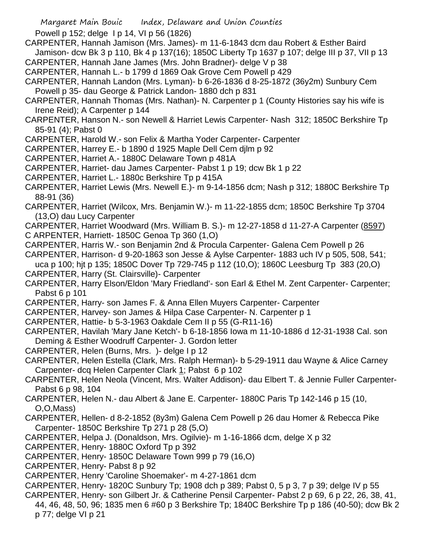Powell p 152; delge I p 14, VI p 56 (1826)

CARPENTER, Hannah Jamison (Mrs. James)- m 11-6-1843 dcm dau Robert & Esther Baird Jamison- dcw Bk 3 p 110, Bk 4 p 137(16); 1850C Liberty Tp 1637 p 107; delge III p 37, VII p 13

CARPENTER, Hannah Jane James (Mrs. John Bradner)- delge V p 38

CARPENTER, Hannah L.- b 1799 d 1869 Oak Grove Cem Powell p 429

CARPENTER, Hannah Landon (Mrs. Lyman)- b 6-26-1836 d 8-25-1872 (36y2m) Sunbury Cem Powell p 35- dau George & Patrick Landon- 1880 dch p 831

CARPENTER, Hannah Thomas (Mrs. Nathan)- N. Carpenter p 1 (County Histories say his wife is Irene Reid); A Carpenter p 144

CARPENTER, Hanson N.- son Newell & Harriet Lewis Carpenter- Nash 312; 1850C Berkshire Tp 85-91 (4); Pabst 0

CARPENTER, Harold W.- son Felix & Martha Yoder Carpenter- Carpenter

CARPENTER, Harrey E.- b 1890 d 1925 Maple Dell Cem djlm p 92

CARPENTER, Harriet A.- 1880C Delaware Town p 481A

CARPENTER, Harriet- dau James Carpenter- Pabst 1 p 19; dcw Bk 1 p 22

CARPENTER, Harriet L.- 1880c Berkshire Tp p 415A

CARPENTER, Harriet Lewis (Mrs. Newell E.)- m 9-14-1856 dcm; Nash p 312; 1880C Berkshire Tp 88-91 (36)

CARPENTER, Harriet (Wilcox, Mrs. Benjamin W.)- m 11-22-1855 dcm; 1850C Berkshire Tp 3704 (13,O) dau Lucy Carpenter

CARPENTER, Harriet Woodward (Mrs. William B. S.)- m 12-27-1858 d 11-27-A Carpenter (8597)

C ARPENTER, Harriett- 1850C Genoa Tp 360 (1,O)

CARPENTER, Harris W.- son Benjamin 2nd & Procula Carpenter- Galena Cem Powell p 26

CARPENTER, Harrison- d 9-20-1863 son Jesse & Aylse Carpenter- 1883 uch IV p 505, 508, 541; uca p 100; hjt p 135; 1850C Dover Tp 729-745 p 112 (10,O); 1860C Leesburg Tp 383 (20,O)

CARPENTER, Harry (St. Clairsville)- Carpenter

CARPENTER, Harry Elson/Eldon 'Mary Friedland'- son Earl & Ethel M. Zent Carpenter- Carpenter; Pabst 6 p 101

CARPENTER, Harry- son James F. & Anna Ellen Muyers Carpenter- Carpenter

CARPENTER, Harvey- son James & Hilpa Case Carpenter- N. Carpenter p 1

CARPENTER, Hattie- b 5-3-1963 Oakdale Cem II p 55 (G-R11-16)

CARPENTER, Havilah 'Mary Jane Ketch'- b 6-18-1856 Iowa m 11-10-1886 d 12-31-1938 Cal. son Deming & Esther Woodruff Carpenter- J. Gordon letter

CARPENTER, Helen (Burns, Mrs. )- delge I p 12

CARPENTER, Helen Estella (Clark, Mrs. Ralph Herman)- b 5-29-1911 dau Wayne & Alice Carney Carpenter- dcq Helen Carpenter Clark 1; Pabst 6 p 102

CARPENTER, Helen Neola (Vincent, Mrs. Walter Addison)- dau Elbert T. & Jennie Fuller Carpenter-Pabst 6 p 98, 104

CARPENTER, Helen N.- dau Albert & Jane E. Carpenter- 1880C Paris Tp 142-146 p 15 (10, O,O,Mass)

- CARPENTER, Hellen- d 8-2-1852 (8y3m) Galena Cem Powell p 26 dau Homer & Rebecca Pike Carpenter- 1850C Berkshire Tp 271 p 28 (5,O)
- CARPENTER, Helpa J. (Donaldson, Mrs. Ogilvie)- m 1-16-1866 dcm, delge X p 32

CARPENTER, Henry- 1880C Oxford Tp p 392

CARPENTER, Henry- 1850C Delaware Town 999 p 79 (16,O)

CARPENTER, Henry- Pabst 8 p 92

CARPENTER, Henry 'Caroline Shoemaker'- m 4-27-1861 dcm

CARPENTER, Henry- 1820C Sunbury Tp; 1908 dch p 389; Pabst 0, 5 p 3, 7 p 39; delge IV p 55

CARPENTER, Henry- son Gilbert Jr. & Catherine Pensil Carpenter- Pabst 2 p 69, 6 p 22, 26, 38, 41, 44, 46, 48, 50, 96; 1835 men 6 #60 p 3 Berkshire Tp; 1840C Berkshire Tp p 186 (40-50); dcw Bk 2 p 77; delge VI p 21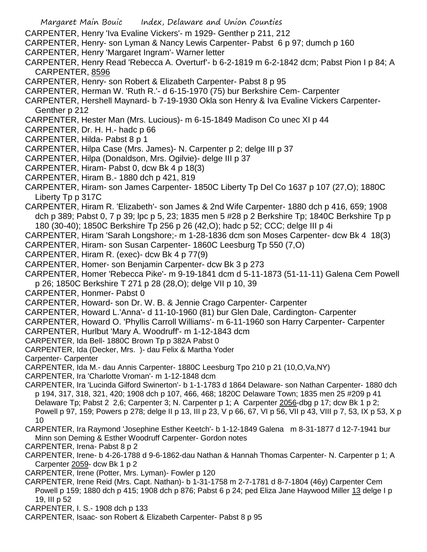- Margaret Main Bouic Index, Delaware and Union Counties
- CARPENTER, Henry 'Iva Evaline Vickers'- m 1929- Genther p 211, 212
- CARPENTER, Henry- son Lyman & Nancy Lewis Carpenter- Pabst 6 p 97; dumch p 160
- CARPENTER, Henry 'Margaret Ingram'- Warner letter
- CARPENTER, Henry Read 'Rebecca A. Overturf'- b 6-2-1819 m 6-2-1842 dcm; Pabst Pion I p 84; A CARPENTER, 8596
- CARPENTER, Henry- son Robert & Elizabeth Carpenter- Pabst 8 p 95
- CARPENTER, Herman W. 'Ruth R.'- d 6-15-1970 (75) bur Berkshire Cem- Carpenter
- CARPENTER, Hershell Maynard- b 7-19-1930 Okla son Henry & Iva Evaline Vickers Carpenter-Genther p 212
- CARPENTER, Hester Man (Mrs. Lucious)- m 6-15-1849 Madison Co unec XI p 44
- CARPENTER, Dr. H. H.- hadc p 66
- CARPENTER, Hilda- Pabst 8 p 1
- CARPENTER, Hilpa Case (Mrs. James)- N. Carpenter p 2; delge III p 37
- CARPENTER, Hilpa (Donaldson, Mrs. Ogilvie)- delge III p 37
- CARPENTER, Hiram- Pabst 0, dcw Bk 4 p 18(3)
- CARPENTER, Hiram B.- 1880 dch p 421, 819
- CARPENTER, Hiram- son James Carpenter- 1850C Liberty Tp Del Co 1637 p 107 (27,O); 1880C Liberty Tp p 317C
- CARPENTER, Hiram R. 'Elizabeth'- son James & 2nd Wife Carpenter- 1880 dch p 416, 659; 1908 dch p 389; Pabst 0, 7 p 39; lpc p 5, 23; 1835 men 5 #28 p 2 Berkshire Tp; 1840C Berkshire Tp p 180 (30-40); 1850C Berkshire Tp 256 p 26 (42,O); hadc p 52; CCC; delge III p 4i
- CARPENTER, Hiram 'Sarah Longshore;- m 1-28-1836 dcm son Moses Carpenter- dcw Bk 4 18(3)
- CARPENTER, Hiram- son Susan Carpenter- 1860C Leesburg Tp 550 (7,O)
- CARPENTER, Hiram R. (exec)- dcw Bk 4 p 77(9)
- CARPENTER, Homer- son Benjamin Carpenter- dcw Bk 3 p 273
- CARPENTER, Homer 'Rebecca Pike'- m 9-19-1841 dcm d 5-11-1873 (51-11-11) Galena Cem Powell p 26; 1850C Berkshire T 271 p 28 (28,O); delge VII p 10, 39
- CARPENTER, Honmer- Pabst 0
- CARPENTER, Howard- son Dr. W. B. & Jennie Crago Carpenter- Carpenter
- CARPENTER, Howard L.'Anna'- d 11-10-1960 (81) bur Glen Dale, Cardington- Carpenter
- CARPENTER, Howard O. 'Phyllis Carroll Williams'- m 6-11-1960 son Harry Carpenter- Carpenter
- CARPENTER, Hurlbut 'Mary A. Woodruff'- m 1-12-1843 dcm
- CARPENTER, Ida Bell- 1880C Brown Tp p 382A Pabst 0
- CARPENTER, Ida (Decker, Mrs. )- dau Felix & Martha Yoder
- Carpenter- Carpenter
- CARPENTER, Ida M.- dau Annis Carpenter- 1880C Leesburg Tpo 210 p 21 (10,O,Va,NY)
- CARPENTER, Ira 'Charlotte Vroman'- m 1-12-1848 dcm
- CARPENTER, Ira 'Lucinda Gilford Swinerton'- b 1-1-1783 d 1864 Delaware- son Nathan Carpenter- 1880 dch p 194, 317, 318, 321, 420; 1908 dch p 107, 466, 468; 1820C Delaware Town; 1835 men 25 #209 p 41 Delaware Tp; Pabst 2 2,6; Carpenter 3; N. Carpenter p 1; A Carpenter 2056-dbg p 17; dcw Bk 1 p 2; Powell p 97, 159; Powers p 278; delge II p 13, III p 23, V p 66, 67, VI p 56, VII p 43, VIII p 7, 53, IX p 53, X p 10
- CARPENTER, Ira Raymond 'Josephine Esther Keetch'- b 1-12-1849 Galena m 8-31-1877 d 12-7-1941 bur Minn son Deming & Esther Woodruff Carpenter- Gordon notes
- CARPENTER, Irena- Pabst 8 p 2
- CARPENTER, Irene- b 4-26-1788 d 9-6-1862-dau Nathan & Hannah Thomas Carpenter- N. Carpenter p 1; A Carpenter 2059- dcw Bk 1 p 2
- CARPENTER, Irene (Potter, Mrs. Lyman)- Fowler p 120
- CARPENTER, Irene Reid (Mrs. Capt. Nathan)- b 1-31-1758 m 2-7-1781 d 8-7-1804 (46y) Carpenter Cem Powell p 159; 1880 dch p 415; 1908 dch p 876; Pabst 6 p 24; ped Eliza Jane Haywood Miller 13 delge I p 19, III p 52
- CARPENTER, I. S.- 1908 dch p 133
- CARPENTER, Isaac- son Robert & Elizabeth Carpenter- Pabst 8 p 95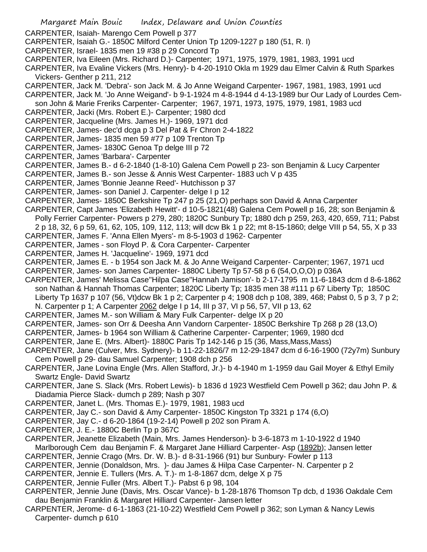- Margaret Main Bouic Index, Delaware and Union Counties CARPENTER, Isaiah- Marengo Cem Powell p 377 CARPENTER, Isaiah G.- 1850C Milford Center Union Tp 1209-1227 p 180 (51, R. I) CARPENTER, Israel- 1835 men 19 #38 p 29 Concord Tp CARPENTER, Iva Eileen (Mrs. Richard D.)- Carpenter; 1971, 1975, 1979, 1981, 1983, 1991 ucd CARPENTER, Iva Evaline Vickers (Mrs. Henry)- b 4-20-1910 Okla m 1929 dau Elmer Calvin & Ruth Sparkes Vickers- Genther p 211, 212 CARPENTER, Jack M. 'Debra'- son Jack M. & Jo Anne Weigand Carpenter- 1967, 1981, 1983, 1991 ucd CARPENTER, Jack M. 'Jo Anne Weigand'- b 9-1-1924 m 4-8-1944 d 4-13-1989 bur Our Lady of Lourdes Cemson John & Marie Freriks Carpenter- Carpenter; 1967, 1971, 1973, 1975, 1979, 1981, 1983 ucd CARPENTER, Jacki (Mrs. Robert E.)- Carpenter; 1980 dcd CARPENTER, Jacqueline (Mrs. James H.)- 1969, 1971 dcd CARPENTER, James- dec'd dcga p 3 Del Pat & Fr Chron 2-4-1822 CARPENTER, James- 1835 men 59 #77 p 109 Trenton Tp CARPENTER, James- 1830C Genoa Tp delge III p 72 CARPENTER, James 'Barbara'- Carpenter CARPENTER, James B.- d 6-2-1840 (1-8-10) Galena Cem Powell p 23- son Benjamin & Lucy Carpenter CARPENTER, James B.- son Jesse & Annis West Carpenter- 1883 uch V p 435 CARPENTER, James 'Bonnie Jeanne Reed'- Hutchisson p 37 CARPENTER, James- son Daniel J. Carpenter- delge I p 12 CARPENTER, James- 1850C Berkshire Tp 247 p 25 (21,O) perhaps son David & Anna Carpenter CARPENTER, Capt James 'Elizabeth Hewitt'- d 10-5-1821(48) Galena Cem Powell p 16, 28; son Benjamin & Polly Ferrier Carpenter- Powers p 279, 280; 1820C Sunbury Tp; 1880 dch p 259, 263, 420, 659, 711; Pabst 2 p 18, 32, 6 p 59, 61, 62, 105, 109, 112, 113; will dcw Bk 1 p 22; mt 8-15-1860; delge VIII p 54, 55, X p 33 CARPENTER, James F. 'Anna Ellen Myers'- m 8-5-1903 d 1962- Carpenter CARPENTER, James - son Floyd P. & Cora Carpenter- Carpenter CARPENTER, James H. 'Jacqueline'- 1969, 1971 dcd CARPENTER, James E. - b 1954 son Jack M. & Jo Anne Weigand Carpenter- Carpenter; 1967, 1971 ucd CARPENTER, James- son James Carpenter- 1880C Liberty Tp 57-58 p 6 (54,O,O,O) p 036A CARPENTER, James' Melissa Case''Hilpa Case''Hannah Jamison'- b 2-17-1795 m 11-6-1843 dcm d 8-6-1862 son Nathan & Hannah Thomas Carpenter; 1820C Liberty Tp; 1835 men 38 #111 p 67 Liberty Tp; 1850C Liberty Tp 1637 p 107 (56, Vt)dcw Bk 1 p 2; Carpenter p 4; 1908 dch p 108, 389, 468; Pabst 0, 5 p 3, 7 p 2; N. Carpenter p 1; A Carpenter 2062 delge I p 14, III p 37, VI p 56, 57, VII p 13, 62 CARPENTER, James M.- son William & Mary Fulk Carpenter- delge IX p 20 CARPENTER, James- son Orr & Deesha Ann Vandorn Carpenter- 1850C Berkshire Tp 268 p 28 (13,O)
- 
- CARPENTER, James- b 1964 son William & Catherine Carpenter- Carpenter; 1969, 1980 dcd
- CARPENTER, Jane E. (Mrs. Albert)- 1880C Paris Tp 142-146 p 15 (36, Mass,Mass,Mass)
- CARPENTER, Jane (Culver, Mrs. Sydnery)- b 11-22-1826/7 m 12-29-1847 dcm d 6-16-1900 (72y7m) Sunbury Cem Powell p 29- dau Samuel Carpenter; 1908 dch p 256
- CARPENTER, Jane Lovina Engle (Mrs. Allen Stafford, Jr.)- b 4-1940 m 1-1959 dau Gail Moyer & Ethyl Emily Swartz Engle- David Swartz
- CARPENTER, Jane S. Slack (Mrs. Robert Lewis)- b 1836 d 1923 Westfield Cem Powell p 362; dau John P. & Diadamia Pierce Slack- dumch p 289; Nash p 307
- CARPENTER, Janet L. (Mrs. Thomas E.)- 1979, 1981, 1983 ucd
- CARPENTER, Jay C.- son David & Amy Carpenter- 1850C Kingston Tp 3321 p 174 (6,O)
- CARPENTER, Jay C.- d 6-20-1864 (19-2-14) Powell p 202 son Piram A.
- CARPENTER, J. E.- 1880C Berlin Tp p 367C
- CARPENTER, Jeanette Elizabeth (Main, Mrs. James Henderson)- b 3-6-1873 m 1-10-1922 d 1940 Marlborough Cem dau Benjamin F. & Margaret Jane Hilliard Carpenter- Asp (1892b); Jansen letter
- CARPENTER, Jennie Crago (Mrs. Dr. W. B.)- d 8-31-1966 (91) bur Sunbury- Fowler p 113
- CARPENTER, Jennie (Donaldson, Mrs. )- dau James & Hilpa Case Carpenter- N. Carpenter p 2
- CARPENTER, Jennie E. Tullers (Mrs. A. T.)- m 1-8-1867 dcm, delge X p 75
- CARPENTER, Jennie Fuller (Mrs. Albert T.)- Pabst 6 p 98, 104
- CARPENTER, Jennie June (Davis, Mrs. Oscar Vance)- b 1-28-1876 Thomson Tp dcb, d 1936 Oakdale Cem dau Benjamin Franklin & Margaret Hilliard Carpenter- Jansen letter
- CARPENTER, Jerome- d 6-1-1863 (21-10-22) Westfield Cem Powell p 362; son Lyman & Nancy Lewis Carpenter- dumch p 610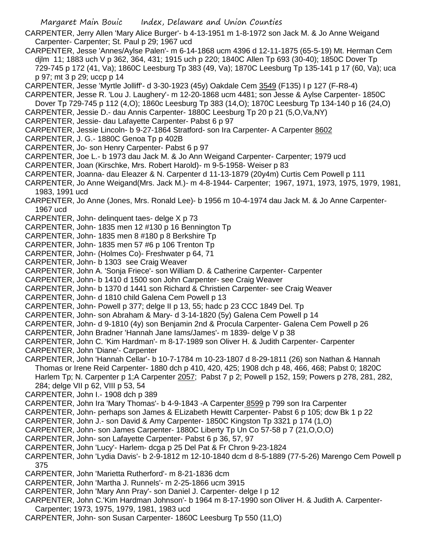- CARPENTER, Jerry Allen 'Mary Alice Burger'- b 4-13-1951 m 1-8-1972 son Jack M. & Jo Anne Weigand Carpenter- Carpenter; St. Paul p 29; 1967 ucd
- CARPENTER, Jesse 'Annes/Aylse Palen'- m 6-14-1868 ucm 4396 d 12-11-1875 (65-5-19) Mt. Herman Cem djlm 11; 1883 uch V p 362, 364, 431; 1915 uch p 220; 1840C Allen Tp 693 (30-40); 1850C Dover Tp 729-745 p 172 (41, Va); 1860C Leesburg Tp 383 (49, Va); 1870C Leesburg Tp 135-141 p 17 (60, Va); uca p 97; mt 3 p 29; uccp p 14
- CARPENTER, Jesse 'Myrtle Jolliff'- d 3-30-1923 (45y) Oakdale Cem 3549 (F135) I p 127 (F-R8-4)
- CARPENTER, Jesse R. 'Lou J. Laughery'- m 12-20-1868 ucm 4481; son Jesse & Aylse Carpenter- 1850C
- Dover Tp 729-745 p 112 (4,O); 1860c Leesburg Tp 383 (14,O); 1870C Leesburg Tp 134-140 p 16 (24,O)
- CARPENTER, Jessie D.- dau Annis Carpenter- 1880C Leesburg Tp 20 p 21 (5,O,Va,NY)
- CARPENTER, Jessie- dau Lafayette Carpenter- Pabst 6 p 97
- CARPENTER, Jessie Lincoln- b 9-27-1864 Stratford- son Ira Carpenter- A Carpenter 8602
- CARPENTER, J. G.- 1880C Genoa Tp p 402B
- CARPENTER, Jo- son Henry Carpenter- Pabst 6 p 97
- CARPENTER, Joe L.- b 1973 dau Jack M. & Jo Ann Weigand Carpenter- Carpenter; 1979 ucd
- CARPENTER, Joan (Kirschke, Mrs. Robert Harold)- m 9-5-1958- Weiser p 83
- CARPENTER, Joanna- dau Eleazer & N. Carpenter d 11-13-1879 (20y4m) Curtis Cem Powell p 111
- CARPENTER, Jo Anne Weigand(Mrs. Jack M.)- m 4-8-1944- Carpenter; 1967, 1971, 1973, 1975, 1979, 1981, 1983, 1991 ucd
- CARPENTER, Jo Anne (Jones, Mrs. Ronald Lee)- b 1956 m 10-4-1974 dau Jack M. & Jo Anne Carpenter-1967 ucd
- CARPENTER, John- delinquent taes- delge X p 73
- CARPENTER, John- 1835 men 12 #130 p 16 Bennington Tp
- CARPENTER, John- 1835 men 8 #180 p 8 Berkshire Tp
- CARPENTER, John- 1835 men 57 #6 p 106 Trenton Tp
- CARPENTER, John- (Holmes Co)- Freshwater p 64, 71
- CARPENTER, John- b 1303 see Craig Weaver
- CARPENTER, John A. 'Sonja Friece'- son William D. & Catherine Carpenter- Carpenter
- CARPENTER, John- b 1410 d 1500 son John Carpenter- see Craig Weaver
- CARPENTER, John- b 1370 d 1441 son Richard & Christien Carpenter- see Craig Weaver
- CARPENTER, John- d 1810 child Galena Cem Powell p 13
- CARPENTER, John- Powell p 377; delge II p 13, 55; hadc p 23 CCC 1849 Del. Tp
- CARPENTER, John- son Abraham & Mary- d 3-14-1820 (5y) Galena Cem Powell p 14
- CARPENTER, John- d 9-1810 (4y) son Benjamin 2nd & Procula Carpenter- Galena Cem Powell p 26
- CARPENTER, John Bradner 'Hannah Jane Iams/James'- m 1839- delge V p 38
- CARPENTER, John C. 'Kim Hardman'- m 8-17-1989 son Oliver H. & Judith Carpenter- Carpenter
- CARPENTER, John 'Diane'- Carpenter
- CARPENTER, John 'Hannah Cellar'- b 10-7-1784 m 10-23-1807 d 8-29-1811 (26) son Nathan & Hannah Thomas or Irene Reid Carpenter- 1880 dch p 410, 420, 425; 1908 dch p 48, 466, 468; Pabst 0; 1820C Harlem Tp; N. Carpenter p 1;A Carpenter 2057; Pabst 7 p 2; Powell p 152, 159; Powers p 278, 281, 282, 284; delge VII p 62, VIII p 53, 54
- CARPENTER, John I.- 1908 dch p 389
- CARPENTER, John Ira 'Mary Thomas'- b 4-9-1843 -A Carpenter 8599 p 799 son Ira Carpenter
- CARPENTER, John- perhaps son James & ELizabeth Hewitt Carpenter- Pabst 6 p 105; dcw Bk 1 p 22
- CARPENTER, John J.- son David & Amy Carpenter- 1850C Kingston Tp 3321 p 174 (1,O)
- CARPENTER, John- son James Carpenter- 1880C Liberty Tp Un Co 57-58 p 7 (21,O,O,O)
- CARPENTER, John- son Lafayette Carpenter- Pabst 6 p 36, 57, 97
- CARPENTER, John 'Lucy'- Harlem- dcga p 25 Del Pat & Fr Chron 9-23-1824
- CARPENTER, John 'Lydia Davis'- b 2-9-1812 m 12-10-1840 dcm d 8-5-1889 (77-5-26) Marengo Cem Powell p 375
- CARPENTER, John 'Marietta Rutherford'- m 8-21-1836 dcm
- CARPENTER, John 'Martha J. Runnels'- m 2-25-1866 ucm 3915
- CARPENTER, John 'Mary Ann Pray'- son Daniel J. Carpenter- delge I p 12
- CARPENTER, John C.'Kim Hardman Johnson'- b 1964 m 8-17-1990 son Oliver H. & Judith A. Carpenter-
- Carpenter; 1973, 1975, 1979, 1981, 1983 ucd
- CARPENTER, John- son Susan Carpenter- 1860C Leesburg Tp 550 (11,O)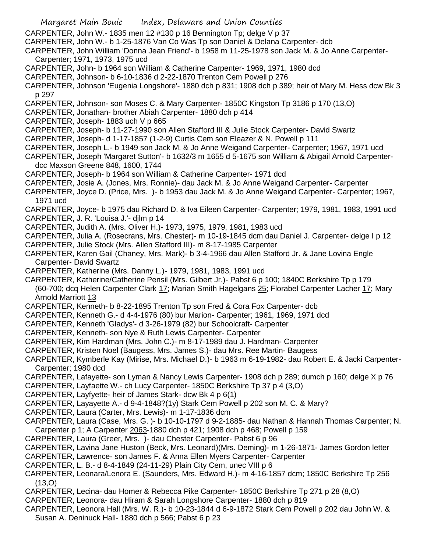- Margaret Main Bouic Index, Delaware and Union Counties CARPENTER, John W.- 1835 men 12 #130 p 16 Bennington Tp; delge V p 37 CARPENTER, John W.- b 1-25-1876 Van Co Was Tp son Daniel & Delana Carpenter- dcb CARPENTER, John William 'Donna Jean Friend'- b 1958 m 11-25-1978 son Jack M. & Jo Anne Carpenter-Carpenter; 1971, 1973, 1975 ucd CARPENTER, John- b 1964 son William & Catherine Carpenter- 1969, 1971, 1980 dcd CARPENTER, Johnson- b 6-10-1836 d 2-22-1870 Trenton Cem Powell p 276 CARPENTER, Johnson 'Eugenia Longshore'- 1880 dch p 831; 1908 dch p 389; heir of Mary M. Hess dcw Bk 3 p 297 CARPENTER, Johnson- son Moses C. & Mary Carpenter- 1850C Kingston Tp 3186 p 170 (13,O) CARPENTER, Jonathan- brother Abiah Carpenter- 1880 dch p 414 CARPENTER, Joseph- 1883 uch V p 665 CARPENTER, Joseph- b 11-27-1990 son Allen Stafford III & Julie Stock Carpenter- David Swartz CARPENTER, Joseph- d 1-17-1857 (1-2-9) Curtis Cem son Eleazer & N. Powell p 111 CARPENTER, Joseph L.- b 1949 son Jack M. & Jo Anne Weigand Carpenter- Carpenter; 1967, 1971 ucd CARPENTER, Joseph 'Margaret Sutton'- b 1632/3 m 1655 d 5-1675 son William & Abigail Arnold Carpenterdcc Maxson Greene 848, 1600, 1744 CARPENTER, Joseph- b 1964 son William & Catherine Carpenter- 1971 dcd CARPENTER, Josie A. (Jones, Mrs. Ronnie)- dau Jack M. & Jo Anne Weigand Carpenter- Carpenter CARPENTER, Joyce D. (Price, Mrs. )- b 1953 dau Jack M. & Jo Anne Weigand Carpenter- Carpenter; 1967, 1971 ucd CARPENTER, Joyce- b 1975 dau Richard D. & Iva Eileen Carpenter- Carpenter; 1979, 1981, 1983, 1991 ucd CARPENTER, J. R. 'Louisa J.'- djlm p 14 CARPENTER, Judith A. (Mrs. Oliver H.)- 1973, 1975, 1979, 1981, 1983 ucd CARPENTER, Julia A. (Rosecrans, Mrs. Chester)- m 10-19-1845 dcm dau Daniel J. Carpenter- delge I p 12 CARPENTER, Julie Stock (Mrs. Allen Stafford III)- m 8-17-1985 Carpenter CARPENTER, Karen Gail (Chaney, Mrs. Mark)- b 3-4-1966 dau Allen Stafford Jr. & Jane Lovina Engle Carpenter- David Swartz CARPENTER, Katherine (Mrs. Danny L.)- 1979, 1981, 1983, 1991 ucd CARPENTER, Katherine/Catherine Pensil (Mrs. Gilbert Jr.)- Pabst 6 p 100; 1840C Berkshire Tp p 179 (60-700; dcq Helen Carpenter Clark 17; Marian Smith Hagelgans 25; Florabel Carpenter Lacher 17; Mary Arnold Marriott 13 CARPENTER, Kenneth- b 8-22-1895 Trenton Tp son Fred & Cora Fox Carpenter- dcb CARPENTER, Kenneth G.- d 4-4-1976 (80) bur Marion- Carpenter; 1961, 1969, 1971 dcd CARPENTER, Kenneth 'Gladys'- d 3-26-1979 (82) bur Schoolcraft- Carpenter CARPENTER, Kenneth- son Nye & Ruth Lewis Carpenter- Carpenter CARPENTER, Kim Hardman (Mrs. John C.)- m 8-17-1989 dau J. Hardman- Carpenter CARPENTER, Kristen Noel (Baugess, Mrs. James S.)- dau Mrs. Ree Martin- Baugess CARPENTER, Kymberle Kay (Mirise, Mrs. Michael D.)- b 1963 m 6-19-1982- dau Robert E. & Jacki Carpenter-Carpenter; 1980 dcd CARPENTER, Lafayette- son Lyman & Nancy Lewis Carpenter- 1908 dch p 289; dumch p 160; delge X p 76 CARPENTER, Layfaette W.- ch Lucy Carpenter- 1850C Berkshire Tp 37 p 4 (3,O) CARPENTER, Layfyette- heir of James Stark- dcw Bk 4 p 6(1) CARPENTER, Layayette A.- d 9-4-1848?(1y) Stark Cem Powell p 202 son M. C. & Mary? CARPENTER, Laura (Carter, Mrs. Lewis)- m 1-17-1836 dcm CARPENTER, Laura (Case, Mrs. G. )- b 10-10-1797 d 9-2-1885- dau Nathan & Hannah Thomas Carpenter; N. Carpenter p 1; A Carpenter 2063-1880 dch p 421; 1908 dch p 468; Powell p 159 CARPENTER, Laura (Greer, Mrs. )- dau Chester Carpenter- Pabst 6 p 96 CARPENTER, Lavina Jane Huston (Beck, Mrs. Leonard)(Mrs. Deming)- m 1-26-1871- James Gordon letter CARPENTER, Lawrence- son James F. & Anna Ellen Myers Carpenter- Carpenter CARPENTER, L. B.- d 8-4-1849 (24-11-29) Plain City Cem, unec VIII p 6 CARPENTER, Leonara/Lenora E. (Saunders, Mrs. Edward H.)- m 4-16-1857 dcm; 1850C Berkshire Tp 256 (13,O)
- CARPENTER, Lecina- dau Homer & Rebecca Pike Carpenter- 1850C Berkshire Tp 271 p 28 (8,O)
- CARPENTER, Leonora- dau Hiram & Sarah Longshore Carpenter- 1880 dch p 819
- CARPENTER, Leonora Hall (Mrs. W. R.)- b 10-23-1844 d 6-9-1872 Stark Cem Powell p 202 dau John W. & Susan A. Deninuck Hall- 1880 dch p 566; Pabst 6 p 23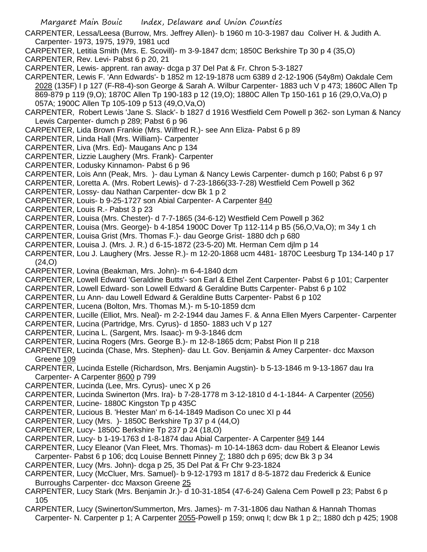- CARPENTER, Lessa/Leesa (Burrow, Mrs. Jeffrey Allen)- b 1960 m 10-3-1987 dau Coliver H. & Judith A. Carpenter- 1973, 1975, 1979, 1981 ucd
- CARPENTER, Letitia Smith (Mrs. E. Scovill)- m 3-9-1847 dcm; 1850C Berkshire Tp 30 p 4 (35,O)
- CARPENTER, Rev. Levi- Pabst 6 p 20, 21
- CARPENTER, Lewis- apprent. ran away- dcga p 37 Del Pat & Fr. Chron 5-3-1827
- CARPENTER, Lewis F. 'Ann Edwards'- b 1852 m 12-19-1878 ucm 6389 d 2-12-1906 (54y8m) Oakdale Cem 2028 (135F) I p 127 (F-R8-4)-son George & Sarah A. Wilbur Carpenter- 1883 uch V p 473; 1860C Allen Tp 869-879 p 119 (9,O); 1870C Allen Tp 190-183 p 12 (19,O); 1880C Allen Tp 150-161 p 16 (29,O,Va,O) p 057A; 1900C Allen Tp 105-109 p 513 (49,O,Va,O)
- CARPENTER, Robert Lewis 'Jane S. Slack'- b 1827 d 1916 Westfield Cem Powell p 362- son Lyman & Nancy Lewis Carpenter- dumch p 289; Pabst 6 p 96
- CARPENTER, Lida Brown Frankie (Mrs. Wilfred R.)- see Ann Eliza- Pabst 6 p 89
- CARPENTER, Linda Hall (Mrs. William)- Carpenter
- CARPENTER, Liva (Mrs. Ed)- Maugans Anc p 134
- CARPENTER, Lizzie Laughery (Mrs. Frank)- Carpenter
- CARPENTER, Lodusky Kinnamon- Pabst 6 p 96
- CARPENTER, Lois Ann (Peak, Mrs. )- dau Lyman & Nancy Lewis Carpenter- dumch p 160; Pabst 6 p 97
- CARPENTER, Loretta A. (Mrs. Robert Lewis)- d 7-23-1866(33-7-28) Westfield Cem Powell p 362
- CARPENTER, Lossy- dau Nathan Carpenter- dcw Bk 1 p 2
- CARPENTER, Louis- b 9-25-1727 son Abial Carpenter- A Carpenter 840
- CARPENTER, Louis R.- Pabst 3 p 23
- CARPENTER, Louisa (Mrs. Chester)- d 7-7-1865 (34-6-12) Westfield Cem Powell p 362
- CARPENTER, Louisa (Mrs. George)- b 4-1854 1900C Dover Tp 112-114 p B5 (56,O,Va,O); m 34y 1 ch
- CARPENTER, Louisa Grist (Mrs. Thomas F.)- dau George Grist- 1880 dch p 680
- CARPENTER, Louisa J. (Mrs. J. R.) d 6-15-1872 (23-5-20) Mt. Herman Cem djlm p 14
- CARPENTER, Lou J. Laughery (Mrs. Jesse R.)- m 12-20-1868 ucm 4481- 1870C Leesburg Tp 134-140 p 17 (24,O)
- CARPENTER, Lovina (Beakman, Mrs. John)- m 6-4-1840 dcm
- CARPENTER, Lowell Edward 'Geraldine Butts'- son Earl & Ethel Zent Carpenter- Pabst 6 p 101; Carpenter
- CARPENTER, Lowell Edward- son Lowell Edward & Geraldine Butts Carpenter- Pabst 6 p 102
- CARPENTER, Lu Ann- dau Lowell Edward & Geraldine Butts Carpenter- Pabst 6 p 102
- CARPENTER, Lucena (Bolton, Mrs. Thomas M.)- m 5-10-1859 dcm
- CARPENTER, Lucille (Elliot, Mrs. Neal)- m 2-2-1944 dau James F. & Anna Ellen Myers Carpenter- Carpenter
- CARPENTER, Lucina (Partridge, Mrs. Cyrus)- d 1850- 1883 uch V p 127
- CARPENTER, Lucina L. (Sargent, Mrs. Isaac)- m 9-3-1846 dcm
- CARPENTER, Lucina Rogers (Mrs. George B.)- m 12-8-1865 dcm; Pabst Pion II p 218
- CARPENTER, Lucinda (Chase, Mrs. Stephen)- dau Lt. Gov. Benjamin & Amey Carpenter- dcc Maxson Greene 109
- CARPENTER, Lucinda Estelle (Richardson, Mrs. Benjamin Augstin)- b 5-13-1846 m 9-13-1867 dau Ira Carpenter- A Carpenter 8600 p 799
- CARPENTER, Lucinda (Lee, Mrs. Cyrus)- unec X p 26
- CARPENTER, Lucinda Swinerton (Mrs. Ira)- b 7-28-1778 m 3-12-1810 d 4-1-1844- A Carpenter (2056)
- CARPENTER, Lucine- 1880C Kingston Tp p 435C
- CARPENTER, Lucious B. 'Hester Man' m 6-14-1849 Madison Co unec XI p 44
- CARPENTER, Lucy (Mrs. )- 1850C Berkshire Tp 37 p 4 (44,O)
- CARPENTER, Lucy- 1850C Berkshire Tp 237 p 24 (18,O)
- CARPENTER, Lucy- b 1-19-1763 d 1-8-1874 dau Abial Carpenter- A Carpenter 849 144
- CARPENTER, Lucy Eleanor (Van Fleet, Mrs. Thomas)- m 10-14-1863 dcm- dau Robert & Eleanor Lewis Carpenter- Pabst 6 p 106; dcq Louise Bennett Pinney  $\overline{I}$ ; 1880 dch p 695; dcw Bk 3 p 34
- CARPENTER, Lucy (Mrs. John)- dcga p 25, 35 Del Pat & Fr Chr 9-23-1824
- CARPENTER, Lucy (McCluer, Mrs. Samuel)- b 9-12-1793 m 1817 d 8-5-1872 dau Frederick & Eunice Burroughs Carpenter- dcc Maxson Greene 25
- CARPENTER, Lucy Stark (Mrs. Benjamin Jr.)- d 10-31-1854 (47-6-24) Galena Cem Powell p 23; Pabst 6 p 105
- CARPENTER, Lucy (Swinerton/Summerton, Mrs. James)- m 7-31-1806 dau Nathan & Hannah Thomas Carpenter- N. Carpenter p 1; A Carpenter 2055-Powell p 159; onwq I; dcw Bk 1 p 2;; 1880 dch p 425; 1908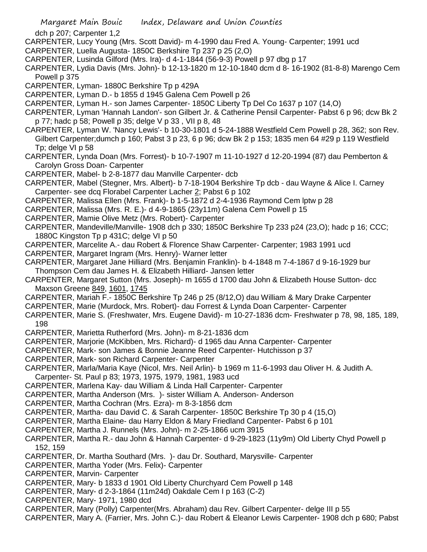dch p 207; Carpenter 1,2

- CARPENTER, Lucy Young (Mrs. Scott David)- m 4-1990 dau Fred A. Young- Carpenter; 1991 ucd
- CARPENTER, Luella Augusta- 1850C Berkshire Tp 237 p 25 (2,O)
- CARPENTER, Lusinda Gilford (Mrs. Ira)- d 4-1-1844 (56-9-3) Powell p 97 dbg p 17
- CARPENTER, Lydia Davis (Mrs. John)- b 12-13-1820 m 12-10-1840 dcm d 8- 16-1902 (81-8-8) Marengo Cem Powell p 375
- CARPENTER, Lyman- 1880C Berkshire Tp p 429A
- CARPENTER, Lyman D.- b 1855 d 1945 Galena Cem Powell p 26
- CARPENTER, Lyman H.- son James Carpenter- 1850C Liberty Tp Del Co 1637 p 107 (14,O)
- CARPENTER, Lyman 'Hannah Landon'- son Gilbert Jr. & Catherine Pensil Carpenter- Pabst 6 p 96; dcw Bk 2 p 77; hadc p 58; Powell p 35; delge V p 33 , VII p 8, 48
- CARPENTER, Lyman W. 'Nancy Lewis'- b 10-30-1801 d 5-24-1888 Westfield Cem Powell p 28, 362; son Rev. Gilbert Carpenter;dumch p 160; Pabst 3 p 23, 6 p 96; dcw Bk 2 p 153; 1835 men 64 #29 p 119 Westfield Tp; delge VI p 58
- CARPENTER, Lynda Doan (Mrs. Forrest)- b 10-7-1907 m 11-10-1927 d 12-20-1994 (87) dau Pemberton & Carolyn Gross Doan- Carpenter
- CARPENTER, Mabel- b 2-8-1877 dau Manville Carpenter- dcb
- CARPENTER, Mabel (Stegner, Mrs. Albert)- b 7-18-1904 Berkshire Tp dcb dau Wayne & Alice I. Carney Carpenter- see dcq Florabel Carpenter Lacher 2; Pabst 6 p 102
- CARPENTER, Malissa Ellen (Mrs. Frank)- b 1-5-1872 d 2-4-1936 Raymond Cem lptw p 28
- CARPENTER, Malissa (Mrs. R. E.)- d 4-9-1865 (23y11m) Galena Cem Powell p 15
- CARPENTER, Mamie Olive Metz (Mrs. Robert)- Carpenter
- CARPENTER, Mandeville/Manville- 1908 dch p 330; 1850C Berkshire Tp 233 p24 (23,O); hadc p 16; CCC; 1880C Kingston Tp p 431C; delge VI p 50
- CARPENTER, Marcelite A.- dau Robert & Florence Shaw Carpenter- Carpenter; 1983 1991 ucd
- CARPENTER, Margaret Ingram (Mrs. Henry)- Warner letter
- CARPENTER, Margaret Jane Hilliard (Mrs. Benjamin Franklin)- b 4-1848 m 7-4-1867 d 9-16-1929 bur Thompson Cem dau James H. & Elizabeth Hilliard- Jansen letter
- CARPENTER, Margaret Sutton (Mrs. Joseph)- m 1655 d 1700 dau John & Elizabeth House Sutton- dcc Maxson Greene 849, 1601, 1745
- CARPENTER, Mariah F.- 1850C Berkshire Tp 246 p 25 (8/12,O) dau William & Mary Drake Carpenter
- CARPENTER, Marie (Murdock, Mrs. Robert)- dau Forrest & Lynda Doan Carpenter- Carpenter
- CARPENTER, Marie S. (Freshwater, Mrs. Eugene David)- m 10-27-1836 dcm- Freshwater p 78, 98, 185, 189, 198
- CARPENTER, Marietta Rutherford (Mrs. John)- m 8-21-1836 dcm
- CARPENTER, Marjorie (McKibben, Mrs. Richard)- d 1965 dau Anna Carpenter- Carpenter
- CARPENTER, Mark- son James & Bonnie Jeanne Reed Carpenter- Hutchisson p 37
- CARPENTER, Mark- son Richard Carpenter- Carpenter
- CARPENTER, Marla/Maria Kaye (Nicol, Mrs. Neil Arlin)- b 1969 m 11-6-1993 dau Oliver H. & Judith A.
- Carpenter- St. Paul p 83; 1973, 1975, 1979, 1981, 1983 ucd
- CARPENTER, Marlena Kay- dau William & Linda Hall Carpenter- Carpenter
- CARPENTER, Martha Anderson (Mrs. )- sister William A. Anderson- Anderson
- CARPENTER, Martha Cochran (Mrs. Ezra)- m 8-3-1856 dcm
- CARPENTER, Martha- dau David C. & Sarah Carpenter- 1850C Berkshire Tp 30 p 4 (15,O)
- CARPENTER, Martha Elaine- dau Harry Eldon & Mary Friedland Carpenter- Pabst 6 p 101
- CARPENTER, Martha J. Runnels (Mrs. John)- m 2-25-1866 ucm 3915
- CARPENTER, Martha R.- dau John & Hannah Carpenter- d 9-29-1823 (11y9m) Old Liberty Chyd Powell p 152, 159
- CARPENTER, Dr. Martha Southard (Mrs. )- dau Dr. Southard, Marysville- Carpenter
- CARPENTER, Martha Yoder (Mrs. Felix)- Carpenter
- CARPENTER, Marvin- Carpenter
- CARPENTER, Mary- b 1833 d 1901 Old Liberty Churchyard Cem Powell p 148
- CARPENTER, Mary- d 2-3-1864 (11m24d) Oakdale Cem I p 163 (C-2)
- CARPENTER, Mary- 1971, 1980 dcd
- CARPENTER, Mary (Polly) Carpenter(Mrs. Abraham) dau Rev. Gilbert Carpenter- delge III p 55
- CARPENTER, Mary A. (Farrier, Mrs. John C.)- dau Robert & Eleanor Lewis Carpenter- 1908 dch p 680; Pabst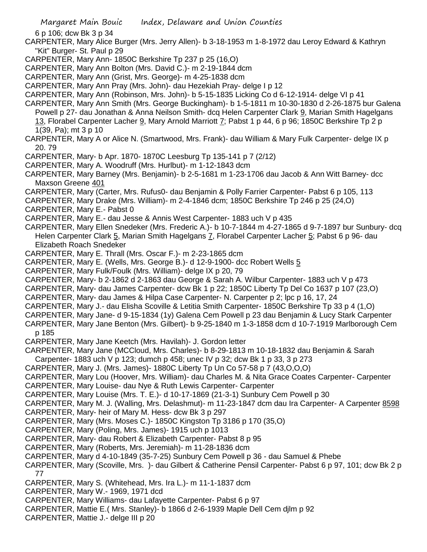6 p 106; dcw Bk 3 p 34

CARPENTER, Mary Alice Burger (Mrs. Jerry Allen)- b 3-18-1953 m 1-8-1972 dau Leroy Edward & Kathryn "Kit" Burger- St. Paul p 29

- CARPENTER, Mary Ann- 1850C Berkshire Tp 237 p 25 (16,O)
- CARPENTER, Mary Ann Bolton (Mrs. David C.)- m 2-19-1844 dcm
- CARPENTER, Mary Ann (Grist, Mrs. George)- m 4-25-1838 dcm
- CARPENTER, Mary Ann Pray (Mrs. John)- dau Hezekiah Pray- delge I p 12
- CARPENTER, Mary Ann (Robinson, Mrs. John)- b 5-15-1835 Licking Co d 6-12-1914- delge VI p 41
- CARPENTER, Mary Ann Smith (Mrs. George Buckingham)- b 1-5-1811 m 10-30-1830 d 2-26-1875 bur Galena Powell p 27- dau Jonathan & Anna Neilson Smith- dcq Helen Carpenter Clark 9, Marian Smith Hagelgans 13, Florabel Carpenter Lacher 9, Mary Arnold Marriott 7; Pabst 1 p 44, 6 p 96; 1850C Berkshire Tp 2 p 1(39, Pa); mt 3 p 10
- CARPENTER, Mary A or Alice N. (Smartwood, Mrs. Frank)- dau William & Mary Fulk Carpenter- delge IX p 20. 79
- CARPENTER, Mary- b Apr. 1870- 1870C Leesburg Tp 135-141 p 7 (2/12)
- CARPENTER, Mary A. Woodruff (Mrs. Hurlbut)- m 1-12-1843 dcm
- CARPENTER, Mary Barney (Mrs. Benjamin)- b 2-5-1681 m 1-23-1706 dau Jacob & Ann Witt Barney- dcc Maxson Greene 401
- CARPENTER, Mary (Carter, Mrs. Rufus0- dau Benjamin & Polly Farrier Carpenter- Pabst 6 p 105, 113
- CARPENTER, Mary Drake (Mrs. William)- m 2-4-1846 dcm; 1850C Berkshire Tp 246 p 25 (24,O)
- CARPENTER, Mary E.- Pabst 0
- CARPENTER, Mary E.- dau Jesse & Annis West Carpenter- 1883 uch V p 435
- CARPENTER, Mary Ellen Snedeker (Mrs. Frederic A.)- b 10-7-1844 m 4-27-1865 d 9-7-1897 bur Sunbury- dcq Helen Carpenter Clark 5, Marian Smith Hagelgans 7, Florabel Carpenter Lacher 5; Pabst 6 p 96- dau Elizabeth Roach Snedeker
- CARPENTER, Mary E. Thrall (Mrs. Oscar F.)- m 2-23-1865 dcm
- CARPENTER, Mary E. (Wells, Mrs. George B.)- d 12-9-1900- dcc Robert Wells 5
- CARPENTER, Mary Fulk/Foulk (Mrs. William)- delge IX p 20, 79
- CARPENTER, Mary- b 2-1862 d 2-1863 dau George & Sarah A. Wilbur Carpenter- 1883 uch V p 473
- CARPENTER, Mary- dau James Carpenter- dcw Bk 1 p 22; 1850C Liberty Tp Del Co 1637 p 107 (23,O)
- CARPENTER, Mary- dau James & Hilpa Case Carpenter- N. Carpenter p 2; lpc p 16, 17, 24
- CARPENTER, Mary J.- dau Elisha Scoville & Letitia Smith Carpenter- 1850C Berkshire Tp 33 p 4 (1,O)
- CARPENTER, Mary Jane- d 9-15-1834 (1y) Galena Cem Powell p 23 dau Benjamin & Lucy Stark Carpenter
- CARPENTER, Mary Jane Benton (Mrs. Gilbert)- b 9-25-1840 m 1-3-1858 dcm d 10-7-1919 Marlborough Cem p 185
- CARPENTER, Mary Jane Keetch (Mrs. Havilah)- J. Gordon letter
- CARPENTER, Mary Jane (MCCloud, Mrs. Charles)- b 8-29-1813 m 10-18-1832 dau Benjamin & Sarah Carpenter- 1883 uch V p 123; dumch p 458; unec IV p 32; dcw Bk 1 p 33, 3 p 273
- CARPENTER, Mary J. (Mrs. James)- 1880C Liberty Tp Un Co 57-58 p 7 (43,O,O,O)
- CARPENTER, Mary Lou (Hoover, Mrs. William)- dau Charles M. & Nita Grace Coates Carpenter- Carpenter
- CARPENTER, Mary Louise- dau Nye & Ruth Lewis Carpenter- Carpenter
- CARPENTER, Mary Louise (Mrs. T. E.)- d 10-17-1869 (21-3-1) Sunbury Cem Powell p 30
- CARPENTER, Mary M. J. (Walling, Mrs. Delashmut)- m 11-23-1847 dcm dau Ira Carpenter- A Carpenter 8598
- CARPENTER, Mary- heir of Mary M. Hess- dcw Bk 3 p 297
- CARPENTER, Mary (Mrs. Moses C.)- 1850C Kingston Tp 3186 p 170 (35,O)
- CARPENTER, Mary (Poling, Mrs. James)- 1915 uch p 1013
- CARPENTER, Mary- dau Robert & Elizabeth Carpenter- Pabst 8 p 95
- CARPENTER, Mary (Roberts, Mrs. Jeremiah)- m 11-28-1836 dcm
- CARPENTER, Mary d 4-10-1849 (35-7-25) Sunbury Cem Powell p 36 dau Samuel & Phebe
- CARPENTER, Mary (Scoville, Mrs. )- dau Gilbert & Catherine Pensil Carpenter- Pabst 6 p 97, 101; dcw Bk 2 p 77
- CARPENTER, Mary S. (Whitehead, Mrs. Ira L.)- m 11-1-1837 dcm
- CARPENTER, Mary W.- 1969, 1971 dcd
- CARPENTER, Mary Williams- dau Lafayette Carpenter- Pabst 6 p 97
- CARPENTER, Mattie E.( Mrs. Stanley)- b 1866 d 2-6-1939 Maple Dell Cem djlm p 92
- CARPENTER, Mattie J.- delge III p 20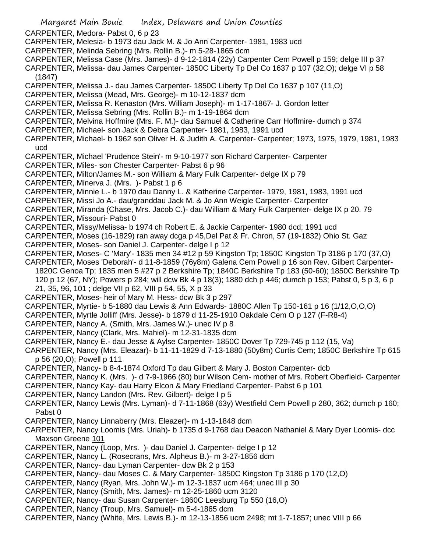- Margaret Main Bouic Index, Delaware and Union Counties CARPENTER, Medora- Pabst 0, 6 p 23 CARPENTER, Melesia- b 1973 dau Jack M. & Jo Ann Carpenter- 1981, 1983 ucd CARPENTER, Melinda Sebring (Mrs. Rollin B.)- m 5-28-1865 dcm CARPENTER, Melissa Case (Mrs. James)- d 9-12-1814 (22y) Carpenter Cem Powell p 159; delge III p 37 CARPENTER, Melissa- dau James Carpenter- 1850C Liberty Tp Del Co 1637 p 107 (32,O); delge VI p 58 (1847) CARPENTER, Melissa J.- dau James Carpenter- 1850C Liberty Tp Del Co 1637 p 107 (11,O) CARPENTER, Melissa (Mead, Mrs. George)- m 10-12-1837 dcm CARPENTER, Melissa R. Kenaston (Mrs. William Joseph)- m 1-17-1867- J. Gordon letter CARPENTER, Melissa Sebring (Mrs. Rollin B.)- m 1-19-1864 dcm CARPENTER, Melvina Hoffmire (Mrs. F. M.)- dau Samuel & Catherine Carr Hoffmire- dumch p 374 CARPENTER, Michael- son Jack & Debra Carpenter- 1981, 1983, 1991 ucd CARPENTER, Michael- b 1962 son Oliver H. & Judith A. Carpenter- Carpenter; 1973, 1975, 1979, 1981, 1983 ucd CARPENTER, Michael 'Prudence Stein'- m 9-10-1977 son Richard Carpenter- Carpenter CARPENTER, Miles- son Chester Carpenter- Pabst 6 p 96 CARPENTER, Milton/James M.- son William & Mary Fulk Carpenter- delge IX p 79 CARPENTER, Minerva J. (Mrs. )- Pabst 1 p 6 CARPENTER, Minnie L.- b 1970 dau Danny L. & Katherine Carpenter- 1979, 1981, 1983, 1991 ucd CARPENTER, Missi Jo A.- dau/granddau Jack M. & Jo Ann Weigle Carpenter- Carpenter CARPENTER, Miranda (Chase, Mrs. Jacob C.)- dau William & Mary Fulk Carpenter- delge IX p 20. 79 CARPENTER, Missouri- Pabst 0 CARPENTER, Missy/Melissa- b 1974 ch Robert E. & Jackie Carpenter- 1980 dcd; 1991 ucd CARPENTER, Moses (16-1829) ran away dcga p 45,Del Pat & Fr. Chron, 57 (19-1832) Ohio St. Gaz CARPENTER, Moses- son Daniel J. Carpenter- delge I p 12 CARPENTER, Moses- C 'Mary'- 1835 men 34 #12 p 59 Kingston Tp; 1850C Kingston Tp 3186 p 170 (37,O) CARPENTER, Moses 'Deborah'- d 11-8-1859 (76y8m) Galena Cem Powell p 16 son Rev. Gilbert Carpenter-1820C Genoa Tp; 1835 men 5 #27 p 2 Berkshire Tp; 1840C Berkshire Tp 183 (50-60); 1850C Berkshire Tp 120 p 12 (67, NY); Powers p 284; will dcw Bk 4 p 18(3); 1880 dch p 446; dumch p 153; Pabst 0, 5 p 3, 6 p 21, 35, 96, 101 ; delge VII p 62, VIII p 54, 55, X p 33 CARPENTER, Moses- heir of Mary M. Hess- dcw Bk 3 p 297 CARPENTER, Myrtie- b 5-1880 dau Lewis & Ann Edwards- 1880C Allen Tp 150-161 p 16 (1/12,O,O,O) CARPENTER, Myrtle Jolliff (Mrs. Jesse)- b 1879 d 11-25-1910 Oakdale Cem O p 127 (F-R8-4) CARPENTER, Nancy A. (Smith, Mrs. James W.)- unec IV p 8 CARPENTER, Nancy (Clark, Mrs. Mahiel)- m 12-31-1835 dcm CARPENTER, Nancy E.- dau Jesse & Aylse Carpenter- 1850C Dover Tp 729-745 p 112 (15, Va) CARPENTER, Nancy (Mrs. Eleazar)- b 11-11-1829 d 7-13-1880 (50y8m) Curtis Cem; 1850C Berkshire Tp 615 p 56 (20,O); Powell p 111 CARPENTER, Nancy- b 8-4-1874 Oxford Tp dau Gilbert & Mary J. Boston Carpenter- dcb CARPENTER, Nancy K. (Mrs. )- d 7-9-1966 (80) bur Wilson Cem- mother of Mrs. Robert Oberfield- Carpenter CARPENTER, Nancy Kay- dau Harry Elcon & Mary Friedland Carpenter- Pabst 6 p 101 CARPENTER, Nancy Landon (Mrs. Rev. Gilbert)- delge I p 5 CARPENTER, Nancy Lewis (Mrs. Lyman)- d 7-11-1868 (63y) Westfield Cem Powell p 280, 362; dumch p 160; Pabst 0 CARPENTER, Nancy Linnaberry (Mrs. Eleazer)- m 1-13-1848 dcm CARPENTER, Nancy Loomis (Mrs. Uriah)- b 1735 d 9-1768 dau Deacon Nathaniel & Mary Dyer Loomis- dcc Maxson Greene 101 CARPENTER, Nancy (Loop, Mrs. )- dau Daniel J. Carpenter- delge I p 12 CARPENTER, Nancy L. (Rosecrans, Mrs. Alpheus B.)- m 3-27-1856 dcm CARPENTER, Nancy- dau Lyman Carpenter- dcw Bk 2 p 153 CARPENTER, Nancy- dau Moses C. & Mary Carpenter- 1850C Kingston Tp 3186 p 170 (12,O) CARPENTER, Nancy (Ryan, Mrs. John W.)- m 12-3-1837 ucm 464; unec III p 30 CARPENTER, Nancy (Smith, Mrs. James)- m 12-25-1860 ucm 3120 CARPENTER, Nancy- dau Susan Carpenter- 1860C Leesburg Tp 550 (16,O) CARPENTER, Nancy (Troup, Mrs. Samuel)- m 5-4-1865 dcm
- CARPENTER, Nancy (White, Mrs. Lewis B.)- m 12-13-1856 ucm 2498; mt 1-7-1857; unec VIII p 66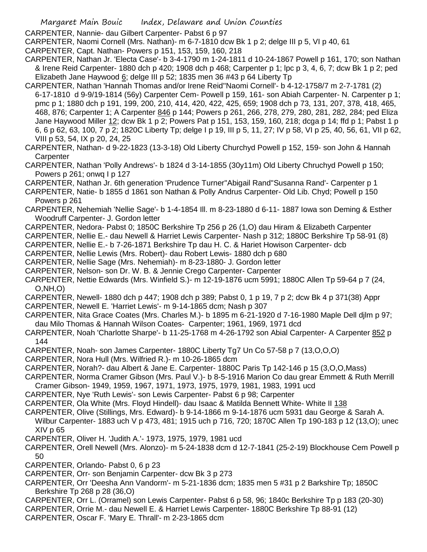CARPENTER, Nannie- dau Gilbert Carpenter- Pabst 6 p 97

CARPENTER, Naomi Cornell (Mrs. Nathan)- m 6-7-1810 dcw Bk 1 p 2; delge III p 5, VI p 40, 61

CARPENTER, Capt. Nathan- Powers p 151, 153, 159, 160, 218

CARPENTER, Nathan Jr. 'Electa Case'- b 3-4-1790 m 1-24-1811 d 10-24-1867 Powell p 161, 170; son Nathan & Irene Reid Carpenter- 1880 dch p 420; 1908 dch p 468; Carpenter p 1; lpc p 3, 4, 6, 7; dcw Bk 1 p 2; ped Elizabeth Jane Haywood 6; delge III p 52; 1835 men 36 #43 p 64 Liberty Tp

CARPENTER, Nathan 'Hannah Thomas and/or Irene Reid''Naomi Cornell'- b 4-12-1758/7 m 2-7-1781 (2) 6-17-1810 d 9-9/19-1814 (56y) Carpenter Cem- Powell p 159, 161- son Abiah Carpenter- N. Carpenter p 1; pmc p 1; 1880 dch p 191, 199, 200, 210, 414, 420, 422, 425, 659; 1908 dch p 73, 131, 207, 378, 418, 465, 468, 876; Carpenter 1; A Carpenter 846 p 144; Powers p 261, 266, 278, 279, 280, 281, 282, 284; ped Eliza Jane Haywood Miller 12; dcw Bk 1 p 2; Powers Pat p 151, 153, 159, 160, 218; dcga p 14; ffd p 1; Pabst 1 p 6, 6 p 62, 63, 100, 7 p 2; 1820C Liberty Tp; delge I p 19, III p 5, 11, 27; IV p 58, VI p 25, 40, 56, 61, VII p 62, VIII p 53, 54, IX p 20, 24, 25

CARPENTER, Nathan- d 9-22-1823 (13-3-18) Old Liberty Churchyd Powell p 152, 159- son John & Hannah **Carpenter** 

CARPENTER, Nathan 'Polly Andrews'- b 1824 d 3-14-1855 (30y11m) Old Liberty Chruchyd Powell p 150; Powers p 261; onwq I p 127

CARPENTER, Nathan Jr. 6th generation 'Prudence Turner''Abigail Rand''Susanna Rand'- Carpenter p 1

CARPENTER, Natie- b 1855 d 1861 son Nathan & Polly Andrus Carpenter- Old Lib. Chyd; Powell p 150 Powers p 261

- CARPENTER, Nehemiah 'Nellie Sage'- b 1-4-1854 Ill. m 8-23-1880 d 6-11- 1887 Iowa son Deming & Esther Woodruff Carpenter- J. Gordon letter
- CARPENTER, Nedora- Pabst 0; 1850C Berkshire Tp 256 p 26 (1,O) dau Hiram & Elizabeth Carpenter
- CARPENTER, Nellie E.- dau Newell & Harriet Lewis Carpenter- Nash p 312; 1880C Berkshire Tp 58-91 (8)
- CARPENTER, Nellie E.- b 7-26-1871 Berkshire Tp dau H. C. & Hariet Howison Carpenter- dcb

CARPENTER, Nellie Lewis (Mrs. Robert)- dau Robert Lewis- 1880 dch p 680

CARPENTER, Nellie Sage (Mrs. Nehemiah)- m 8-23-1880- J. Gordon letter

CARPENTER, Nelson- son Dr. W. B. & Jennie Crego Carpenter- Carpenter

- CARPENTER, Nettie Edwards (Mrs. Winfield S.)- m 12-19-1876 ucm 5991; 1880C Allen Tp 59-64 p 7 (24, O,NH,O)
- CARPENTER, Newell- 1880 dch p 447; 1908 dch p 389; Pabst 0, 1 p 19, 7 p 2; dcw Bk 4 p 371(38) Appr CARPENTER, Newell E. 'Harriet Lewis'- m 9-14-1865 dcm; Nash p 307
- CARPENTER, Nita Grace Coates (Mrs. Charles M.)- b 1895 m 6-21-1920 d 7-16-1980 Maple Dell djlm p 97; dau Milo Thomas & Hannah Wilson Coates- Carpenter; 1961, 1969, 1971 dcd
- CARPENTER, Noah 'Charlotte Sharpe'- b 11-25-1768 m 4-26-1792 son Abial Carpenter- A Carpenter 852 p 144
- CARPENTER, Noah- son James Carpenter- 1880C Liberty Tg7 Un Co 57-58 p 7 (13,O,O,O)
- CARPENTER, Nora Hull (Mrs. Wilfried R.)- m 10-26-1865 dcm
- CARPENTER, Norah?- dau Albert & Jane E. Carpenter- 1880C Paris Tp 142-146 p 15 (3,O,O,Mass)
- CARPENTER, Norma Cramer Gibson (Mrs. Paul V.)- b 8-5-1916 Marion Co dau grear Emmett & Ruth Merrill Cramer Gibson- 1949, 1959, 1967, 1971, 1973, 1975, 1979, 1981, 1983, 1991 ucd
- CARPENTER, Nye 'Ruth Lewis'- son Lewis Carpenter- Pabst 6 p 98; Carpenter
- 
- CARPENTER, Ola White (Mrs. Floyd Hindell)- dau Isaac & Matilda Bennett White- White II 138
- CARPENTER, Olive (Stillings, Mrs. Edward)- b 9-14-1866 m 9-14-1876 ucm 5931 dau George & Sarah A. Wilbur Carpenter- 1883 uch V p 473, 481; 1915 uch p 716, 720; 1870C Allen Tp 190-183 p 12 (13,O); unec XIV p 65
- CARPENTER, Oliver H. 'Judith A.'- 1973, 1975, 1979, 1981 ucd
- CARPENTER, Orell Newell (Mrs. Alonzo)- m 5-24-1838 dcm d 12-7-1841 (25-2-19) Blockhouse Cem Powell p 50
- CARPENTER, Orlando- Pabst 0, 6 p 23
- CARPENTER, Orr- son Benjamin Carpenter- dcw Bk 3 p 273
- CARPENTER, Orr 'Deesha Ann Vandorm'- m 5-21-1836 dcm; 1835 men 5 #31 p 2 Barkshire Tp; 1850C Berkshire Tp 268 p 28 (36,O)
- CARPENTER, Orr L. (Orramel) son Lewis Carpenter- Pabst 6 p 58, 96; 1840c Berkshire Tp p 183 (20-30)
- CARPENTER, Orrie M.- dau Newell E. & Harriet Lewis Carpenter- 1880C Berkshire Tp 88-91 (12)
- CARPENTER, Oscar F. 'Mary E. Thrall'- m 2-23-1865 dcm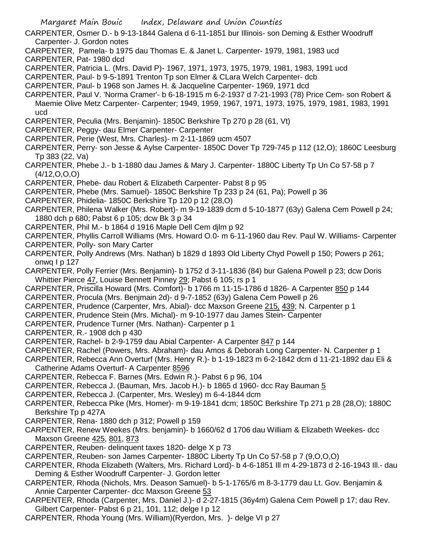CARPENTER, Osmer D.- b 9-13-1844 Galena d 6-11-1851 bur Illinois- son Deming & Esther Woodruff Carpenter- J. Gordon notes

- CARPENTER, Pamela- b 1975 dau Thomas E. & Janet L. Carpenter- 1979, 1981, 1983 ucd
- CARPENTER, Pat- 1980 dcd
- CARPENTER, Patricia L. (Mrs. David P)- 1967, 1971, 1973, 1975, 1979, 1981, 1983, 1991 ucd
- CARPENTER, Paul- b 9-5-1891 Trenton Tp son Elmer & CLara Welch Carpenter- dcb
- CARPENTER, Paul- b 1968 son James H. & Jacqueline Carpenter- 1969, 1971 dcd
- CARPENTER, Paul V. 'Norma Cramer'- b 6-18-1915 m 6-2-1937 d 7-21-1993 (78) Price Cem- son Robert & Maemie Olive Metz Carpenter- Carpenter; 1949, 1959, 1967, 1971, 1973, 1975, 1979, 1981, 1983, 1991 ucd
- CARPENTER, Peculia (Mrs. Benjamin)- 1850C Berkshire Tp 270 p 28 (61, Vt)
- CARPENTER, Peggy- dau Elmer Carpenter- Carpenter
- CARPENTER, Perie (West, Mrs. Charles)- m 2-11-1869 ucm 4507
- CARPENTER, Perry- son Jesse & Aylse Carpenter- 1850C Dover Tp 729-745 p 112 (12,O); 1860C Leesburg Tp 383 (22, Va)
- CARPENTER, Phebe J.- b 1-1880 dau James & Mary J. Carpenter- 1880C Liberty Tp Un Co 57-58 p 7 (4/12,O,O,O)
- CARPENTER, Phebe- dau Robert & Elizabeth Carpenter- Pabst 8 p 95
- CARPENTER, Phebe (Mrs. Samuel)- 1850C Berkshire Tp 233 p 24 (61, Pa); Powell p 36
- CARPENTER, Phidelia- 1850C Berkshire Tp 120 p 12 (28,O)
- CARPENTER, Philena Walker (Mrs. Robert)- m 9-19-1839 dcm d 5-10-1877 (63y) Galena Cem Powell p 24; 1880 dch p 680; Pabst 6 p 105; dcw Bk 3 p 34
- CARPENTER, Phil M.- b 1864 d 1916 Maple Dell Cem djlm p 92
- CARPENTER, Phyllis Carroll Williams (Mrs. Howard O.0- m 6-11-1960 dau Rev. Paul W. Williams- Carpenter
- CARPENTER, Polly- son Mary Carter
- CARPENTER, Polly Andrews (Mrs. Nathan) b 1829 d 1893 Old Liberty Chyd Powell p 150; Powers p 261; onwq I p 127
- CARPENTER, Polly Ferrier (Mrs. Benjamin)- b 1752 d 3-11-1836 (84) bur Galena Powell p 23; dcw Doris Whittier Pierce 47, Louise Bennett Pinney 29; Pabst 6 105; rs p 1
- CARPENTER, Priscilla Howard (Mrs. Comfort)- b 1766 m 11-15-1786 d 1826- A Carpenter 850 p 144
- CARPENTER, Procula (Mrs. Benjmain 2d)- d 9-7-1852 (63y) Galena Cem Powell p 26
- CARPENTER, Prudence (Carpenter, Mrs. Abial)- dcc Maxson Greene 215, 439; N. Carpenter p 1
- CARPENTER, Prudence Stein (Mrs. Michal)- m 9-10-1977 dau James Stein- Carpenter
- CARPENTER, Prudence Turner (Mrs. Nathan)- Carpenter p 1
- CARPENTER, R.- 1908 dch p 430
- CARPENTER, Rachel- b 2-9-1759 dau Abial Carpenter- A Carpenter 847 p 144
- CARPENTER, Rachel (Powers, Mrs. Abraham)- dau Amos & Deborah Long Carpenter- N. Carpenter p 1
- CARPENTER, Rebecca Ann Overturf (Mrs. Henry R.)- b 1-19-1823 m 6-2-1842 dcm d 11-21-1892 dau Eli & Catherine Adams Overturf- A Carpenter 8596
- CARPENTER, Rebecca F. Barnes (Mrs. Edwin R.)- Pabst 6 p 96, 104
- CARPENTER, Rebecca J. (Bauman, Mrs. Jacob H.)- b 1865 d 1960- dcc Ray Bauman 5
- CARPENTER, Rebecca J. (Carpenter, Mrs. Wesley) m 6-4-1844 dcm
- CARPENTER, Rebecca Pike (Mrs. Homer)- m 9-19-1841 dcm; 1850C Berkshire Tp 271 p 28 (28,O); 1880C Berkshire Tp p 427A
- CARPENTER, Rena- 1880 dch p 312; Powell p 159
- CARPENTER, Renew Weekes (Mrs. benjamin)- b 1660/62 d 1706 dau William & Elizabeth Weekes- dcc Maxson Greene 425, 801, 873
- CARPENTER, Reuben- delinquent taxes 1820- delge X p 73
- CARPENTER, Reuben- son James Carpenter- 1880C Liberty Tp Un Co 57-58 p 7 (9,O,O,O)
- CARPENTER, Rhoda Elizabeth (Walters, Mrs. Richard Lord)- b 4-6-1851 Ill m 4-29-1873 d 2-16-1943 Ill.- dau Deming & Esther Woodruff Carpenter- J. Gordon letter
- CARPENTER, Rhoda (Nichols, Mrs. Deason Samuel)- b 5-1-1765/6 m 8-3-1779 dau Lt. Gov. Benjamin & Annie Carpenter Carpenter- dcc Maxson Greene 53
- CARPENTER, Rhoda (Carpenter, Mrs. Daniel J.)- d 2-27-1815 (36y4m) Galena Cem Powell p 17; dau Rev. Gilbert Carpenter- Pabst 6 p 21, 101, 112; delge I p 12
- CARPENTER, Rhoda Young (Mrs. William)(Ryerdon, Mrs. )- delge VI p 27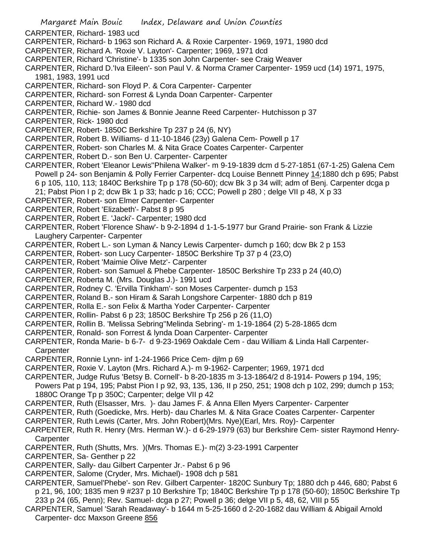- Margaret Main Bouic Index, Delaware and Union Counties CARPENTER, Richard- 1983 ucd CARPENTER, Richard- b 1963 son Richard A. & Roxie Carpenter- 1969, 1971, 1980 dcd CARPENTER, Richard A. 'Roxie V. Layton'- Carpenter; 1969, 1971 dcd CARPENTER, Richard 'Christine'- b 1335 son John Carpenter- see Craig Weaver CARPENTER, Richard D.'Iva Eileen'- son Paul V. & Norma Cramer Carpenter- 1959 ucd (14) 1971, 1975, 1981, 1983, 1991 ucd CARPENTER, Richard- son Floyd P. & Cora Carpenter- Carpenter CARPENTER, Richard- son Forrest & Lynda Doan Carpenter- Carpenter CARPENTER, Richard W.- 1980 dcd CARPENTER, Richie- son James & Bonnie Jeanne Reed Carpenter- Hutchisson p 37 CARPENTER, Rick- 1980 dcd CARPENTER, Robert- 1850C Berkshire Tp 237 p 24 (6, NY) CARPENTER, Robert B. Williams- d 11-10-1846 (23y) Galena Cem- Powell p 17 CARPENTER, Robert- son Charles M. & Nita Grace Coates Carpenter- Carpenter CARPENTER, Robert D.- son Ben U. Carpenter- Carpenter CARPENTER, Robert 'Eleanor Lewis''Philena Walker'- m 9-19-1839 dcm d 5-27-1851 (67-1-25) Galena Cem Powell p 24- son Benjamin & Polly Ferrier Carpenter- dcq Louise Bennett Pinney 14;1880 dch p 695; Pabst 6 p 105, 110, 113; 1840C Berkshire Tp p 178 (50-60); dcw Bk 3 p 34 will; adm of Benj. Carpenter dcga p 21; Pabst Pion I p 2; dcw Bk 1 p 33; hadc p 16; CCC; Powell p 280 ; delge VII p 48, X p 33 CARPENTER, Robert- son Elmer Carpenter- Carpenter CARPENTER, Robert 'Elizabeth'- Pabst 8 p 95 CARPENTER, Robert E. 'Jacki'- Carpenter; 1980 dcd CARPENTER, Robert 'Florence Shaw'- b 9-2-1894 d 1-1-5-1977 bur Grand Prairie- son Frank & Lizzie Laughery Carpenter- Carpenter CARPENTER, Robert L.- son Lyman & Nancy Lewis Carpenter- dumch p 160; dcw Bk 2 p 153 CARPENTER, Robert- son Lucy Carpenter- 1850C Berkshire Tp 37 p 4 (23,O) CARPENTER, Robert 'Maimie Olive Metz'- Carpenter CARPENTER, Robert- son Samuel & Phebe Carpenter- 1850C Berkshire Tp 233 p 24 (40,O) CARPENTER, Roberta M. (Mrs. Douglas J.)- 1991 ucd CARPENTER, Rodney C. 'Ervilla Tinkham'- son Moses Carpenter- dumch p 153 CARPENTER, Roland B.- son Hiram & Sarah Longshore Carpenter- 1880 dch p 819 CARPENTER, Rolla E.- son Felix & Martha Yoder Carpenter- Carpenter CARPENTER, Rollin- Pabst 6 p 23; 1850C Berkshire Tp 256 p 26 (11,O) CARPENTER, Rollin B. 'Melissa Sebring''Melinda Sebring'- m 1-19-1864 (2) 5-28-1865 dcm CARPENTER, Ronald- son Forrest & lynda Doan Carpenter- Carpenter CARPENTER, Ronda Marie- b 6-7- d 9-23-1969 Oakdale Cem - dau William & Linda Hall Carpenter-**Carpenter** CARPENTER, Ronnie Lynn- inf 1-24-1966 Price Cem- djlm p 69 CARPENTER, Roxie V. Layton (Mrs. Richard A.)- m 9-1962- Carpenter; 1969, 1971 dcd CARPENTER, Judge Rufus 'Betsy B. Cornell'- b 8-20-1835 m 3-13-1864/2 d 8-1914- Powers p 194, 195; Powers Pat p 194, 195; Pabst Pion I p 92, 93, 135, 136, II p 250, 251; 1908 dch p 102, 299; dumch p 153; 1880C Orange Tp p 350C; Carpenter; delge VII p 42 CARPENTER, Ruth (Elsasser, Mrs. )- dau James F. & Anna Ellen Myers Carpenter- Carpenter CARPENTER, Ruth (Goedicke, Mrs. Herb)- dau Charles M. & Nita Grace Coates Carpenter- Carpenter CARPENTER, Ruth Lewis (Carter, Mrs. John Robert)(Mrs. Nye)(Earl, Mrs. Roy)- Carpenter CARPENTER, Ruth R. Henry (Mrs. Herman W.)- d 6-29-1979 (63) bur Berkshire Cem- sister Raymond Henry-**Carpenter** CARPENTER, Ruth (Shutts, Mrs. )(Mrs. Thomas E.)- m(2) 3-23-1991 Carpenter CARPENTER, Sa- Genther p 22 CARPENTER, Sally- dau Gilbert Carpenter Jr.- Pabst 6 p 96
- CARPENTER, Salome (Cryder, Mrs. Michael)- 1908 dch p 581
- CARPENTER, Samuel'Phebe'- son Rev. Gilbert Carpenter- 1820C Sunbury Tp; 1880 dch p 446, 680; Pabst 6 p 21, 96, 100; 1835 men 9 #237 p 10 Berkshire Tp; 1840C Berkshire Tp p 178 (50-60); 1850C Berkshire Tp 233 p 24 (65, Penn); Rev. Samuel- dcga p 27; Powell p 36; delge VII p 5, 48, 62, VIII p 55
- CARPENTER, Samuel 'Sarah Readaway'- b 1644 m 5-25-1660 d 2-20-1682 dau William & Abigail Arnold Carpenter- dcc Maxson Greene 856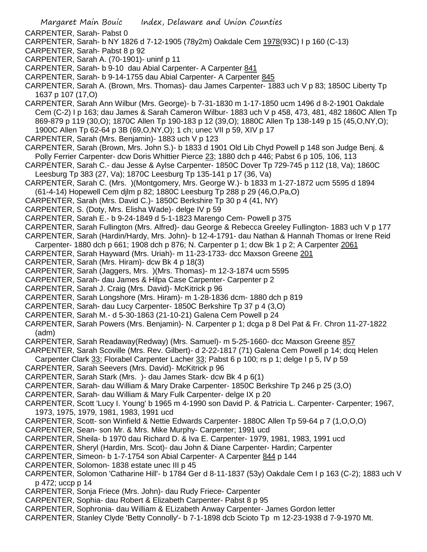- CARPENTER, Sarah- Pabst 0
- CARPENTER, Sarah- b NY 1826 d 7-12-1905 (78y2m) Oakdale Cem 1978(93C) I p 160 (C-13)
- CARPENTER, Sarah- Pabst 8 p 92
- CARPENTER, Sarah A. (70-1901)- uninf p 11
- CARPENTER, Sarah- b 9-10 dau Abial Carpenter- A Carpenter 841
- CARPENTER, Sarah- b 9-14-1755 dau Abial Carpenter- A Carpenter 845
- CARPENTER, Sarah A. (Brown, Mrs. Thomas)- dau James Carpenter- 1883 uch V p 83; 1850C Liberty Tp 1637 p 107 (17,O)
- CARPENTER, Sarah Ann Wilbur (Mrs. George)- b 7-31-1830 m 1-17-1850 ucm 1496 d 8-2-1901 Oakdale Cem (C-2) I p 163; dau James & Sarah Cameron Wilbur- 1883 uch V p 458, 473, 481, 482 1860C Allen Tp 869-879 p 119 (30,O); 1870C Allen Tp 190-183 p 12 (39,O); 1880C Allen Tp 138-149 p 15 (45,O,NY,O); 1900C Allen Tp 62-64 p 3B (69,O,NY,O); 1 ch; unec VII p 59, XIV p 17
- CARPENTER, Sarah (Mrs. Benjamin)- 1883 uch V p 123
- CARPENTER, Sarah (Brown, Mrs. John S.)- b 1833 d 1901 Old Lib Chyd Powell p 148 son Judge Benj. & Polly Ferrier Carpenter- dcw Doris Whittier Pierce 23; 1880 dch p 446; Pabst 6 p 105, 106, 113
- CARPENTER, Sarah C.- dau Jesse & Aylse Carpenter- 1850C Dover Tp 729-745 p 112 (18, Va); 1860C Leesburg Tp 383 (27, Va); 1870C Leesburg Tp 135-141 p 17 (36, Va)
- CARPENTER, Sarah C. (Mrs. )(Montgomery, Mrs. George W.)- b 1833 m 1-27-1872 ucm 5595 d 1894 (61-4-14) Hopewell Cem djlm p 82; 1880C Leesburg Tp 288 p 29 (46,O,Pa,O)
- CARPENTER, Sarah (Mrs. David C.)- 1850C Berkshire Tp 30 p 4 (41, NY)
- CARPENTER, S. (Doty, Mrs. Elisha Wade)- delge IV p 59
- CARPENTER, Sarah E.- b 9-24-1849 d 5-1-1823 Marengo Cem- Powell p 375
- CARPENTER, Sarah Fullington (Mrs. Alfred)- dau George & Rebecca Greeley Fullington- 1883 uch V p 177
- CARPENTER, Sarah (Hardin/Hardy, Mrs. John)- b 12-4-1791- dau Nathan & Hannah Thomas or Irene Reid Carpenter- 1880 dch p 661; 1908 dch p 876; N. Carpenter p 1; dcw Bk 1 p 2; A Carpenter 2061
- CARPENTER, Sarah Hayward (Mrs. Uriah)- m 11-23-1733- dcc Maxson Greene 201
- CARPENTER, Sarah (Mrs. Hiram)- dcw Bk 4 p 18(3)
- CARPENTER, Sarah (Jaggers, Mrs. )(Mrs. Thomas)- m 12-3-1874 ucm 5595
- CARPENTER, Sarah- dau James & Hilpa Case Carpenter- Carpenter p 2
- CARPENTER, Sarah J. Craig (Mrs. David)- McKitrick p 96
- CARPENTER, Sarah Longshore (Mrs. Hiram)- m 1-28-1836 dcm- 1880 dch p 819
- CARPENTER, Sarah- dau Lucy Carpenter- 1850C Berkshire Tp 37 p 4 (3,O)
- CARPENTER, Sarah M.- d 5-30-1863 (21-10-21) Galena Cem Powell p 24
- CARPENTER, Sarah Powers (Mrs. Benjamin)- N. Carpenter p 1; dcga p 8 Del Pat & Fr. Chron 11-27-1822 (adm)
- CARPENTER, Sarah Readaway(Redway) (Mrs. Samuel)- m 5-25-1660- dcc Maxson Greene 857
- CARPENTER, Sarah Scoville (Mrs. Rev. Gilbert)- d 2-22-1817 (71) Galena Cem Powell p 14; dcq Helen
- Carpenter Clark 33; Florabel Carpenter Lacher 33; Pabst 6 p 100; rs p 1; delge I p 5, IV p 59
- CARPENTER, Sarah Seevers (Mrs. David)- McKitrick p 96
- CARPENTER, Sarah Stark (Mrs. )- dau James Stark- dcw Bk 4 p 6(1)
- CARPENTER, Sarah- dau William & Mary Drake Carpenter- 1850C Berkshire Tp 246 p 25 (3,O)
- CARPENTER, Sarah- dau William & Mary Fulk Carpenter- delge IX p 20
- CARPENTER, Scott 'Lucy I. Young' b 1965 m 4-1990 son David P. & Patricia L. Carpenter- Carpenter; 1967, 1973, 1975, 1979, 1981, 1983, 1991 ucd
- CARPENTER, Scott- son Winfield & Nettie Edwards Carpenter- 1880C Allen Tp 59-64 p 7 (1,O,O,O)
- CARPENTER, Sean- son Mr. & Mrs. Mike Murphy- Carpenter; 1991 ucd
- CARPENTER, Sheila- b 1970 dau Richard D. & Iva E. Carpenter- 1979, 1981, 1983, 1991 ucd
- CARPENTER, Sheryl (Hardin, Mrs. Scot)- dau John & Diane Carpenter- Hardin; Carpenter
- CARPENTER, Simeon- b 1-7-1754 son Abial Carpenter- A Carpenter 844 p 144
- CARPENTER, Solomon- 1838 estate unec III p 45
- CARPENTER, Solomon 'Catharine Hill'- b 1784 Ger d 8-11-1837 (53y) Oakdale Cem I p 163 (C-2); 1883 uch V p 472; uccp p 14
- CARPENTER, Sonja Friece (Mrs. John)- dau Rudy Friece- Carpenter
- CARPENTER, Sophia- dau Robert & Elizabeth Carpenter- Pabst 8 p 95
- CARPENTER, Sophronia- dau William & ELizabeth Anway Carpenter- James Gordon letter
- CARPENTER, Stanley Clyde 'Betty Connolly'- b 7-1-1898 dcb Scioto Tp m 12-23-1938 d 7-9-1970 Mt.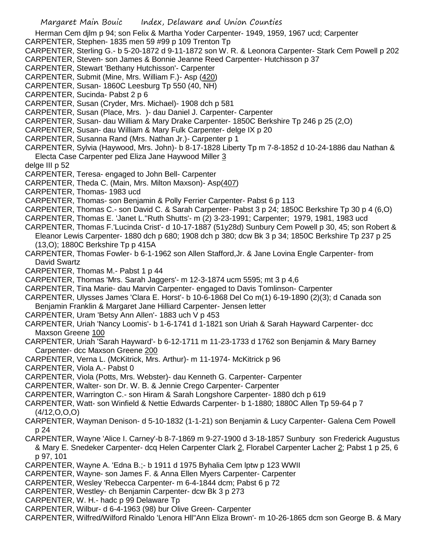Herman Cem djlm p 94; son Felix & Martha Yoder Carpenter- 1949, 1959, 1967 ucd; Carpenter

CARPENTER, Stephen- 1835 men 59 #99 p 109 Trenton Tp

CARPENTER, Sterling G.- b 5-20-1872 d 9-11-1872 son W. R. & Leonora Carpenter- Stark Cem Powell p 202

CARPENTER, Steven- son James & Bonnie Jeanne Reed Carpenter- Hutchisson p 37

CARPENTER, Stewart 'Bethany Hutchisson'- Carpenter

CARPENTER, Submit (Mine, Mrs. William F.)- Asp (420)

CARPENTER, Susan- 1860C Leesburg Tp 550 (40, NH)

CARPENTER, Sucinda- Pabst 2 p 6

CARPENTER, Susan (Cryder, Mrs. Michael)- 1908 dch p 581

CARPENTER, Susan (Place, Mrs. )- dau Daniel J. Carpenter- Carpenter

CARPENTER, Susan- dau William & Mary Drake Carpenter- 1850C Berkshire Tp 246 p 25 (2,O)

CARPENTER, Susan- dau William & Mary Fulk Carpenter- delge IX p 20

CARPENTER, Susanna Rand (Mrs. Nathan Jr.)- Carpenter p 1

CARPENTER, Sylvia (Haywood, Mrs. John)- b 8-17-1828 Liberty Tp m 7-8-1852 d 10-24-1886 dau Nathan & Electa Case Carpenter ped Eliza Jane Haywood Miller 3

delge III p 52

CARPENTER, Teresa- engaged to John Bell- Carpenter

CARPENTER, Theda C. (Main, Mrs. Milton Maxson)- Asp(407)

CARPENTER, Thomas- 1983 ucd

CARPENTER, Thomas- son Benjamin & Polly Ferrier Carpenter- Pabst 6 p 113

CARPENTER, Thomas C.- son David C. & Sarah Carpenter- Pabst 3 p 24; 1850C Berkshire Tp 30 p 4 (6,O)

CARPENTER, Thomas E. 'Janet L.''Ruth Shutts'- m (2) 3-23-1991; Carpenter; 1979, 1981, 1983 ucd

CARPENTER, Thomas F.'Lucinda Crist'- d 10-17-1887 (51y28d) Sunbury Cem Powell p 30, 45; son Robert & Eleanor Lewis Carpenter- 1880 dch p 680; 1908 dch p 380; dcw Bk 3 p 34; 1850C Berkshire Tp 237 p 25 (13,O); 1880C Berkshire Tp p 415A

CARPENTER, Thomas Fowler- b 6-1-1962 son Allen Stafford,Jr. & Jane Lovina Engle Carpenter- from David Swartz

CARPENTER, Thomas M.- Pabst 1 p 44

CARPENTER, Thomas 'Mrs. Sarah Jaggers'- m 12-3-1874 ucm 5595; mt 3 p 4,6

CARPENTER, Tina Marie- dau Marvin Carpenter- engaged to Davis Tomlinson- Carpenter

CARPENTER, Ulysses James 'Clara E. Horst'- b 10-6-1868 Del Co m(1) 6-19-1890 (2)(3); d Canada son Benjamin Franklin & Margaret Jane Hilliard Carpenter- Jensen letter

CARPENTER, Uram 'Betsy Ann Allen'- 1883 uch V p 453

CARPENTER, Uriah 'Nancy Loomis'- b 1-6-1741 d 1-1821 son Uriah & Sarah Hayward Carpenter- dcc Maxson Greene 100

CARPENTER, Uriah 'Sarah Hayward'- b 6-12-1711 m 11-23-1733 d 1762 son Benjamin & Mary Barney Carpenter- dcc Maxson Greene 200

CARPENTER, Verna L. (McKitrick, Mrs. Arthur)- m 11-1974- McKitrick p 96

CARPENTER, Viola A.- Pabst 0

CARPENTER, Viola (Potts, Mrs. Webster)- dau Kenneth G. Carpenter- Carpenter

CARPENTER, Walter- son Dr. W. B. & Jennie Crego Carpenter- Carpenter

CARPENTER, Warrington C.- son Hiram & Sarah Longshore Carpenter- 1880 dch p 619

CARPENTER, Watt- son Winfield & Nettie Edwards Carpenter- b 1-1880; 1880C Allen Tp 59-64 p 7 (4/12,O,O,O)

CARPENTER, Wayman Denison- d 5-10-1832 (1-1-21) son Benjamin & Lucy Carpenter- Galena Cem Powell p 24

CARPENTER, Wayne 'Alice I. Carney'-b 8-7-1869 m 9-27-1900 d 3-18-1857 Sunbury son Frederick Augustus & Mary E. Snedeker Carpenter- dcq Helen Carpenter Clark 2, Florabel Carpenter Lacher 2; Pabst 1 p 25, 6 p 97, 101

CARPENTER, Wayne A. 'Edna B.;- b 1911 d 1975 Byhalia Cem lptw p 123 WWII

CARPENTER, Wayne- son James F. & Anna Ellen Myers Carpenter- Carpenter

CARPENTER, Wesley 'Rebecca Carpenter- m 6-4-1844 dcm; Pabst 6 p 72

CARPENTER, Westley- ch Benjamin Carpenter- dcw Bk 3 p 273

CARPENTER, W. H.- hadc p 99 Delaware Tp

CARPENTER, Wilbur- d 6-4-1963 (98) bur Olive Green- Carpenter

CARPENTER, Wilfred/Wilford Rinaldo 'Lenora Hll''Ann Eliza Brown'- m 10-26-1865 dcm son George B. & Mary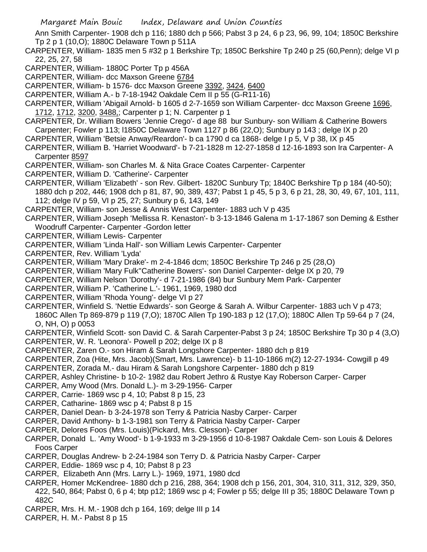Ann Smith Carpenter- 1908 dch p 116; 1880 dch p 566; Pabst 3 p 24, 6 p 23, 96, 99, 104; 1850C Berkshire Tp 2 p 1 (10,O); 1880C Delaware Town p 511A

CARPENTER, William- 1835 men 5 #32 p 1 Berkshire Tp; 1850C Berkshire Tp 240 p 25 (60,Penn); delge VI p 22, 25, 27, 58

- CARPENTER, William- 1880C Porter Tp p 456A
- CARPENTER, William- dcc Maxson Greene 6784

CARPENTER, William- b 1576- dcc Maxson Greene 3392, 3424, 6400

CARPENTER, William A.- b 7-18-1942 Oakdale Cem II p 55 (G-R11-16)

CARPENTER, William 'Abigail Arnold- b 1605 d 2-7-1659 son William Carpenter- dcc Maxson Greene 1696, 1712, 1712, 3200, 3488,; Carpenter p 1; N. Carpenter p 1

CARPENTER, Dr. William Bowers 'Jennie Crego'- d age 88 bur Sunbury- son William & Catherine Bowers Carpenter; Fowler p 113; l1850C Delaware Town 1127 p 86 (22,O); Sunbury p 143 ; delge IX p 20

- CARPENTER, William 'Betsie Anway/Reardon'- b ca 1790 d ca 1868- delge I p 5, V p 38, IX p 45
- CARPENTER, William B. 'Harriet Woodward'- b 7-21-1828 m 12-27-1858 d 12-16-1893 son Ira Carpenter- A Carpenter 8597

CARPENTER, William- son Charles M. & Nita Grace Coates Carpenter- Carpenter

- CARPENTER, William D. 'Catherine'- Carpenter
- CARPENTER, William 'Elizabeth' son Rev. Gilbert- 1820C Sunbury Tp; 1840C Berkshire Tp p 184 (40-50); 1880 dch p 202, 446; 1908 dch p 81, 87, 90, 389, 437; Pabst 1 p 45, 5 p 3, 6 p 21, 28, 30, 49, 67, 101, 111,
	- 112; delge IV p 59, VI p 25, 27; Sunbury p 6, 143, 149
- CARPENTER, William- son Jesse & Annis West Carpenter- 1883 uch V p 435
- CARPENTER, William Joseph 'Mellissa R. Kenaston'- b 3-13-1846 Galena m 1-17-1867 son Deming & Esther Woodruff Carpenter- Carpenter -Gordon letter
- CARPENTER, William Lewis- Carpenter
- CARPENTER, William 'Linda Hall'- son William Lewis Carpenter- Carpenter
- CARPENTER, Rev. William 'Lyda'
- CARPENTER, William 'Mary Drake'- m 2-4-1846 dcm; 1850C Berkshire Tp 246 p 25 (28,O)

CARPENTER, William 'Mary Fulk''Catherine Bowers'- son Daniel Carpenter- delge IX p 20, 79

- CARPENTER, William Nelson 'Dorothy'- d 7-21-1986 (84) bur Sunbury Mem Park- Carpenter
- CARPENTER, William P. 'Catherine L.'- 1961, 1969, 1980 dcd
- CARPENTER, William 'Rhoda Young'- delge VI p 27

CARPENTER, Winfield S. 'Nettie Edwards'- son George & Sarah A. Wilbur Carpenter- 1883 uch V p 473;

1860C Allen Tp 869-879 p 119 (7,O); 1870C Allen Tp 190-183 p 12 (17,O); 1880C Allen Tp 59-64 p 7 (24, O, NH, O) p 0053

CARPENTER, Winfield Scott- son David C. & Sarah Carpenter-Pabst 3 p 24; 1850C Berkshire Tp 30 p 4 (3,O)

- CARPENTER, W. R. 'Leonora'- Powell p 202; delge IX p 8
- CARPENTER, Zaren O.- son Hiram & Sarah Longshore Carpenter- 1880 dch p 819
- CARPENTER, Zoa (Hite, Mrs. Jacob)(Smart, Mrs. Lawrence)- b 11-10-1866 m(2) 12-27-1934- Cowgill p 49
- CARPENTER, Zorada M.- dau Hiram & Sarah Longshore Carpenter- 1880 dch p 819
- CARPER, Ashley Christine- b 10-2- 1982 dau Robert Jethro & Rustye Kay Roberson Carper- Carper
- CARPER, Amy Wood (Mrs. Donald L.)- m 3-29-1956- Carper
- CARPER, Carrie- 1869 wsc p 4, 10; Pabst 8 p 15, 23
- CARPER, Catharine- 1869 wsc p 4; Pabst 8 p 15
- CARPER, Daniel Dean- b 3-24-1978 son Terry & Patricia Nasby Carper- Carper
- CARPER, David Anthony- b 1-3-1981 son Terry & Patricia Nasby Carper- Carper
- CARPER, Delores Foos (Mrs. Louis)(Pickard, Mrs. Clesson)- Carper
- CARPER, Donald L. 'Amy Wood'- b 1-9-1933 m 3-29-1956 d 10-8-1987 Oakdale Cem- son Louis & Delores Foos Carper
- CARPER, Douglas Andrew- b 2-24-1984 son Terry D. & Patricia Nasby Carper- Carper
- CARPER, Eddie- 1869 wsc p 4, 10; Pabst 8 p 23
- CARPER, Elizabeth Ann (Mrs. Larry L.)- 1969, 1971, 1980 dcd
- CARPER, Homer McKendree- 1880 dch p 216, 288, 364; 1908 dch p 156, 201, 304, 310, 311, 312, 329, 350, 422, 540, 864; Pabst 0, 6 p 4; btp p12; 1869 wsc p 4; Fowler p 55; delge III p 35; 1880C Delaware Town p 482C
- CARPER, Mrs. H. M.- 1908 dch p 164, 169; delge III p 14
- CARPER, H. M.- Pabst 8 p 15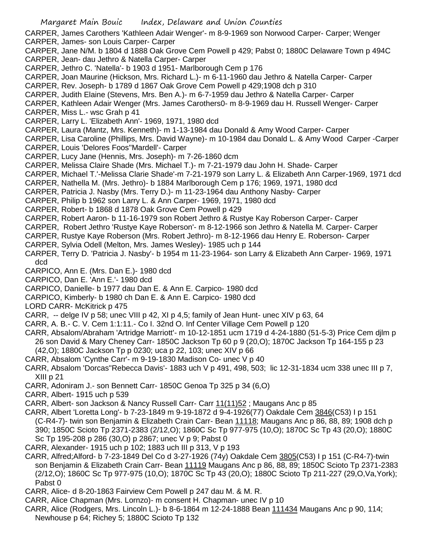- Margaret Main Bouic Index, Delaware and Union Counties CARPER, James Carothers 'Kathleen Adair Wenger'- m 8-9-1969 son Norwood Carper- Carper; Wenger CARPER, James- son Louis Carper- Carper CARPER, Jane N/M. b 1804 d 1888 Oak Grove Cem Powell p 429; Pabst 0; 1880C Delaware Town p 494C CARPER, Jean- dau Jethro & Natella Carper- Carper CARPER, Jethro C. 'Natella'- b 1903 d 1951- Marlborough Cem p 176 CARPER, Joan Maurine (Hickson, Mrs. Richard L.)- m 6-11-1960 dau Jethro & Natella Carper- Carper CARPER, Rev. Joseph- b 1789 d 1867 Oak Grove Cem Powell p 429;1908 dch p 310 CARPER, Judith Elaine (Stevens, Mrs. Ben A.)- m 6-7-1959 dau Jethro & Natella Carper- Carper CARPER, Kathleen Adair Wenger (Mrs. James Carothers0- m 8-9-1969 dau H. Russell Wenger- Carper CARPER, Miss L.- wsc Grah p 41 CARPER, Larry L. 'Elizabeth Ann'- 1969, 1971, 1980 dcd CARPER, Laura (Mantz, Mrs. Kenneth)- m 1-13-1984 dau Donald & Amy Wood Carper- Carper CARPER, Lisa Caroline (Phillips, Mrs. David Wayne)- m 10-1984 dau Donald L. & Amy Wood Carper -Carper CARPER, Louis 'Delores Foos''Mardell'- Carper CARPER, Lucy Jane (Hennis, Mrs. Joseph)- m 7-26-1860 dcm CARPER, Melissa Claire Shade (Mrs. Michael T.)- m 7-21-1979 dau John H. Shade- Carper CARPER, Michael T.'-Melissa Clarie Shade'-m 7-21-1979 son Larry L. & Elizabeth Ann Carper-1969, 1971 dcd CARPER, Nathella M. (Mrs. Jethro)- b 1884 Marlborough Cem p 176; 1969, 1971, 1980 dcd CARPER, Patricia J. Nasby (Mrs. Terry D.)- m 11-23-1964 dau Anthony Nasby- Carper CARPER, Philip b 1962 son Larry L. & Ann Carper- 1969, 1971, 1980 dcd CARPER, Robert- b 1868 d 1878 Oak Grove Cem Powell p 429 CARPER, Robert Aaron- b 11-16-1979 son Robert Jethro & Rustye Kay Roberson Carper- Carper CARPER, Robert Jethro 'Rustye Kaye Roberson'- m 8-12-1966 son Jethro & Natella M. Carper- Carper CARPER, Rustye Kaye Roberson (Mrs. Robert Jethro)- m 8-12-1966 dau Henry E. Roberson- Carper CARPER, Sylvia Odell (Melton, Mrs. James Wesley)- 1985 uch p 144 CARPER, Terry D. 'Patricia J. Nasby'- b 1954 m 11-23-1964- son Larry & Elizabeth Ann Carper- 1969, 1971 dcd CARPICO, Ann E. (Mrs. Dan E.)- 1980 dcd CARPICO, Dan E. 'Ann E.'- 1980 dcd CARPICO, Danielle- b 1977 dau Dan E. & Ann E. Carpico- 1980 dcd CARPICO, Kimberly- b 1980 ch Dan E. & Ann E. Carpico- 1980 dcd LORD CARR- McKitrick p 475 CARR, -- delge IV p 58; unec VIII p 42, XI p 4,5; family of Jean Hunt- unec XIV p 63, 64 CARR, A. B.- C. V. Cem 1:1:11.- Co I. 32nd O. Inf Center Village Cem Powell p 120 CARR, Absalom/Abraham 'Artridge Marriott'- m 10-12-1851 ucm 1719 d 4-24-1880 (51-5-3) Price Cem djlm p 26 son David & Mary Cheney Carr- 1850C Jackson Tp 60 p 9 (20,O); 1870C Jackson Tp 164-155 p 23 (42,O); 1880C Jackson Tp p 0230; uca p 22, 103; unec XIV p 66 CARR, Absalom 'Cynthe Carr'- m 9-19-1830 Madison Co- unec V p 40 CARR, Absalom 'Dorcas''Rebecca Davis'- 1883 uch V p 491, 498, 503; lic 12-31-1834 ucm 338 unec III p 7, XIII p 21 CARR, Adoniram J.- son Bennett Carr- 1850C Genoa Tp 325 p 34 (6,O) CARR, Albert- 1915 uch p 539 CARR, Albert- son Jackson & Nancy Russell Carr- Carr 11(11)52 ; Maugans Anc p 85 CARR, Albert 'Loretta Long'- b 7-23-1849 m 9-19-1872 d 9-4-1926(77) Oakdale Cem 3846(C53) I p 151 (C-R4-7)- twin son Benjamin & Elizabeth Crain Carr- Bean 11118; Maugans Anc p 86, 88, 89; 1908 dch p 390; 1850C Scioto Tp 2371-2383 (2/12,O); 1860C Sc Tp 977-975 (10,O); 1870C Sc Tp 43 (20,O); 1880C Sc Tp 195-208 p 286 (30,O) p 2867; unec V p 9; Pabst 0 CARR, Alexander- 1915 uch p 102; 1883 uch III p 313, V p 193 CARR, Alfred;Alford- b 7-23-1849 Del Co d 3-27-1926 (74y) Oakdale Cem 3805(C53) I p 151 (C-R4-7)-twin son Benjamin & Elizabeth Crain Carr- Bean 11119 Maugans Anc p 86, 88, 89; 1850C Scioto Tp 2371-2383 (2/12,O); 1860C Sc Tp 977-975 (10,O); 1870C Sc Tp 43 (20,O); 1880C Scioto Tp 211-227 (29,O,Va,York);
	- Pabst 0
- CARR, Alice- d 8-20-1863 Fairview Cem Powell p 247 dau M. & M. R.
- CARR, Alice Chapman (Mrs. Lornzo)- m consent H. Chapman- unec IV p 10
- CARR, Alice (Rodgers, Mrs. Lincoln L.)- b 8-6-1864 m 12-24-1888 Bean 111434 Maugans Anc p 90, 114; Newhouse p 64; Richey 5; 1880C Scioto Tp 132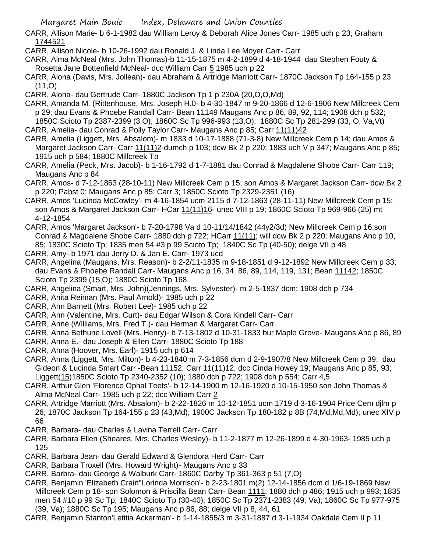- CARR, Allison Marie- b 6-1-1982 dau William Leroy & Deborah Alice Jones Carr- 1985 uch p 23; Graham 1744521
- CARR, Allison Nicole- b 10-26-1992 dau Ronald J. & Linda Lee Moyer Carr- Carr
- CARR, Alma McNeal (Mrs. John Thomas)-b 11-15-1875 m 4-2-1899 d 4-18-1944 dau Stephen Fouty & Rosetta Jane Bottenfield McNeal- dcc William Carr 5 1985 uch p 22
- CARR, Alona (Davis, Mrs. Jollean)- dau Abraham & Artridge Marriott Carr- 1870C Jackson Tp 164-155 p 23  $(11,0)$
- CARR, Alona- dau Gertrude Carr- 1880C Jackson Tp 1 p 230A (20,O,O,Md)
- CARR, Amanda M. (Rittenhouse, Mrs. Joseph H.0- b 4-30-1847 m 9-20-1866 d 12-6-1906 New Millcreek Cem p 29; dau Evans & Phoebe Randall Carr- Bean 11149 Maugans Anc p 86, 89, 92, 114; 1908 dch p 532; 1850C Scioto Tp 2387-2399 (3,O); 1860C Sc Tp 996-993 (13,O); 1880C Sc Tp 281-299 (33, O, Va,Vt)
- CARR, Amelia- dau Conrad & Polly Taylor Carr- Maugans Anc p 85; Carr 11(11)42
- CARR, Amelia (Liggett, Mrs. Absalom)- m 1833 d 10-17-1888 (71-3-8) New Millcreek Cem p 14; dau Amos & Margaret Jackson Carr- Carr 11(11)2-dumch p 103; dcw Bk 2 p 220; 1883 uch V p 347; Maugans Anc p 85; 1915 uch p 584; 1880C Millcreek Tp
- CARR, Amelia (Peck, Mrs. Jacob)- b 1-16-1792 d 1-7-1881 dau Conrad & Magdalene Shobe Carr- Carr 119; Maugans Anc p 84
- CARR, Amos- d 7-12-1863 (28-10-11) New Millcreek Cem p 15; son Amos & Margaret Jackson Carr- dcw Bk 2 p 220; Pabst 0; Maugans Anc p 85; Carr 3; 1850C Scioto Tp 2329-2351 (16)
- CARR, Amos 'Lucinda McCowley'- m 4-16-1854 ucm 2115 d 7-12-1863 (28-11-11) New Millcreek Cem p 15; son Amos & Margaret Jackson Carr- HCar 11(11)16- unec VIII p 19; 1860C Scioto Tp 969-966 (25) mt 4-12-1854
- CARR, Amos 'Margaret Jackson'- b 7-20-1798 Va d 10-11/14/1842 (44y2/3d) New Millcreek Cem p 16;son Conrad & Magdalene Shobe Carr- 1880 dch p 722; HCarr 11(11); will dcw Bk 2 p 220; Maugans Anc p 10, 85; 1830C Scioto Tp; 1835 men 54 #3 p 99 Scioto Tp; 1840C Sc Tp (40-50); delge VII p 48
- CARR, Amy- b 1971 dau Jerry D. & Jan E. Carr- 1973 ucd
- CARR, Angelina (Maugans, Mrs. Reason)- b 2-2/11-1835 m 9-18-1851 d 9-12-1892 New Millcreek Cem p 33; dau Evans & Phoebe Randall Carr- Maugans Anc p 16, 34, 86, 89, 114, 119, 131; Bean 11142; 1850C Scioto Tp 2399 (15,O); 1880C Scioto Tp 168
- CARR, Angelina (Smart, Mrs. John)(Jennings, Mrs. Sylvester)- m 2-5-1837 dcm; 1908 dch p 734
- CARR, Anita Reiman (Mrs. Paul Arnold)- 1985 uch p 22
- CARR, Ann Barnett (Mrs. Robert Lee)- 1985 uch p 22
- CARR, Ann (Valentine, Mrs. Curt)- dau Edgar Wilson & Cora Kindell Carr- Carr
- CARR, Anne (Williams, Mrs. Fred T.)- dau Herman & Margaret Carr- Carr
- CARR, Anna Bethune Lovell (Mrs. Henry)- b 7-13-1802 d 10-31-1833 bur Maple Grove- Maugans Anc p 86, 89
- CARR, Anna E.- dau Joseph & Ellen Carr- 1880C Scioto Tp 188
- CARR, Anna (Hoover, Mrs. Earl)- 1915 uch p 614
- CARR, Anna (Liggett, Mrs. Milton)- b 4-23-1840 m 7-3-1856 dcm d 2-9-1907/8 New Millcreek Cem p 39; dau Gideon & Lucinda Smart Carr -Bean 11152; Carr 11(11)12; dcc Cinda Howey 19; Maugans Anc p 85, 93; Liggett(15)1850C Scioto Tp 2340-2352 (10); 1880 dch p 722; 1908 dch p 554; Carr 4,5
- CARR, Arthur Glen 'Florence Ophal Teets'- b 12-14-1900 m 12-16-1920 d 10-15-1950 son John Thomas & Alma McNeal Carr- 1985 uch p 22; dcc William Carr 2
- CARR, Artridge Marriott (Mrs. Absalom)- b 2-22-1826 m 10-12-1851 ucm 1719 d 3-16-1904 Price Cem djlm p 26; 1870C Jackson Tp 164-155 p 23 (43,Md); 1900C Jackson Tp 180-182 p 8B (74,Md,Md,Md); unec XIV p 66
- CARR, Barbara- dau Charles & Lavina Terrell Carr- Carr
- CARR, Barbara Ellen (Sheares, Mrs. Charles Wesley)- b 11-2-1877 m 12-26-1899 d 4-30-1963- 1985 uch p 125
- CARR, Barbara Jean- dau Gerald Edward & Glendora Herd Carr- Carr
- CARR, Barbara Troxell (Mrs. Howard Wright)- Maugans Anc p 33
- CARR, Barbra- dau George & Walburk Carr- 1860C Darby Tp 361-363 p 51 (7,O)
- CARR, Benjamin 'Elizabeth Crain''Lorinda Morrison'- b 2-23-1801 m(2) 12-14-1856 dcm d 1/6-19-1869 New Millcreek Cem p 18- son Solomon & Priscilla Bean Carr- Bean 1111; 1880 dch p 486; 1915 uch p 993; 1835 men 54 #10 p 99 Sc Tp; 1840C Scioto Tp (30-40); 1850C Sc Tp 2371-2383 (49, Va); 1860C Sc Tp 977-975 (39, Va); 1880C Sc Tp 195; Maugans Anc p 86, 88; delge VII p 8, 44, 61
- CARR, Benjamin Stanton'Letitia Ackerman'- b 1-14-1855/3 m 3-31-1887 d 3-1-1934 Oakdale Cem II p 11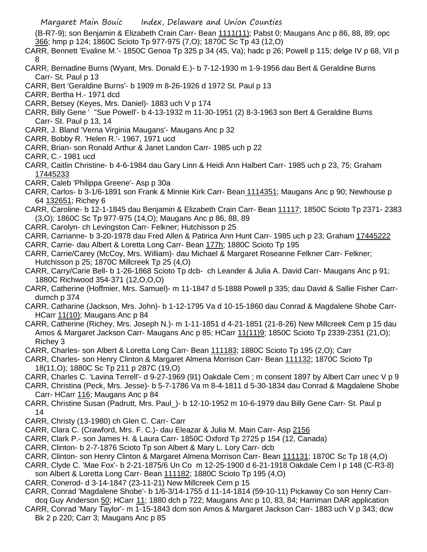(B-R7-9); son Benjamin & Elizabeth Crain Carr- Bean 1111(11); Pabst 0; Maugans Anc p 86, 88, 89; opc 366; hmp p 124; 1860C Scioto Tp 977-975 (7,O); 1870C Sc Tp 43 (12,O)

CARR, Bennett 'Evaline M.'- 1850C Genoa Tp 325 p 34 (45, Va); hadc p 26; Powell p 115; delge IV p 68, VII p 8

- CARR, Bernadine Burns (Wyant, Mrs. Donald E.)- b 7-12-1930 m 1-9-1956 dau Bert & Geraldine Burns Carr- St. Paul p 13
- CARR, Bert 'Geraldine Burns'- b 1909 m 8-26-1926 d 1972 St. Paul p 13
- CARR, Bertha H.- 1971 dcd
- CARR, Betsey (Keyes, Mrs. Daniel)- 1883 uch V p 174
- CARR, Billy Gene ' ''Sue Powell'- b 4-13-1932 m 11-30-1951 (2) 8-3-1963 son Bert & Geraldine Burns Carr- St. Paul p 13, 14
- CARR, J. Bland 'Verna Virginia Maugans'- Maugans Anc p 32
- CARR, Bobby R. 'Helen R.'- 1967, 1971 ucd
- CARR, Brian- son Ronald Arthur & Janet Landon Carr- 1985 uch p 22
- CARR, C.- 1981 ucd
- CARR, Caitlin Christine- b 4-6-1984 dau Gary Linn & Heidi Ann Halbert Carr- 1985 uch p 23, 75; Graham 17445233
- CARR, Caleb 'Philippa Greene'- Asp p 30a
- CARR, Carlos- b 3-1/6-1891 son Frank & Minnie Kirk Carr- Bean 1114351; Maugans Anc p 90; Newhouse p 64 132651; Richey 6
- CARR, Caroline- b 12-1-1845 dau Benjamin & Elizabeth Crain Carr- Bean 11117; 1850C Scioto Tp 2371- 2383 (3,O); 1860C Sc Tp 977-975 (14,O); Maugans Anc p 86, 88, 89
- CARR, Carolyn- ch Levingston Carr- Felkner; Hutchisson p 25
- CARR, Carrianne- b 3-20-1978 dau Fred Allen & Patirica Ann Hunt Carr- 1985 uch p 23; Graham 17445222
- CARR, Carrie- dau Albert & Loretta Long Carr- Bean 177h; 1880C Scioto Tp 195
- CARR, Carrie/Carey (McCoy, Mrs. William)- dau Michael & Margaret Roseanne Felkner Carr- Felkner; Hutchisson p 25; 1870C Millcreek Tp 25 (4,O)
- CARR, Carry/Carie Bell- b 1-26-1868 Scioto Tp dcb- ch Leander & Julia A. David Carr- Maugans Anc p 91; 1880C Richwood 354-371 (12,O,O,O)
- CARR, Catherine (Hoffmier, Mrs. Samuel)- m 11-1847 d 5-1888 Powell p 335; dau David & Sallie Fisher Carrdumch p 374
- CARR, Catharine (Jackson, Mrs. John)- b 1-12-1795 Va d 10-15-1860 dau Conrad & Magdalene Shobe Carr-HCarr 11(10); Maugans Anc p 84
- CARR, Catherine (Richey, Mrs. Joseph N.)- m 1-11-1851 d 4-21-1851 (21-8-26) New Millcreek Cem p 15 dau Amos & Margaret Jackson Carr- Maugans Anc p 85; HCarr 11(11)9; 1850C Scioto Tp 2339-2351 (21,O); Richey 3
- CARR, Charles- son Albert & Loretta Long Carr- Bean 111183; 1880C Scioto Tp 195 (2,O); Carr
- CARR, Charles- son Henry Clinton & Margaret Almena Morrison Carr- Bean 111132; 1870C Scioto Tp 18(11,O); 1880C Sc Tp 211 p 287C (19,O)
- CARR, Charles C. 'Lavina Terrell'- d 9-27-1969 (91) Oakdale Cem ; m consent 1897 by Albert Carr unec V p 9
- CARR, Christina (Peck, Mrs. Jesse)- b 5-7-1786 Va m 8-4-1811 d 5-30-1834 dau Conrad & Magdalene Shobe Carr- HCarr 116; Maugans Anc p 84
- CARR, Christine Susan (Padrutt, Mrs. Paul\_)- b 12-10-1952 m 10-6-1979 dau Billy Gene Carr- St. Paul p 14
- CARR, Christy (13-1980) ch Glen C. Carr- Carr
- CARR, Clara C. (Crawford, Mrs. F. C.)- dau Eleazar & Julia M. Main Carr- Asp 2156
- CARR, Clark P.- son James H. & Laura Carr- 1850C Oxford Tp 2725 p 154 (12, Canada)
- CARR, Clinton- b 2-7-1876 Scioto Tp son Albert & Mary L. Lory Carr- dcb
- CARR, Clinton- son Henry Clinton & Margaret Almena Morrison Carr- Bean 111131; 1870C Sc Tp 18 (4,O)
- CARR, Clyde C. 'Mae Fox'- b 2-21-1875/6 Un Co m 12-25-1900 d 6-21-1918 Oakdale Cem I p 148 (C-R3-8) son Albert & Loretta Long Carr- Bean 111182; 1880C Scioto Tp 195 (4,O)
- CARR, Conerod- d 3-14-1847 (23-11-21) New Millcreek Cem p 15
- CARR, Conrad 'Magdalene Shobe'- b 1/6-3/14-1755 d 11-14-1814 (59-10-11) Pickaway Co son Henry Carrdcq Guy Anderson 50; HCarr 11; 1880 dch p 722; Maugans Anc p 10, 83, 84; Harriman DAR application
- CARR, Conrad 'Mary Taylor'- m 1-15-1843 dcm son Amos & Margaret Jackson Carr- 1883 uch V p 343; dcw Bk 2 p 220; Carr 3; Maugans Anc p 85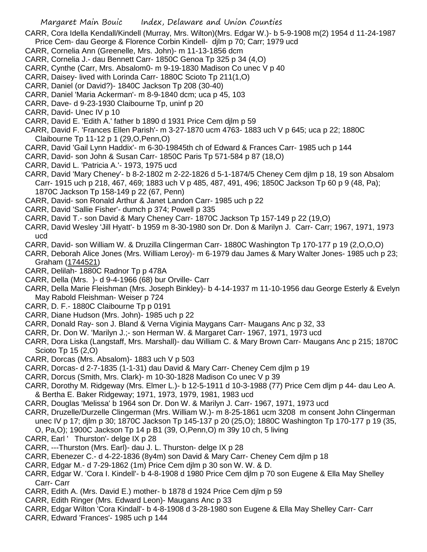CARR, Cora Idella Kendall/Kindell (Murray, Mrs. Wilton)(Mrs. Edgar W.)- b 5-9-1908 m(2) 1954 d 11-24-1987 Price Cem- dau George & Florence Corbin Kindell- djlm p 70; Carr; 1979 ucd

- CARR, Cornelia Ann (Greenelle, Mrs. John)- m 11-13-1856 dcm
- CARR, Cornelia J.- dau Bennett Carr- 1850C Genoa Tp 325 p 34 (4,O)
- CARR, Cynthe (Carr, Mrs. Absalom0- m 9-19-1830 Madison Co unec V p 40
- CARR, Daisey- lived with Lorinda Carr- 1880C Scioto Tp 211(1,O)
- CARR, Daniel (or David?)- 1840C Jackson Tp 208 (30-40)
- CARR, Daniel 'Maria Ackerman'- m 8-9-1840 dcm; uca p 45, 103
- CARR, Dave- d 9-23-1930 Claibourne Tp, uninf p 20
- CARR, David- Unec IV p 10
- CARR, David E. 'Edith A.' father b 1890 d 1931 Price Cem djlm p 59
- CARR, David F. 'Frances Ellen Parish'- m 3-27-1870 ucm 4763- 1883 uch V p 645; uca p 22; 1880C Claibourne Tp 11-12 p 1 (29,O,Penn,O)
- CARR, David 'Gail Lynn Haddix'- m 6-30-19845th ch of Edward & Frances Carr- 1985 uch p 144
- CARR, David- son John & Susan Carr- 1850C Paris Tp 571-584 p 87 (18,O)
- CARR, David L. 'Patricia A.'- 1973, 1975 ucd
- CARR, David 'Mary Cheney'- b 8-2-1802 m 2-22-1826 d 5-1-1874/5 Cheney Cem djlm p 18, 19 son Absalom Carr- 1915 uch p 218, 467, 469; 1883 uch V p 485, 487, 491, 496; 1850C Jackson Tp 60 p 9 (48, Pa); 1870C Jackson Tp 158-149 p 22 (67, Penn)
- CARR, David- son Ronald Arthur & Janet Landon Carr- 1985 uch p 22
- CARR, David 'Sallie Fisher'- dumch p 374; Powell p 335
- CARR, David T.- son David & Mary Cheney Carr- 1870C Jackson Tp 157-149 p 22 (19,O)
- CARR, David Wesley 'Jill Hyatt'- b 1959 m 8-30-1980 son Dr. Don & Marilyn J. Carr- Carr; 1967, 1971, 1973 ucd
- CARR, David- son William W. & Druzilla Clingerman Carr- 1880C Washington Tp 170-177 p 19 (2,O,O,O)
- CARR, Deborah Alice Jones (Mrs. William Leroy)- m 6-1979 dau James & Mary Walter Jones- 1985 uch p 23; Graham (1744521)
- CARR, Delilah- 1880C Radnor Tp p 478A
- CARR, Della (Mrs. )- d 9-4-1966 (68) bur Orville- Carr
- CARR, Della Marie Fleishman (Mrs. Joseph Binkley)- b 4-14-1937 m 11-10-1956 dau George Esterly & Evelyn May Rabold Fleishman- Weiser p 724
- CARR, D. F.- 1880C Claibourne Tp p 0191
- CARR, Diane Hudson (Mrs. John)- 1985 uch p 22
- CARR, Donald Ray- son J. Bland & Verna Viginia Maygans Carr- Maugans Anc p 32, 33
- CARR, Dr. Don W. 'Marilyn J.;- son Herman W. & Margaret Carr- 1967, 1971, 1973 ucd
- CARR, Dora Liska (Langstaff, Mrs. Marshall)- dau William C. & Mary Brown Carr- Maugans Anc p 215; 1870C Scioto Tp 15 (2,O)
- CARR, Dorcas (Mrs. Absalom)- 1883 uch V p 503
- CARR, Dorcas- d 2-7-1835 (1-1-31) dau David & Mary Carr- Cheney Cem djlm p 19
- CARR, Dorcus (Smith, Mrs. Clark)- m 10-30-1828 Madison Co unec V p 39
- CARR, Dorothy M. Ridgeway (Mrs. Elmer L.)- b 12-5-1911 d 10-3-1988 (77) Price Cem dljm p 44- dau Leo A. & Bertha E. Baker Ridgeway; 1971, 1973, 1979, 1981, 1983 ucd
- CARR, Douglas 'Melissa' b 1964 son Dr. Don W. & Marilyn J. Carr- 1967, 1971, 1973 ucd
- CARR, Druzelle/Durzelle Clingerman (Mrs. William W.)- m 8-25-1861 ucm 3208 m consent John Clingerman unec IV p 17; djlm p 30; 1870C Jackson Tp 145-137 p 20 (25,O); 1880C Washington Tp 170-177 p 19 (35,
	- O, Pa,O); 1900C Jackson Tp 14 p B1 (39, O,Penn,O) m 39y 10 ch, 5 living
- CARR, Earl ' Thurston'- delge IX p 28
- CARR, ---Thurston (Mrs. Earl)- dau J. L. Thurston- delge IX p 28
- CARR, Ebenezer C.- d 4-22-1836 (8y4m) son David & Mary Carr- Cheney Cem djlm p 18
- CARR, Edgar M.- d 7-29-1862 (1m) Price Cem djlm p 30 son W. W. & D.
- CARR, Edgar W. 'Cora I. Kindell'- b 4-8-1908 d 1980 Price Cem djlm p 70 son Eugene & Ella May Shelley Carr- Carr
- CARR, Edith A. (Mrs. David E.) mother- b 1878 d 1924 Price Cem djlm p 59
- CARR, Edith Ringer (Mrs. Edward Leon)- Maugans Anc p 33
- CARR, Edgar Wilton 'Cora Kindall'- b 4-8-1908 d 3-28-1980 son Eugene & Ella May Shelley Carr- Carr
- CARR, Edward 'Frances'- 1985 uch p 144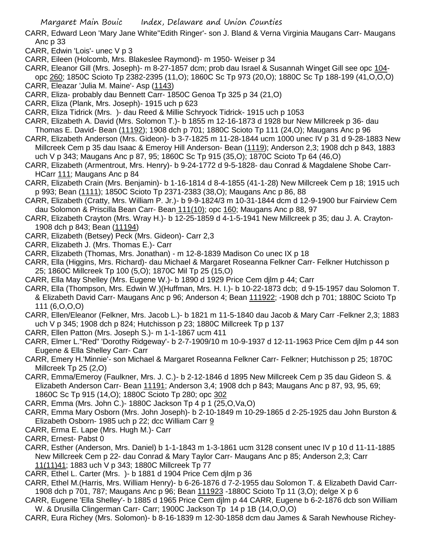- CARR, Edward Leon 'Mary Jane White''Edith Ringer'- son J. Bland & Verna Virginia Maugans Carr- Maugans Anc p 33
- CARR, Edwin 'Lois'- unec V p 3
- CARR, Eileen (Holcomb, Mrs. Blakeslee Raymond)- m 1950- Weiser p 34
- CARR, Eleanor Gill (Mrs. Joseph)- m 8-27-1857 dcm; prob dau Israel & Susannah Winget Gill see opc 104 opc 260; 1850C Scioto Tp 2382-2395 (11,O); 1860C Sc Tp 973 (20,O); 1880C Sc Tp 188-199 (41,O,O,O)
- CARR, Eleazar 'Julia M. Maine'- Asp (1143)
- CARR, Eliza- probably dau Bennett Carr- 1850C Genoa Tp 325 p 34 (21,O)
- CARR, Eliza (Plank, Mrs. Joseph)- 1915 uch p 623
- CARR, Eliza Tidrick (Mrs. )- dau Reed & Millie Schryock Tidrick- 1915 uch p 1053
- CARR, Elizabeth A. David (Mrs. Solomon T.)- b 1855 m 12-16-1873 d 1928 bur New Millcreek p 36- dau Thomas E. David- Bean (11192); 1908 dch p 701; 1880C Scioto Tp 111 (24,O); Maugans Anc p 96
- CARR, Elizabeth Anderson (Mrs. Gideon)- b 3-7-1825 m 11-28-1844 ucm 1000 unec IV p 31 d 9-28-1883 New Millcreek Cem p 35 dau Isaac & Emeroy Hill Anderson- Bean (1119); Anderson 2,3; 1908 dch p 843, 1883 uch V p 343; Maugans Anc p 87, 95; 1860C Sc Tp 915 (35,O); 1870C Scioto Tp 64 (46,O)
- CARR, Elizabeth (Armentrout, Mrs. Henry)- b 9-24-1772 d 9-5-1828- dau Conrad & Magdalene Shobe Carr-HCarr 111; Maugans Anc p 84
- CARR, Elizabeth Crain (Mrs. Benjamin)- b 1-16-1814 d 8-4-1855 (41-1-28) New Millcreek Cem p 18; 1915 uch p 993; Bean (1111); 1850C Scioto Tp 2371-2383 (38,O); Maugans Anc p 86, 88
- CARR, Elizabeth (Cratty, Mrs. William P. Jr.)- b 9-9-1824/3 m 10-31-1844 dcm d 12-9-1900 bur Fairview Cem dau Solomon & Priscilla Bean Carr- Bean 111(10); opc 160; Maugans Anc p 88, 97
- CARR, Elizabeth Crayton (Mrs. Wray H.)- b 12-25-1859 d 4-1-5-1941 New Millcreek p 35; dau J. A. Crayton-1908 dch p 843; Bean (11194)
- CARR, Elizabeth (Betsey) Peck (Mrs. Gideon)- Carr 2,3
- CARR, Elizabeth J. (Mrs. Thomas E.)- Carr
- CARR, Elizabeth (Thomas, Mrs. Jonathan) m 12-8-1839 Madison Co unec IX p 18
- CARR, Ella (Higgins, Mrs. Richard)- dau Michael & Margaret Roseanna Felkner Carr- Felkner Hutchisson p 25; 1860C Millcreek Tp 100 (5,O); 1870C Mil Tp 25 (15,O)
- CARR, Ella May Shelley (Mrs. Eugene W.)- b 1890 d 1929 Price Cem djlm p 44; Carr
- CARR, Ella (Thompson, Mrs. Edwin W.)(Huffman, Mrs. H. I.)- b 10-22-1873 dcb; d 9-15-1957 dau Solomon T. & Elizabeth David Carr- Maugans Anc p 96; Anderson 4; Bean 111922; -1908 dch p 701; 1880C Scioto Tp 111 (6,O,O,O)
- CARR, Ellen/Eleanor (Felkner, Mrs. Jacob L.)- b 1821 m 11-5-1840 dau Jacob & Mary Carr -Felkner 2,3; 1883 uch V p 345; 1908 dch p 824; Hutchisson p 23; 1880C Millcreek Tp p 137
- CARR, Ellen Patton (Mrs. Joseph S.)- m 1-1-1867 ucm 411
- CARR, Elmer L."Red" 'Dorothy Ridgeway'- b 2-7-1909/10 m 10-9-1937 d 12-11-1963 Price Cem djlm p 44 son Eugene & Ella Shelley Carr- Carr
- CARR, Emery H.'Minnie'- son Michael & Margaret Roseanna Felkner Carr- Felkner; Hutchisson p 25; 1870C Millcreek Tp 25 (2,O)
- CARR, Emma/Emeroy (Faulkner, Mrs. J. C.)- b 2-12-1846 d 1895 New Millcreek Cem p 35 dau Gideon S. & Elizabeth Anderson Carr- Bean 11191; Anderson 3,4; 1908 dch p 843; Maugans Anc p 87, 93, 95, 69; 1860C Sc Tp 915 (14,O); 1880C Scioto Tp 280; opc 302
- CARR, Emma (Mrs. John C.)- 1880C Jackson Tp 4 p 1 (25,O,Va,O)
- CARR, Emma Mary Osborn (Mrs. John Joseph)- b 2-10-1849 m 10-29-1865 d 2-25-1925 dau John Burston & Elizabeth Osborn- 1985 uch p 22; dcc William Carr 9
- CARR, Erma E. Lape (Mrs. Hugh M.)- Carr
- CARR, Ernest- Pabst 0
- CARR, Esther (Anderson, Mrs. Daniel) b 1-1-1843 m 1-3-1861 ucm 3128 consent unec IV p 10 d 11-11-1885 New Millcreek Cem p 22- dau Conrad & Mary Taylor Carr- Maugans Anc p 85; Anderson 2,3; Carr 11(11)41; 1883 uch V p 343; 1880C Millcreek Tp 77
- CARR, Ethel L. Carter (Mrs. )- b 1881 d 1904 Price Cem djlm p 36
- CARR, Ethel M.(Harris, Mrs. William Henry)- b 6-26-1876 d 7-2-1955 dau Solomon T. & Elizabeth David Carr-1908 dch p 701, 787; Maugans Anc p 96; Bean 111923 -1880C Scioto Tp 11 (3,O); delge X p 6
- CARR, Eugene 'Ella Shelley'- b 1885 d 1965 Price Cem djlm p 44 CARR, Eugene b 6-2-1876 dcb son William W. & Drusilla Clingerman Carr- Carr; 1900C Jackson Tp 14 p 1B (14,O,O,O)
- CARR, Eura Richey (Mrs. Solomon)- b 8-16-1839 m 12-30-1858 dcm dau James & Sarah Newhouse Richey-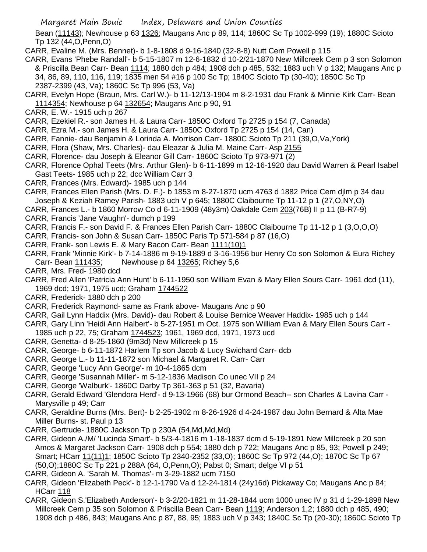Bean (11143); Newhouse p 63 1326; Maugans Anc p 89, 114; 1860C Sc Tp 1002-999 (19); 1880C Scioto Tp 132 (44,O,Penn,O)

CARR, Evaline M. (Mrs. Bennet)- b 1-8-1808 d 9-16-1840 (32-8-8) Nutt Cem Powell p 115

- CARR, Evans 'Phebe Randall'- b 5-15-1807 m 12-6-1832 d 10-2/21-1870 New Millcreek Cem p 3 son Solomon & Priscilla Bean Carr- Bean 1114; 1880 dch p 484; 1908 dch p 485, 532; 1883 uch V p 132; Maugans Anc p 34, 86, 89, 110, 116, 119; 1835 men 54 #16 p 100 Sc Tp; 1840C Scioto Tp (30-40); 1850C Sc Tp 2387-2399 (43, Va); 1860C Sc Tp 996 (53, Va)
- CARR, Evelyn Hope (Braun, Mrs. Carl W.)- b 11-12/13-1904 m 8-2-1931 dau Frank & Minnie Kirk Carr- Bean 1114354; Newhouse p 64 132654; Maugans Anc p 90, 91
- CARR, E. W.- 1915 uch p 267
- CARR, Ezekiel R.- son James H. & Laura Carr- 1850C Oxford Tp 2725 p 154 (7, Canada)
- CARR, Ezra M.- son James H. & Laura Carr- 1850C Oxford Tp 2725 p 154 (14, Can)
- CARR, Fannie- dau Benjamin & Lorinda A. Morrison Carr- 1880C Scioto Tp 211 (39,O,Va,York)
- CARR, Flora (Shaw, Mrs. Charles)- dau Eleazar & Julia M. Maine Carr- Asp 2155
- CARR, Florence- dau Joseph & Eleanor Gill Carr- 1860C Scioto Tp 973-971 (2)
- CARR, Florence Ophal Teets (Mrs. Arthur Glen)- b 6-11-1899 m 12-16-1920 dau David Warren & Pearl Isabel Gast Teets- 1985 uch p 22; dcc William Carr 3
- CARR, Frances (Mrs. Edward)- 1985 uch p 144
- CARR, Frances Ellen Parish (Mrs. D. F.)- b 1853 m 8-27-1870 ucm 4763 d 1882 Price Cem djlm p 34 dau Joseph & Keziah Ramey Parish- 1883 uch V p 645; 1880C Claibourne Tp 11-12 p 1 (27,O,NY,O)
- CARR, Frances L.- b 1860 Morrow Co d 6-11-1909 (48y3m) Oakdale Cem 203(76B) II p 11 (B-R7-9)
- CARR, Francis 'Jane Vaughn'- dumch p 199
- CARR, Francis F.- son David F. & Frances Ellen Parish Carr- 1880C Claibourne Tp 11-12 p 1 (3,O,O,O)
- CARR, Francis- son John & Susan Carr- 1850C Paris Tp 571-584 p 87 (16,O)
- CARR, Frank- son Lewis E. & Mary Bacon Carr- Bean 1111(10)1
- CARR, Frank 'Minnie Kirk'- b 7-14-1886 m 9-19-1889 d 3-16-1956 bur Henry Co son Solomon & Eura Richey Carr- Bean 111435; Newhouse p 64 13265; Richey 5,6
- CARR, Mrs. Fred- 1980 dcd
- CARR, Fred Allen 'Patricia Ann Hunt' b 6-11-1950 son William Evan & Mary Ellen Sours Carr- 1961 dcd (11), 1969 dcd; 1971, 1975 ucd; Graham 1744522
- CARR, Frederick- 1880 dch p 200
- CARR, Frederick Raymond- same as Frank above- Maugans Anc p 90
- CARR, Gail Lynn Haddix (Mrs. David)- dau Robert & Louise Bernice Weaver Haddix- 1985 uch p 144
- CARR, Gary Linn 'Heidi Ann Halbert'- b 5-27-1951 m Oct. 1975 son William Evan & Mary Ellen Sours Carr 1985 uch p 22, 75; Graham 1744523; 1961, 1969 dcd, 1971, 1973 ucd
- CARR, Genetta- d 8-25-1860 (9m3d) New Millcreek p 15
- CARR, George- b 6-11-1872 Harlem Tp son Jacob & Lucy Swichard Carr- dcb
- CARR, George L.- b 11-11-1872 son Michael & Margaret R. Carr- Carr
- CARR, George 'Lucy Ann George'- m 10-4-1865 dcm
- CARR, George 'Susannah Miller'- m 5-12-1836 Madison Co unec VII p 24
- CARR, George 'Walburk'- 1860C Darby Tp 361-363 p 51 (32, Bavaria)
- CARR, Gerald Edward 'Glendora Herd'- d 9-13-1966 (68) bur Ormond Beach-- son Charles & Lavina Carr Marysville p 49; Carr
- CARR, Geraldine Burns (Mrs. Bert)- b 2-25-1902 m 8-26-1926 d 4-24-1987 dau John Bernard & Alta Mae Miller Burns- st. Paul p 13
- CARR, Gertrude- 1880C Jackson Tp p 230A (54,Md,Md,Md)
- CARR, Gideon A./M/ 'Lucinda Smart'- b 5/3-4-1816 m 1-18-1837 dcm d 5-19-1891 New Millcreek p 20 son Amos & Margaret Jackson Carr- 1908 dch p 554; 1880 dch p 722; Maugans Anc p 85, 93; Powell p 249; Smart; HCarr 11(11)1; 1850C Scioto Tp 2340-2352 (33,O); 1860C Sc Tp 972 (44,O); 1870C Sc Tp 67 (50,O);1880C Sc Tp 221 p 288A (64, O,Penn,O); Pabst 0; Smart; delge VI p 51
- CARR, Gideon A. 'Sarah M. Thomas'- m 3-29-1882 ucm 7150
- CARR, Gideon 'Elizabeth Peck'- b 12-1-1790 Va d 12-24-1814 (24y16d) Pickaway Co; Maugans Anc p 84; HCarr 118
- CARR, Gideon S.'Elizabeth Anderson'- b 3-2/20-1821 m 11-28-1844 ucm 1000 unec IV p 31 d 1-29-1898 New Millcreek Cem p 35 son Solomon & Priscilla Bean Carr- Bean 1119; Anderson 1,2; 1880 dch p 485, 490; 1908 dch p 486, 843; Maugans Anc p 87, 88, 95; 1883 uch V p 343; 1840C Sc Tp (20-30); 1860C Scioto Tp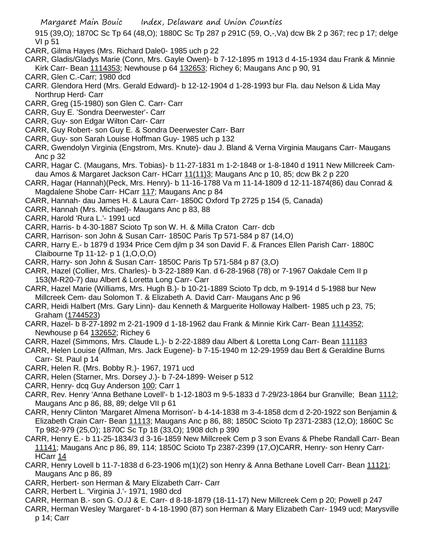915 (39,O); 1870C Sc Tp 64 (48,O); 1880C Sc Tp 287 p 291C (59, O,-,Va) dcw Bk 2 p 367; rec p 17; delge VI p 51

- CARR, Gilma Hayes (Mrs. Richard Dale0- 1985 uch p 22
- CARR, Gladis/Gladys Marie (Conn, Mrs. Gayle Owen)- b 7-12-1895 m 1913 d 4-15-1934 dau Frank & Minnie Kirk Carr- Bean 1114353; Newhouse p 64 132653; Richey 6; Maugans Anc p 90, 91
- CARR, Glen C.-Carr; 1980 dcd
- CARR. Glendora Herd (Mrs. Gerald Edward)- b 12-12-1904 d 1-28-1993 bur Fla. dau Nelson & Lida May Northrup Herd- Carr
- CARR, Greg (15-1980) son Glen C. Carr- Carr
- CARR, Guy E. 'Sondra Deerwester'- Carr
- CARR, Guy- son Edgar Wilton Carr- Carr
- CARR, Guy Robert- son Guy E. & Sondra Deerwester Carr- Barr
- CARR, Guy- son Sarah Louise Hoffman Guy- 1985 uch p 132
- CARR, Gwendolyn Virginia (Engstrom, Mrs. Knute)- dau J. Bland & Verna Virginia Maugans Carr- Maugans Anc p 32
- CARR, Hagar C. (Maugans, Mrs. Tobias)- b 11-27-1831 m 1-2-1848 or 1-8-1840 d 1911 New Millcreek Camdau Amos & Margaret Jackson Carr- HCarr 11(11)3; Maugans Anc p 10, 85; dcw Bk 2 p 220
- CARR, Hagar (Hannah)(Peck, Mrs. Henry)- b 11-16-1788 Va m 11-14-1809 d 12-11-1874(86) dau Conrad & Magdalene Shobe Carr- HCarr 117; Maugans Anc p 84
- CARR, Hannah- dau James H. & Laura Carr- 1850C Oxford Tp 2725 p 154 (5, Canada)
- CARR, Hannah (Mrs. Michael)- Maugans Anc p 83, 88
- CARR, Harold 'Rura L.'- 1991 ucd
- CARR, Harris- b 4-30-1887 Scioto Tp son W. H. & Milla Craton Carr- dcb
- CARR, Harrison- son John & Susan Carr- 1850C Paris Tp 571-584 p 87 (14,O)
- CARR, Harry E.- b 1879 d 1934 Price Cem djlm p 34 son David F. & Frances Ellen Parish Carr- 1880C Claibourne Tp 11-12- p 1 (1,O,O,O)
- CARR, Harry- son John & Susan Carr- 1850C Paris Tp 571-584 p 87 (3,O)
- CARR, Hazel (Collier, Mrs. Charles)- b 3-22-1889 Kan. d 6-28-1968 (78) or 7-1967 Oakdale Cem II p 153(M-R20-7) dau Albert & Loretta Long Carr- Carr
- CARR, Hazel Marie (Williams, Mrs. Hugh B.)- b 10-21-1889 Scioto Tp dcb, m 9-1914 d 5-1988 bur New Millcreek Cem- dau Solomon T. & Elizabeth A. David Carr- Maugans Anc p 96
- CARR, Heidi Halbert (Mrs. Gary Linn)- dau Kenneth & Marguerite Holloway Halbert- 1985 uch p 23, 75; Graham (1744523)
- CARR, Hazel- b 8-27-1892 m 2-21-1909 d 1-18-1962 dau Frank & Minnie Kirk Carr- Bean 1114352; Newhouse p 64 132652; Richey 6
- CARR, Hazel (Simmons, Mrs. Claude L.)- b 2-22-1889 dau Albert & Loretta Long Carr- Bean 111183
- CARR, Helen Louise (Alfman, Mrs. Jack Eugene)- b 7-15-1940 m 12-29-1959 dau Bert & Geraldine Burns Carr- St. Paul p 14
- CARR, Helen R. (Mrs. Bobby R.)- 1967, 1971 ucd
- CARR, Helen (Starner, Mrs. Dorsey J.)- b 7-24-1899- Weiser p 512
- CARR, Henry- dcq Guy Anderson 100; Carr 1
- CARR, Rev. Henry 'Anna Bethane Lovell'- b 1-12-1803 m 9-5-1833 d 7-29/23-1864 bur Granville; Bean 1112; Maugans Anc p 86, 88, 89; delge VII p 61
- CARR, Henry Clinton 'Margaret Almena Morrison'- b 4-14-1838 m 3-4-1858 dcm d 2-20-1922 son Benjamin & Elizabeth Crain Carr- Bean 11113; Maugans Anc p 86, 88; 1850C Scioto Tp 2371-2383 (12,O); 1860C Sc Tp 982-979 (25,O); 1870C Sc Tp 18 (33,O); 1908 dch p 390
- CARR, Henry E.- b 11-25-1834/3 d 3-16-1859 New Millcreek Cem p 3 son Evans & Phebe Randall Carr- Bean 11141; Maugans Anc p 86, 89, 114; 1850C Scioto Tp 2387-2399 (17,O)CARR, Henry- son Henry Carr-HCarr 14
- CARR, Henry Lovell b 11-7-1838 d 6-23-1906 m(1)(2) son Henry & Anna Bethane Lovell Carr- Bean 11121; Maugans Anc p 86, 89
- CARR, Herbert- son Herman & Mary Elizabeth Carr- Carr
- CARR, Herbert L. 'Virginia J.'- 1971, 1980 dcd
- CARR, Herman B.- son G. O./J & E. Carr- d 8-18-1879 (18-11-17) New Millcreek Cem p 20; Powell p 247
- CARR, Herman Wesley 'Margaret'- b 4-18-1990 (87) son Herman & Mary Elizabeth Carr- 1949 ucd; Marysville p 14; Carr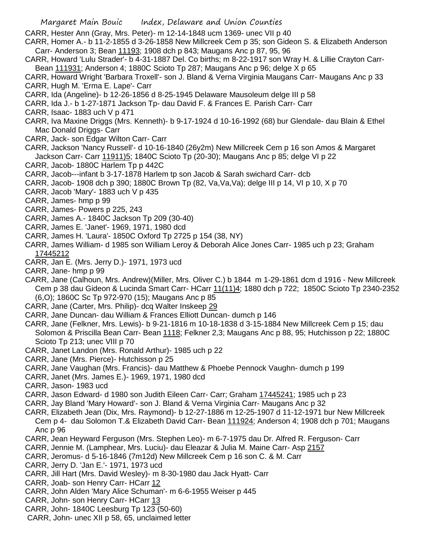CARR, Hester Ann (Gray, Mrs. Peter)- m 12-14-1848 ucm 1369- unec VII p 40

- CARR, Homer A.- b 11-2-1855 d 3-26-1858 New Millcreek Cem p 35; son Gideon S. & Elizabeth Anderson Carr- Anderson 3; Bean 11193; 1908 dch p 843; Maugans Anc p 87, 95, 96
- CARR, Howard 'Lulu Strader'- b 4-31-1887 Del. Co births; m 8-22-1917 son Wray H. & Lillie Crayton Carr-Bean 111931; Anderson 4; 1880C Scioto Tp 287; Maugans Anc p 96; delge X p 65
- CARR, Howard Wright 'Barbara Troxell'- son J. Bland & Verna Virginia Maugans Carr- Maugans Anc p 33 CARR, Hugh M. 'Erma E. Lape'- Carr
- CARR, Ida (Angeline)- b 12-26-1856 d 8-25-1945 Delaware Mausoleum delge III p 58
- CARR, Ida J.- b 1-27-1871 Jackson Tp- dau David F. & Frances E. Parish Carr- Carr
- CARR, Isaac- 1883 uch V p 471
- CARR, Iva Maxine Driggs (Mrs. Kenneth)- b 9-17-1924 d 10-16-1992 (68) bur Glendale- dau Blain & Ethel Mac Donald Driggs- Carr
- CARR, Jack- son Edgar Wilton Carr- Carr
- CARR, Jackson 'Nancy Russell'- d 10-16-1840 (26y2m) New Millcreek Cem p 16 son Amos & Margaret Jackson Carr- Carr 11911)5; 1840C Scioto Tp (20-30); Maugans Anc p 85; delge VI p 22
- CARR, Jacob- 1880C Harlem Tp p 442C
- CARR, Jacob---infant b 3-17-1878 Harlem tp son Jacob & Sarah swichard Carr- dcb
- CARR, Jacob- 1908 dch p 390; 1880C Brown Tp (82, Va,Va,Va); delge III p 14, VI p 10, X p 70
- CARR, Jacob 'Mary'- 1883 uch V p 435
- CARR, James- hmp p 99
- CARR, James- Powers p 225, 243
- CARR, James A.- 1840C Jackson Tp 209 (30-40)
- CARR, James E. 'Janet'- 1969, 1971, 1980 dcd
- CARR, James H. 'Laura'- 1850C Oxford Tp 2725 p 154 (38, NY)
- CARR, James William- d 1985 son William Leroy & Deborah Alice Jones Carr- 1985 uch p 23; Graham 17445212
- CARR, Jan E. (Mrs. Jerry D.)- 1971, 1973 ucd
- CARR, Jane- hmp p 99
- CARR, Jane (Calhoun, Mrs. Andrew)(Miller, Mrs. Oliver C.) b 1844 m 1-29-1861 dcm d 1916 New Millcreek Cem p 38 dau Gideon & Lucinda Smart Carr- HCarr 11(11)4; 1880 dch p 722; 1850C Scioto Tp 2340-2352 (6,O); 1860C Sc Tp 972-970 (15); Maugans Anc p 85
- CARR, Jane (Carter, Mrs. Philip)- dcq Walter Inskeep 29
- CARR, Jane Duncan- dau William & Frances Elliott Duncan- dumch p 146
- CARR, Jane (Felkner, Mrs. Lewis)- b 9-21-1816 m 10-18-1838 d 3-15-1884 New Millcreek Cem p 15; dau Solomon & Priscilla Bean Carr- Bean 1118; Felkner 2,3; Maugans Anc p 88, 95; Hutchisson p 22; 1880C Scioto Tp 213; unec VIII p 70
- CARR, Janet Landon (Mrs. Ronald Arthur)- 1985 uch p 22
- CARR, Jane (Mrs. Pierce)- Hutchisson p 25
- CARR, Jane Vaughan (Mrs. Francis)- dau Matthew & Phoebe Pennock Vaughn- dumch p 199
- CARR, Janet (Mrs. James E.)- 1969, 1971, 1980 dcd
- CARR, Jason- 1983 ucd
- CARR, Jason Edward- d 1980 son Judith Eileen Carr- Carr; Graham 17445241; 1985 uch p 23
- CARR, Jay Bland 'Mary Howard'- son J. Bland & Verna Virginia Carr- Maugans Anc p 32
- CARR, Elizabeth Jean (Dix, Mrs. Raymond)- b 12-27-1886 m 12-25-1907 d 11-12-1971 bur New Millcreek Cem p 4- dau Solomon T.& Elizabeth David Carr- Bean 111924; Anderson 4; 1908 dch p 701; Maugans Anc p 96
- CARR, Jean Heyward Ferguson (Mrs. Stephen Leo)- m 6-7-1975 dau Dr. Alfred R. Ferguson- Carr
- CARR, Jennie M. (Lamphear, Mrs. Luciu)- dau Eleazar & Julia M. Maine Carr- Asp 2157
- CARR, Jeromus- d 5-16-1846 (7m12d) New Millcreek Cem p 16 son C. & M. Carr
- CARR, Jerry D. 'Jan E.'- 1971, 1973 ucd
- CARR, Jill Hart (Mrs. David Wesley)- m 8-30-1980 dau Jack Hyatt- Carr
- CARR, Joab- son Henry Carr- HCarr 12
- CARR, John Alden 'Mary Alice Schuman'- m 6-6-1955 Weiser p 445
- CARR, John- son Henry Carr- HCarr 13
- CARR, John- 1840C Leesburg Tp 123 (50-60)
- CARR, John- unec XII p 58, 65, unclaimed letter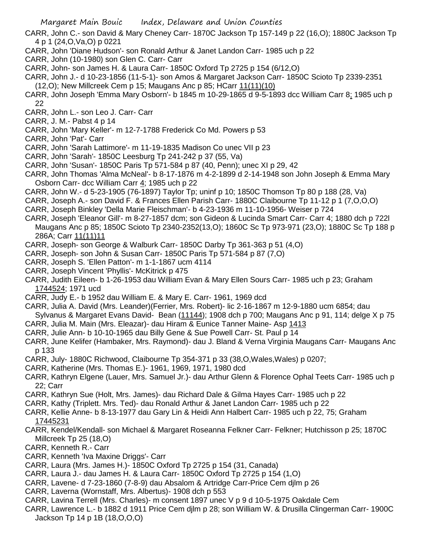- CARR, John C.- son David & Mary Cheney Carr- 1870C Jackson Tp 157-149 p 22 (16,O); 1880C Jackson Tp 4 p 1 (24,O,Va,O) p 0221
- CARR, John 'Diane Hudson'- son Ronald Arthur & Janet Landon Carr- 1985 uch p 22
- CARR, John (10-1980) son Glen C. Carr- Carr
- CARR, John- son James H. & Laura Carr- 1850C Oxford Tp 2725 p 154 (6/12,O)
- CARR, John J.- d 10-23-1856 (11-5-1)- son Amos & Margaret Jackson Carr- 1850C Scioto Tp 2339-2351
- (12,O); New Millcreek Cem p 15; Maugans Anc p 85; HCarr 11(11)(10)
- CARR, John Joseph 'Emma Mary Osborn'- b 1845 m 10-29-1865 d 9-5-1893 dcc William Carr 8; 1985 uch p 22
- CARR, John L.- son Leo J. Carr- Carr
- CARR, J. M.- Pabst 4 p 14
- CARR, John 'Mary Keller'- m 12-7-1788 Frederick Co Md. Powers p 53
- CARR, John 'Pat'- Carr
- CARR, John 'Sarah Lattimore'- m 11-19-1835 Madison Co unec VII p 23
- CARR, John 'Sarah'- 1850C Leesburg Tp 241-242 p 37 (55, Va)
- CARR, John 'Susan'- 1850C Paris Tp 571-584 p 87 (40, Penn); unec XI p 29, 42
- CARR, John Thomas 'Alma McNeal'- b 8-17-1876 m 4-2-1899 d 2-14-1948 son John Joseph & Emma Mary Osborn Carr- dcc William Carr 4; 1985 uch p 22
- CARR, John W.- d 5-23-1905 (76-1897) Taylor Tp; uninf p 10; 1850C Thomson Tp 80 p 188 (28, Va)
- CARR, Joseph A.- son David F. & Frances Ellen Parish Carr- 1880C Claibourne Tp 11-12 p 1 (7,O,O,O)
- CARR, Joseph Binkley 'Della Marie Fleischman'- b 4-23-1936 m 11-10-1956- Weiser p 724
- CARR, Joseph 'Eleanor Gill'- m 8-27-1857 dcm; son Gideon & Lucinda Smart Carr- Carr 4; 1880 dch p 722l Maugans Anc p 85; 1850C Scioto Tp 2340-2352(13,O); 1860C Sc Tp 973-971 (23,O); 1880C Sc Tp 188 p 286A; Carr 11(11)11
- CARR, Joseph- son George & Walburk Carr- 1850C Darby Tp 361-363 p 51 (4,O)
- CARR, Joseph- son John & Susan Carr- 1850C Paris Tp 571-584 p 87 (7,O)
- CARR, Joseph S. 'Ellen Patton'- m 1-1-1867 ucm 4114
- CARR, Joseph Vincent 'Phyllis'- McKitrick p 475
- CARR, Judith Eileen- b 1-26-1953 dau William Evan & Mary Ellen Sours Carr- 1985 uch p 23; Graham 1744524; 1971 ucd
- CARR, Judy E.- b 1952 dau William E. & Mary E. Carr- 1961, 1969 dcd
- CARR, Julia A. David (Mrs. Leander)(Ferrier, Mrs. Robert)- lic 2-16-1867 m 12-9-1880 ucm 6854; dau
- Sylvanus & Margaret Evans David- Bean (11144); 1908 dch p 700; Maugans Anc p 91, 114; delge X p 75 CARR, Julia M. Main (Mrs. Eleazar)- dau Hiram & Eunice Tanner Maine- Asp 1413
- CARR, Julie Ann- b 10-10-1965 dau Billy Gene & Sue Powell Carr- St. Paul p 14
- CARR, June Kelifer (Hambaker, Mrs. Raymond)- dau J. Bland & Verna Virginia Maugans Carr- Maugans Anc p 133
- CARR, July- 1880C Richwood, Claibourne Tp 354-371 p 33 (38,O,Wales,Wales) p 0207;
- CARR, Katherine (Mrs. Thomas E.)- 1961, 1969, 1971, 1980 dcd
- CARR, Kathryn Elgene (Lauer, Mrs. Samuel Jr.)- dau Arthur Glenn & Florence Ophal Teets Carr- 1985 uch p 22; Carr
- CARR, Kathryn Sue (Holt, Mrs. James)- dau Richard Dale & Gilma Hayes Carr- 1985 uch p 22
- CARR, Kathy (Triplett. Mrs. Ted)- dau Ronald Arthur & Janet Landon Carr- 1985 uch p 22
- CARR, Kellie Anne- b 8-13-1977 dau Gary Lin & Heidi Ann Halbert Carr- 1985 uch p 22, 75; Graham 17445231
- CARR, Kendel/Kendall- son Michael & Margaret Roseanna Felkner Carr- Felkner; Hutchisson p 25; 1870C Millcreek Tp 25 (18,O)
- CARR, Kenneth R.- Carr
- CARR, Kenneth 'Iva Maxine Driggs'- Carr
- CARR, Laura (Mrs. James H.)- 1850C Oxford Tp 2725 p 154 (31, Canada)
- CARR, Laura J.- dau James H. & Laura Carr- 1850C Oxford Tp 2725 p 154 (1,O)
- CARR, Lavene- d 7-23-1860 (7-8-9) dau Absalom & Artridge Carr-Price Cem djlm p 26
- CARR, Laverna (Wornstaff, Mrs. Albertus)- 1908 dch p 553
- CARR, Lavina Terrell (Mrs. Charles)- m consent 1897 unec V p 9 d 10-5-1975 Oakdale Cem
- CARR, Lawrence L.- b 1882 d 1911 Price Cem djlm p 28; son William W. & Drusilla Clingerman Carr- 1900C Jackson Tp 14 p 1B (18,O,O,O)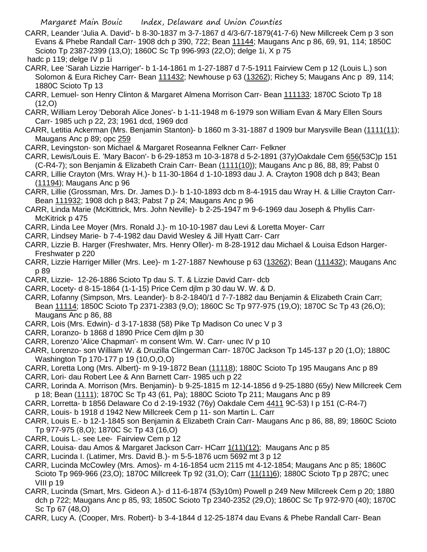- CARR, Leander 'Julia A. David'- b 8-30-1837 m 3-7-1867 d 4/3-6/7-1879(41-7-6) New Millcreek Cem p 3 son Evans & Phebe Randall Carr- 1908 dch p 390, 722; Bean 11144; Maugans Anc p 86, 69, 91, 114; 1850C Scioto Tp 2387-2399 (13,O); 1860C Sc Tp 996-993 (22,O); delge 1i, X p 75 hadc p 119; delge IV p 1i
- CARR, Lee 'Sarah Lizzie Harriger'- b 1-14-1861 m 1-27-1887 d 7-5-1911 Fairview Cem p 12 (Louis L.) son Solomon & Eura Richey Carr- Bean 111432; Newhouse p 63 (13262); Richey 5; Maugans Anc p 89, 114; 1880C Scioto Tp 13
- CARR, Lemuel- son Henry Clinton & Margaret Almena Morrison Carr- Bean 111133; 1870C Scioto Tp 18 (12,O)
- CARR, William Leroy 'Deborah Alice Jones'- b 1-11-1948 m 6-1979 son William Evan & Mary Ellen Sours Carr- 1985 uch p 22, 23; 1961 dcd, 1969 dcd
- CARR, Letitia Ackerman (Mrs. Benjamin Stanton)- b 1860 m 3-31-1887 d 1909 bur Marysville Bean (1111(11); Maugans Anc p 89; opc 259
- CARR, Levingston- son Michael & Margaret Roseanna Felkner Carr- Felkner
- CARR, Lewis/Louis E. 'Mary Bacon'- b 6-29-1853 m 10-3-1878 d 5-2-1891 (37y)Oakdale Cem 656(53C)p 151 (C-R4-7); son Benjamin & Elizabeth Crain Carr- Bean (1111(10)); Maugans Anc p 86, 88, 89; Pabst 0
- CARR, Lillie Crayton (Mrs. Wray H.)- b 11-30-1864 d 1-10-1893 dau J. A. Crayton 1908 dch p 843; Bean (11194); Maugans Anc p 96
- CARR, Lillie (Grossman, Mrs. Dr. James D.)- b 1-10-1893 dcb m 8-4-1915 dau Wray H. & Lillie Crayton Carr-Bean 111932; 1908 dch p 843; Pabst 7 p 24; Maugans Anc p 96
- CARR, Linda Marie (McKittrick, Mrs. John Neville)- b 2-25-1947 m 9-6-1969 dau Joseph & Phyllis Carr-McKitrick p 475
- CARR, Linda Lee Moyer (Mrs. Ronald J.)- m 10-10-1987 dau Levi & Loretta Moyer- Carr
- CARR, Lindsey Marie- b 7-4-1982 dau David Wesley & Jill Hyatt Carr- Carr
- CARR, Lizzie B. Harger (Freshwater, Mrs. Henry Oller)- m 8-28-1912 dau Michael & Louisa Edson Harger-Freshwater p 220
- CARR, Lizzie Harriger Miller (Mrs. Lee)- m 1-27-1887 Newhouse p 63 (13262); Bean (111432); Maugans Anc p 89
- CARR, Lizzie- 12-26-1886 Scioto Tp dau S. T. & Lizzie David Carr- dcb
- CARR, Locety- d 8-15-1864 (1-1-15) Price Cem djlm p 30 dau W. W. & D.
- CARR, Lofanny (Simpson, Mrs. Leander)- b 8-2-1840/1 d 7-7-1882 dau Benjamin & Elizabeth Crain Carr; Bean 11114; 1850C Scioto Tp 2371-2383 (9,O); 1860C Sc Tp 977-975 (19,O); 1870C Sc Tp 43 (26,O); Maugans Anc p 86, 88
- CARR, Lois (Mrs. Edwin)- d 3-17-1838 (58) Pike Tp Madison Co unec V p 3
- CARR, Loranzo- b 1868 d 1890 Price Cem djlm p 30
- CARR, Lorenzo 'Alice Chapman'- m consent Wm. W. Carr- unec IV p 10
- CARR, Lorenzo- son William W. & Druzilla Clingerman Carr- 1870C Jackson Tp 145-137 p 20 (1,O); 1880C Washington Tp 170-177 p 19 (10,O,O,O)
- CARR, Loretta Long (Mrs. Albert)- m 9-19-1872 Bean (11118); 1880C Scioto Tp 195 Maugans Anc p 89
- CARR, Lori- dau Robert Lee & Ann Barnett Carr- 1985 uch p 22
- CARR, Lorinda A. Morrison (Mrs. Benjamin)- b 9-25-1815 m 12-14-1856 d 9-25-1880 (65y) New Millcreek Cem p 18; Bean (1111); 1870C Sc Tp 43 (61, Pa); 1880C Scioto Tp 211; Maugans Anc p 89
- CARR, Lorretta- b 1856 Delaware Co d 2-19-1932 (76y) Oakdale Cem 4411 9C-53) I p 151 (C-R4-7)
- CARR, Louis- b 1918 d 1942 New Millcreek Cem p 11- son Martin L. Carr
- CARR, Louis E.- b 12-1-1845 son Benjamin & Elizabeth Crain Carr- Maugans Anc p 86, 88, 89; 1860C Scioto Tp 977-975 (8,O); 1870C Sc Tp 43 (16,O)
- CARR, Louis L.- see Lee- Fairview Cem p 12
- CARR, Louisa- dau Amos & Margaret Jackson Carr- HCarr 1(11)(12); Maugans Anc p 85
- CARR, Lucinda I. (Latimer, Mrs. David B.)- m 5-5-1876 ucm 5692 mt 3 p 12
- CARR, Lucinda McCowley (Mrs. Amos)- m 4-16-1854 ucm 2115 mt 4-12-1854; Maugans Anc p 85; 1860C Scioto Tp 969-966 (23,O); 1870C Millcreek Tp 92 (31,O); Carr (11(11)6); 1880C Scioto Tp p 287C; unec VIII p 19
- CARR, Lucinda (Smart, Mrs. Gideon A.)- d 11-6-1874 (53y10m) Powell p 249 New Millcreek Cem p 20; 1880 dch p 722; Maugans Anc p 85, 93; 1850C Scioto Tp 2340-2352 (29,O); 1860C Sc Tp 972-970 (40); 1870C Sc Tp 67 (48,O)
- CARR, Lucy A. (Cooper, Mrs. Robert)- b 3-4-1844 d 12-25-1874 dau Evans & Phebe Randall Carr- Bean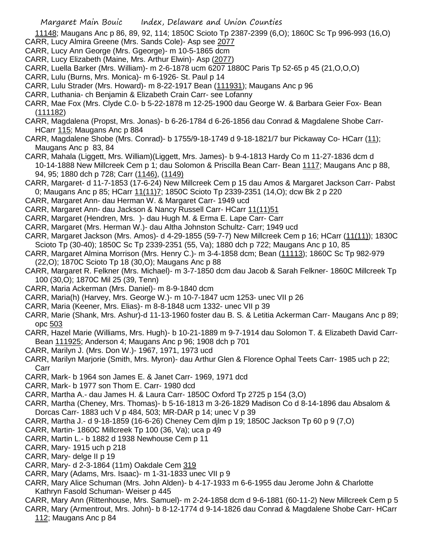11148; Maugans Anc p 86, 89, 92, 114; 1850C Scioto Tp 2387-2399 (6,O); 1860C Sc Tp 996-993 (16,O) CARR, Lucy Almira Greene (Mrs. Sands Cole)- Asp see 2077

- CARR, Lucy Ann George (Mrs. Ggeorge)- m 10-5-1865 dcm
- CARR, Lucy Elizabeth (Maine, Mrs. Arthur Elwin)- Asp (2077)
- CARR, Luella Barker (Mrs. William)- m 2-6-1878 ucm 6207 1880C Paris Tp 52-65 p 45 (21,O,O,O)
- CARR, Lulu (Burns, Mrs. Monica)- m 6-1926- St. Paul p 14
- CARR, Lulu Strader (Mrs. Howard)- m 8-22-1917 Bean (111931); Maugans Anc p 96
- CARR, Luthania- ch Benjamin & Elizabeth Crain Carr- see Lofanny
- CARR, Mae Fox (Mrs. Clyde C.0- b 5-22-1878 m 12-25-1900 dau George W. & Barbara Geier Fox- Bean (111182)
- CARR, Magdalena (Propst, Mrs. Jonas)- b 6-26-1784 d 6-26-1856 dau Conrad & Magdalene Shobe Carr-HCarr 115; Maugans Anc p 884
- CARR, Magdalene Shobe (Mrs. Conrad)- b 1755/9-18-1749 d 9-18-1821/7 bur Pickaway Co- HCarr (11); Maugans Anc p 83, 84
- CARR, Mahala (Liggett, Mrs. William)(Liggett, Mrs. James)- b 9-4-1813 Hardy Co m 11-27-1836 dcm d 10-14-1888 New Millcreek Cem p 1; dau Solomon & Priscilla Bean Carr- Bean 1117; Maugans Anc p 88, 94, 95; 1880 dch p 728; Carr (1146), (1149)
- CARR, Margaret- d 11-7-1853 (17-6-24) New Millcreek Cem p 15 dau Amos & Margaret Jackson Carr- Pabst 0; Maugans Anc p 85; HCarr 11(11)7; 1850C Scioto Tp 2339-2351 (14,O); dcw Bk 2 p 220
- CARR, Margaret Ann- dau Herman W. & Margaret Carr- 1949 ucd
- CARR, Margaret Ann- dau Jackson & Nancy Russell Carr- HCarr 11(11)51
- CARR, Margaret (Hendren, Mrs. )- dau Hugh M. & Erma E. Lape Carr- Carr
- CARR, Margaret (Mrs. Herman W.)- dau Altha Johnston Schultz- Carr; 1949 ucd
- CARR, Margaret Jackson (Mrs. Amos)- d 4-29-1855 (59-7-7) New Millcreek Cem p 16; HCarr (11(11)); 1830C Scioto Tp (30-40); 1850C Sc Tp 2339-2351 (55, Va); 1880 dch p 722; Maugans Anc p 10, 85
- CARR, Margaret Almina Morrison (Mrs. Henry C.)- m 3-4-1858 dcm; Bean (11113); 1860C Sc Tp 982-979 (22,O); 1870C Scioto Tp 18 (30,O); Maugans Anc p 88
- CARR, Margaret R. Felkner (Mrs. Michael)- m 3-7-1850 dcm dau Jacob & Sarah Felkner- 1860C Millcreek Tp 100 (30,O); 1870C Mil 25 (39, Tenn)
- CARR, Maria Ackerman (Mrs. Daniel)- m 8-9-1840 dcm
- CARR, Maria(h) (Harvey, Mrs. George W.)- m 10-7-1847 ucm 1253- unec VII p 26
- CARR, Maria (Keener, Mrs. Elias)- m 8-8-1848 ucm 1332- unec VII p 39
- CARR, Marie (Shank, Mrs. Ashur)-d 11-13-1960 foster dau B. S. & Letitia Ackerman Carr- Maugans Anc p 89; opc 503
- CARR, Hazel Marie (Williams, Mrs. Hugh)- b 10-21-1889 m 9-7-1914 dau Solomon T. & Elizabeth David Carr-Bean 111925; Anderson 4; Maugans Anc p 96; 1908 dch p 701
- CARR, Marilyn J. (Mrs. Don W.)- 1967, 1971, 1973 ucd
- CARR, Marilyn Marjorie (Smith, Mrs. Myron)- dau Arthur Glen & Florence Ophal Teets Carr- 1985 uch p 22; Carr
- CARR, Mark- b 1964 son James E. & Janet Carr- 1969, 1971 dcd
- CARR, Mark- b 1977 son Thom E. Carr- 1980 dcd
- CARR, Martha A.- dau James H. & Laura Carr- 1850C Oxford Tp 2725 p 154 (3,O)
- CARR, Martha (Cheney, Mrs. Thomas)- b 5-16-1813 m 3-26-1829 Madison Co d 8-14-1896 dau Absalom & Dorcas Carr- 1883 uch V p 484, 503; MR-DAR p 14; unec V p 39
- CARR, Martha J.- d 9-18-1859 (16-6-26) Cheney Cem djlm p 19; 1850C Jackson Tp 60 p 9 (7,O)
- CARR, Martin- 1860C Millcreek Tp 100 (36, Va); uca p 49
- CARR, Martin L.- b 1882 d 1938 Newhouse Cem p 11
- CARR, Mary- 1915 uch p 218
- CARR, Mary- delge II p 19
- CARR, Mary- d 2-3-1864 (11m) Oakdale Cem 319
- CARR, Mary (Adams, Mrs. Isaac)- m 1-31-1833 unec VII p 9
- CARR, Mary Alice Schuman (Mrs. John Alden)- b 4-17-1933 m 6-6-1955 dau Jerome John & Charlotte Kathryn Fasold Schuman- Weiser p 445
- CARR, Mary Ann (Rittenhouse, Mrs. Samuel)- m 2-24-1858 dcm d 9-6-1881 (60-11-2) New Millcreek Cem p 5
- CARR, Mary (Armentrout, Mrs. John)- b 8-12-1774 d 9-14-1826 dau Conrad & Magdalene Shobe Carr- HCarr 112; Maugans Anc p 84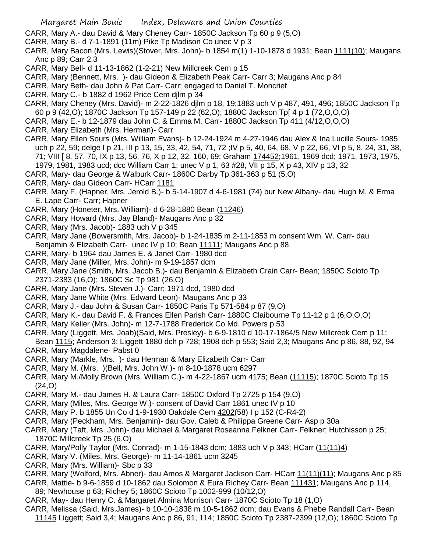CARR, Mary A.- dau David & Mary Cheney Carr- 1850C Jackson Tp 60 p 9 (5,O)

- CARR, Mary B.- d 7-1-1891 (11m) Pike Tp Madison Co unec V p 3
- CARR, Mary Bacon (Mrs. Lewis)(Stover, Mrs. John)- b 1854 m(1) 1-10-1878 d 1931; Bean 1111(10); Maugans Anc p 89; Carr 2,3
- CARR, Mary Bell- d 11-13-1862 (1-2-21) New Millcreek Cem p 15
- CARR, Mary (Bennett, Mrs. )- dau Gideon & Elizabeth Peak Carr- Carr 3; Maugans Anc p 84
- CARR, Mary Beth- dau John & Pat Carr- Carr; engaged to Daniel T. Moncrief
- CARR, Mary C.- b 1882 d 1962 Price Cem djlm p 34
- CARR, Mary Cheney (Mrs. David)- m 2-22-1826 djlm p 18, 19;1883 uch V p 487, 491, 496; 1850C Jackson Tp 60 p 9 (42,O); 1870C Jackson Tp 157-149 p 22 (62,O); 1880C Jackson Tp[ 4 p 1 (72,O,O,O)
- CARR, Mary E.- b 12-1879 dau John C. & Emma M. Carr- 1880C Jackson Tp 411 (4/12,O,O,O)
- CARR, Mary Elizabeth (Mrs. Herman)- Carr
- CARR, Mary Ellen Sours (Mrs. William Evans)- b 12-24-1924 m 4-27-1946 dau Alex & Ina Lucille Sours- 1985 uch p 22, 59; delge I p 21, III p 13, 15, 33, 42, 54, 71, 72 ;IV p 5, 40, 64, 68, V p 22, 66, VI p 5, 8, 24, 31, 38, 71; VIII [ 8. 57. 70, IX p 13, 56, 76, X p 12, 32, 160, 69; Graham 174452;1961, 1969 dcd; 1971, 1973, 1975, 1979, 1981, 1983 ucd; dcc William Carr 1; unec V p 1, 63 #28, VII p 15, X p 43, XIV p 13, 32
- CARR, Mary- dau George & Walburk Carr- 1860C Darby Tp 361-363 p 51 (5,O)
- CARR, Mary- dau Gideon Carr- HCarr 1181
- CARR, Mary F. (Hapner, Mrs. Jerold B.)- b 5-14-1907 d 4-6-1981 (74) bur New Albany- dau Hugh M. & Erma E. Lape Carr- Carr; Hapner
- CARR, Mary (Honeter, Mrs. William)- d 6-28-1880 Bean (11246)
- CARR, Mary Howard (Mrs. Jay Bland)- Maugans Anc p 32
- CARR, Mary (Mrs. Jacob)- 1883 uch V p 345
- CARR, Mary Jane (Bowersmith, Mrs. Jacob)- b 1-24-1835 m 2-11-1853 m consent Wm. W. Carr- dau Benjamin & Elizabeth Carr- unec IV p 10; Bean 11111; Maugans Anc p 88
- CARR, Mary- b 1964 dau James E. & Janet Carr- 1980 dcd
- CARR, Mary Jane (Miller, Mrs. John)- m 9-19-1857 dcm
- CARR, Mary Jane (Smith, Mrs. Jacob B.)- dau Benjamin & Elizabeth Crain Carr- Bean; 1850C Scioto Tp 2371-2383 (16,O); 1860C Sc Tp 981 (26,O)
- CARR, Mary Jane (Mrs. Steven J.)- Carr; 1971 dcd, 1980 dcd
- CARR, Mary Jane White (Mrs. Edward Leon)- Maugans Anc p 33
- CARR, Mary J.- dau John & Susan Carr- 1850C Paris Tp 571-584 p 87 (9,O)
- CARR, Mary K.- dau David F. & Frances Ellen Parish Carr- 1880C Claibourne Tp 11-12 p 1 (6,O,O,O)
- CARR, Mary Keller (Mrs. John)- m 12-7-1788 Frederick Co Md. Powers p 53
- CARR, Mary (Liggett, Mrs. Joab)(Said, Mrs. Presley)- b 6-9-1810 d 10-17-1864/5 New Millcreek Cem p 11;
- Bean 1115; Anderson 3; Liggett 1880 dch p 728; 1908 dch p 553; Said 2,3; Maugans Anc p 86, 88, 92, 94 CARR, Mary Magdalene- Pabst 0
- CARR, Mary (Markle, Mrs. )- dau Herman & Mary Elizabeth Carr- Carr
- CARR, Mary M. (Mrs. )(Bell, Mrs. John W.)- m 8-10-1878 ucm 6297
- CARR, Mary M./Molly Brown (Mrs. William C.)- m 4-22-1867 ucm 4175; Bean (11115); 1870C Scioto Tp 15 (24,O)
- CARR, Mary M.- dau James H. & Laura Carr- 1850C Oxford Tp 2725 p 154 (9,O)
- CARR, Mary (Miles, Mrs. George W.)- consent of David Carr 1861 unec IV p 10
- CARR, Mary P. b 1855 Un Co d 1-9-1930 Oakdale Cem 4202(58) I p 152 (C-R4-2)
- CARR, Mary (Peckham, Mrs. Benjamin)- dau Gov. Caleb & Philippa Greene Carr- Asp p 30a
- CARR, Mary (Taft, Mrs. John)- dau Michael & Margaret Roseanna Felkner Carr- Felkner; Hutchisson p 25; 1870C Millcreek Tp 25 (6,O)
- CARR, Mary/Polly Taylor (Mrs. Conrad)- m 1-15-1843 dcm; 1883 uch V p 343; HCarr (11(11)4)
- CARR, Mary V. (Miles, Mrs. George)- m 11-14-1861 ucm 3245
- CARR, Mary (Mrs. William)- Sbc p 33
- CARR, Mary (Wolford, Mrs. Abner)- dau Amos & Margaret Jackson Carr- HCarr 11(11)(11); Maugans Anc p 85
- CARR, Mattie- b 9-6-1859 d 10-1862 dau Solomon & Eura Richey Carr- Bean 111431; Maugans Anc p 114, 89; Newhouse p 63; Richey 5; 1860C Scioto Tp 1002-999 (10/12,O)
- CARR, May- dau Henry C. & Margaret Almina Morrison Carr- 1870C Scioto Tp 18 (1,O)
- CARR, Melissa (Said, Mrs.James)- b 10-10-1838 m 10-5-1862 dcm; dau Evans & Phebe Randall Carr- Bean
	- 11145 Liggett; Said 3,4; Maugans Anc p 86, 91, 114; 1850C Scioto Tp 2387-2399 (12,O); 1860C Scioto Tp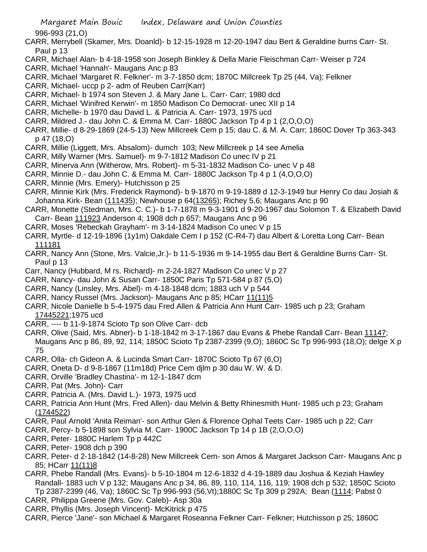996-993 (21,O)

- CARR, Merrybell (Skamer, Mrs. Doanld)- b 12-15-1928 m 12-20-1947 dau Bert & Geraldine burns Carr- St. Paul p 13
- CARR, Michael Alan- b 4-18-1958 son Joseph Binkley & Della Marie Fleischman Carr- Weiser p 724
- CARR, Michael 'Hannah'- Maugans Anc p 83
- CARR, Michael 'Margaret R. Felkner'- m 3-7-1850 dcm; 1870C Millcreek Tp 25 (44, Va); Felkner
- CARR, Michael- uccp p 2- adm of Reuben Carr(Karr)
- CARR, Michael- b 1974 son Steven J. & Mary Jane L. Carr- Carr; 1980 dcd
- CARR, Michael 'Winifred Kerwin'- m 1850 Madison Co Democrat- unec XII p 14
- CARR, Michelle- b 1970 dau David L. & Patricia A. Carr- 1973, 1975 ucd
- CARR, Mildred J.- dau John C. & Emma M. Carr- 1880C Jackson Tp 4 p 1 (2,O,O,O)
- CARR, Millie- d 8-29-1869 (24-5-13) New Millcreek Cem p 15; dau C. & M. A. Carr; 1860C Dover Tp 363-343 p 47 (18,O)
- CARR, Millie (Liggett, Mrs. Absalom)- dumch 103; New Millcreek p 14 see Amelia
- CARR, Milly Warner (Mrs. Samuel)- m 9-7-1812 Madison Co unec IV p 21
- CARR, Minerva Ann (Witherow, Mrs. Robert)- m 5-31-1832 Madison Co- unec V p 48
- CARR, Minnie D.- dau John C. & Emma M. Carr- 1880C Jackson Tp 4 p 1 (4,O,O,O)
- CARR, Minnie (Mrs. Emery)- Hutchisson p 25
- CARR, Minnie Kirk (Mrs. Frederick Raymond)- b 9-1870 m 9-19-1889 d 12-3-1949 bur Henry Co dau Josiah & Johanna Kirk- Bean (111435); Newhouse p 64(13265); Richey 5,6; Maugans Anc p 90
- CARR, Monette (Stedman, Mrs. C. C.)- b 1-7-1878 m 9-3-1901 d 9-20-1967 dau Solomon T. & Elizabeth David Carr- Bean 111923 Anderson 4; 1908 dch p 657; Maugans Anc p 96
- CARR, Moses 'Rebeckah Grayham'- m 3-14-1824 Madison Co unec V p 15
- CARR, Myrtle- d 12-19-1896 (1y1m) Oakdale Cem I p 152 (C-R4-7) dau Albert & Loretta Long Carr- Bean 111181
- CARR, Nancy Ann (Stone, Mrs. Valcie,Jr.)- b 11-5-1936 m 9-14-1955 dau Bert & Geraldine Burns Carr- St. Paul p 13
- Carr, Nancy (Hubbard, M rs. Richard)- m 2-24-1827 Madison Co unec V p 27
- CARR, Nancy- dau John & Susan Carr- 1850C Paris Tp 571-584 p 87 (5,O)
- CARR, Nancy (Linsley, Mrs. Abel)- m 4-18-1848 dcm; 1883 uch V p 544
- CARR, Nancy Russel (Mrs. Jackson)- Maugans Anc p 85; HCarr 11(11)5
- CARR, Nicole Danielle b 5-4-1975 dau Fred Allen & Patricia Ann Hunt Carr- 1985 uch p 23; Graham 17445221;1975 ucd
- CARR, ---- b 11-9-1874 Scioto Tp son Olive Carr- dcb
- CARR, Olive (Said, Mrs. Abner)- b 1-18-1842 m 3-17-1867 dau Evans & Phebe Randall Carr- Bean 11147; Maugans Anc p 86, 89, 92, 114; 1850C Scioto Tp 2387-2399 (9,O); 1860C Sc Tp 996-993 (18,O); delge X p 75
- CARR, Olla- ch Gideon A. & Lucinda Smart Carr- 1870C Scioto Tp 67 (6,O)
- CARR, Oneta D- d 9-8-1867 (11m18d) Price Cem djlm p 30 dau W. W. & D.
- CARR, Orville 'Bradley Chastina'- m 12-1-1847 dcm
- CARR, Pat (Mrs. John)- Carr
- CARR, Patricia A. (Mrs. David L.)- 1973, 1975 ucd
- CARR, Patricia Ann Hunt (Mrs. Fred Allen)- dau Melvin & Betty Rhinesmith Hunt- 1985 uch p 23; Graham (1744522)
- CARR, Paul Arnold 'Anita Reiman'- son Arthur Glen & Florence Ophal Teets Carr- 1985 uch p 22; Carr
- CARR, Percy- b 5-1898 son Sylvia M. Carr- 1900C Jackson Tp 14 p 1B (2,O,O,O)
- CARR, Peter- 1880C Harlem Tp p 442C
- CARR, Peter- 1908 dch p 390
- CARR, Peter- d 2-18-1842 (14-8-28) New Millcreek Cem- son Amos & Margaret Jackson Carr- Maugans Anc p 85; HCarr 11(11)8
- CARR, Phebe Randall (Mrs. Evans)- b 5-10-1804 m 12-6-1832 d 4-19-1889 dau Joshua & Keziah Hawley Randall- 1883 uch V p 132; Maugans Anc p 34, 86, 89, 110, 114, 116, 119; 1908 dch p 532; 1850C Scioto Tp 2387-2399 (46, Va); 1860C Sc Tp 996-993 (56,Vt);1880C Sc Tp 309 p 292A; Bean (1114; Pabst 0
- CARR, Philippa Greene (Mrs. Gov. Caleb)- Asp 30a
- CARR, Phyllis (Mrs. Joseph Vincent)- McKitrick p 475
- CARR, Pierce 'Jane'- son Michael & Margaret Roseanna Felkner Carr- Felkner; Hutchisson p 25; 1860C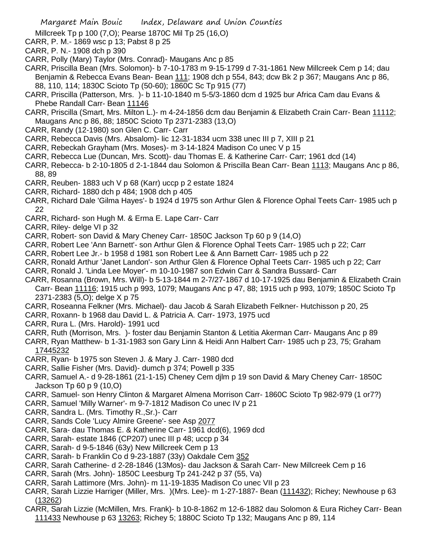- Millcreek Tp p 100 (7,O); Pearse 1870C Mil Tp 25 (16,O)
- CARR, P. M.- 1869 wsc p 13; Pabst 8 p 25
- CARR, P. N.- 1908 dch p 390
- CARR, Polly (Mary) Taylor (Mrs. Conrad)- Maugans Anc p 85
- CARR, Priscilla Bean (Mrs. Solomon)- b 7-10-1783 m 9-15-1799 d 7-31-1861 New Millcreek Cem p 14; dau Benjamin & Rebecca Evans Bean- Bean 111; 1908 dch p 554, 843; dcw Bk 2 p 367; Maugans Anc p 86, 88, 110, 114; 1830C Scioto Tp (50-60); 1860C Sc Tp 915 (77)
- CARR, Priscilla (Patterson, Mrs. )- b 11-10-1840 m 5-5/3-1860 dcm d 1925 bur Africa Cam dau Evans & Phebe Randall Carr- Bean 11146
- CARR, Priscilla (Smart, Mrs. Milton L.)- m 4-24-1856 dcm dau Benjamin & Elizabeth Crain Carr- Bean 11112; Maugans Anc p 86, 88; 1850C Scioto Tp 2371-2383 (13,O)
- CARR, Randy (12-1980) son Glen C. Carr- Carr
- CARR, Rebecca Davis (Mrs. Absalom)- lic 12-31-1834 ucm 338 unec III p 7, XIII p 21
- CARR, Rebeckah Grayham (Mrs. Moses)- m 3-14-1824 Madison Co unec V p 15
- CARR, Rebecca Lue (Duncan, Mrs. Scott)- dau Thomas E. & Katherine Carr- Carr; 1961 dcd (14)
- CARR, Rebecca- b 2-10-1805 d 2-1-1844 dau Solomon & Priscilla Bean Carr- Bean 1113; Maugans Anc p 86, 88, 89
- CARR, Reuben- 1883 uch V p 68 (Karr) uccp p 2 estate 1824
- CARR, Richard- 1880 dch p 484; 1908 dch p 405
- CARR, Richard Dale 'Gilma Hayes'- b 1924 d 1975 son Arthur Glen & Florence Ophal Teets Carr- 1985 uch p 22
- CARR, Richard- son Hugh M. & Erma E. Lape Carr- Carr
- CARR, Riley- delge VI p 32
- CARR, Robert- son David & Mary Cheney Carr- 1850C Jackson Tp 60 p 9 (14,O)
- CARR, Robert Lee 'Ann Barnett'- son Arthur Glen & Florence Ophal Teets Carr- 1985 uch p 22; Carr
- CARR, Robert Lee Jr.- b 1958 d 1981 son Robert Lee & Ann Barnett Carr- 1985 uch p 22
- CARR, Ronald Arthur 'Janet Landon'- son Arthur Glen & Florence Ophal Teets Carr- 1985 uch p 22; Carr
- CARR, Ronald J. 'Linda Lee Moyer'- m 10-10-1987 son Edwin Carr & Sandra Bussard- Carr
- CARR, Rosanna (Brown, Mrs. Will)- b 5-13-1844 m 2-7/27-1867 d 10-17-1925 dau Benjamin & Elizabeth Crain Carr- Bean 11116; 1915 uch p 993, 1079; Maugans Anc p 47, 88; 1915 uch p 993, 1079; 1850C Scioto Tp 2371-2383 (5,O); delge X p 75
- CARR, Roseanna Felkner (Mrs. Michael)- dau Jacob & Sarah Elizabeth Felkner- Hutchisson p 20, 25
- CARR, Roxann- b 1968 dau David L. & Patricia A. Carr- 1973, 1975 ucd
- CARR, Rura L. (Mrs. Harold)- 1991 ucd
- CARR, Ruth (Morrison, Mrs. )- foster dau Benjamin Stanton & Letitia Akerman Carr- Maugans Anc p 89
- CARR, Ryan Matthew- b 1-31-1983 son Gary Linn & Heidi Ann Halbert Carr- 1985 uch p 23, 75; Graham 17445232
- CARR, Ryan- b 1975 son Steven J. & Mary J. Carr- 1980 dcd
- CARR, Sallie Fisher (Mrs. David)- dumch p 374; Powell p 335
- CARR, Samuel A.- d 9-28-1861 (21-1-15) Cheney Cem djlm p 19 son David & Mary Cheney Carr- 1850C Jackson Tp 60 p 9 (10,O)
- CARR, Samuel- son Henry Clinton & Margaret Almena Morrison Carr- 1860C Scioto Tp 982-979 (1 or7?)
- CARR, Samuel 'Milly Warner'- m 9-7-1812 Madison Co unec IV p 21
- CARR, Sandra L. (Mrs. Timothy R.,Sr.)- Carr
- CARR, Sands Cole 'Lucy Almire Greene'- see Asp 2077
- CARR, Sara- dau Thomas E. & Katherine Carr- 1961 dcd(6), 1969 dcd
- CARR, Sarah- estate 1846 (CP207) unec III p 48; uccp p 34
- CARR, Sarah- d 9-5-1846 (63y) New Millcreek Cem p 13
- CARR, Sarah- b Franklin Co d 9-23-1887 (33y) Oakdale Cem 352
- CARR, Sarah Catherine- d 2-28-1846 (13Mos)- dau Jackson & Sarah Carr- New Millcreek Cem p 16
- CARR, Sarah (Mrs. John)- 1850C Leesburg Tp 241-242 p 37 (55, Va)
- CARR, Sarah Lattimore (Mrs. John)- m 11-19-1835 Madison Co unec VII p 23
- CARR, Sarah Lizzie Harriger (Miller, Mrs. )(Mrs. Lee)- m 1-27-1887- Bean (111432); Richey; Newhouse p 63 (13262)
- CARR, Sarah Lizzie (McMillen, Mrs. Frank)- b 10-8-1862 m 12-6-1882 dau Solomon & Eura Richey Carr- Bean 111433 Newhouse p 63 13263; Richey 5; 1880C Scioto Tp 132; Maugans Anc p 89, 114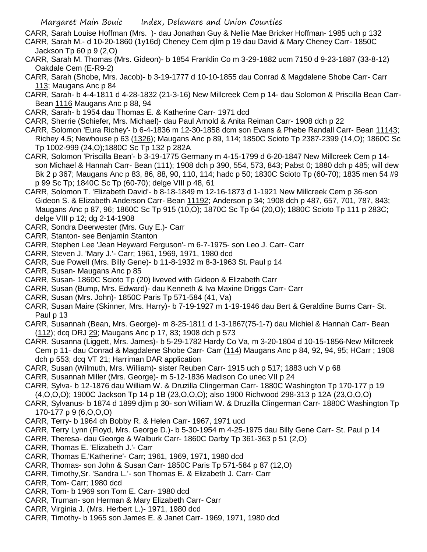- CARR, Sarah Louise Hoffman (Mrs. )- dau Jonathan Guy & Nellie Mae Bricker Hoffman- 1985 uch p 132
- CARR, Sarah M.- d 10-20-1860 (1y16d) Cheney Cem djlm p 19 dau David & Mary Cheney Carr- 1850C Jackson Tp 60 p 9 (2,O)
- CARR, Sarah M. Thomas (Mrs. Gideon)- b 1854 Franklin Co m 3-29-1882 ucm 7150 d 9-23-1887 (33-8-12) Oakdale Cem (E-R9-2)
- CARR, Sarah (Shobe, Mrs. Jacob)- b 3-19-1777 d 10-10-1855 dau Conrad & Magdalene Shobe Carr- Carr 113; Maugans Anc p 84
- CARR, Sarah- b 4-4-1811 d 4-28-1832 (21-3-16) New Millcreek Cem p 14- dau Solomon & Priscilla Bean Carr-Bean 1116 Maugans Anc p 88, 94
- CARR, Sarah- b 1954 dau Thomas E. & Katherine Carr- 1971 dcd
- CARR, Sherrie (Schiefer, Mrs. Michael)- dau Paul Arnold & Anita Reiman Carr- 1908 dch p 22
- CARR, Solomon 'Eura Richey'- b 6-4-1836 m 12-30-1858 dcm son Evans & Phebe Randall Carr- Bean 11143; Richey 4,5; Newhouse p 63 (1326); Maugans Anc p 89, 114; 1850C Scioto Tp 2387-2399 (14,O); 1860C Sc Tp 1002-999 (24,O);1880C Sc Tp 132 p 282A
- CARR, Solomon 'Priscilla Bean'- b 3-19-1775 Germany m 4-15-1799 d 6-20-1847 New Millcreek Cem p 14 son Michael & Hannah Carr- Bean (111); 1908 dch p 390, 554, 573, 843; Pabst 0; 1880 dch p 485; will dew Bk 2 p 367; Maugans Anc p 83, 86, 88, 90, 110, 114; hadc p 50; 1830C Scioto Tp (60-70); 1835 men 54 #9 p 99 Sc Tp; 1840C Sc Tp (60-70); delge VIII p 48, 61
- CARR, Solomon T. 'Elizabeth David'- b 8-18-1849 m 12-16-1873 d 1-1921 New Millcreek Cem p 36-son Gideon S. & Elizabeth Anderson Carr- Bean 11192; Anderson p 34; 1908 dch p 487, 657, 701, 787, 843; Maugans Anc p 87, 96; 1860C Sc Tp 915 (10,O); 1870C Sc Tp 64 (20,O); 1880C Scioto Tp 111 p 283C; delge VIII p 12; dg 2-14-1908
- CARR, Sondra Deerwester (Mrs. Guy E.)- Carr
- CARR, Stanton- see Benjamin Stanton
- CARR, Stephen Lee 'Jean Heyward Ferguson'- m 6-7-1975- son Leo J. Carr- Carr
- CARR, Steven J. 'Mary J.'- Carr; 1961, 1969, 1971, 1980 dcd
- CARR, Sue Powell (Mrs. Billy Gene)- b 11-8-1932 m 8-3-1963 St. Paul p 14
- CARR, Susan- Maugans Anc p 85
- CARR, Susan- 1860C Scioto Tp (20) liveved with Gideon & Elizabeth Carr
- CARR, Susan (Bump, Mrs. Edward)- dau Kenneth & Iva Maxine Driggs Carr- Carr
- CARR, Susan (Mrs. John)- 1850C Paris Tp 571-584 (41, Va)
- CARR, Susan Maire (Skinner, Mrs. Harry)- b 7-19-1927 m 1-19-1946 dau Bert & Geraldine Burns Carr- St. Paul p 13
- CARR, Susannah (Bean, Mrs. George)- m 8-25-1811 d 1-3-1867(75-1-7) dau Michiel & Hannah Carr- Bean (112); dcq DRJ 29; Maugans Anc p 17, 83; 1908 dch p 573
- CARR. Susanna (Liggett, Mrs. James)- b 5-29-1782 Hardy Co Va, m 3-20-1804 d 10-15-1856-New Millcreek Cem p 11- dau Conrad & Magdalene Shobe Carr- Carr (114) Maugans Anc p 84, 92, 94, 95; HCarr ; 1908 dch p 553; dcq VT 21; Harriman DAR application
- CARR, Susan (Wilmuth, Mrs. William)- sister Reuben Carr- 1915 uch p 517; 1883 uch V p 68
- CARR, Susannah Miller (Mrs. George)- m 5-12-1836 Madison Co unec VII p 24
- CARR, Sylva- b 12-1876 dau William W. & Druzilla Clingerman Carr- 1880C Washington Tp 170-177 p 19 (4,O,O,O); 1900C Jackson Tp 14 p 1B (23,O,O,O); also 1900 Richwood 298-313 p 12A (23,O,O,O)
- CARR, Sylvanus- b 1874 d 1899 djlm p 30- son William W. & Druzilla Clingerman Carr- 1880C Washington Tp 170-177 p 9 (6,O,O,O)
- CARR, Terry- b 1964 ch Bobby R. & Helen Carr- 1967, 1971 ucd
- CARR, Terry Lynn (Floyd, Mrs. George D.)- b 5-30-1954 m 4-25-1975 dau Billy Gene Carr- St. Paul p 14
- CARR, Theresa- dau George & Walburk Carr- 1860C Darby Tp 361-363 p 51 (2,O)
- CARR, Thomas E. 'Elizabeth J.'- Carr
- CARR, Thomas E.'Katherine'- Carr; 1961, 1969, 1971, 1980 dcd
- CARR, Thomas- son John & Susan Carr- 1850C Paris Tp 571-584 p 87 (12,O)
- CARR, Timothy,Sr. 'Sandra L.'- son Thomas E. & Elizabeth J. Carr- Carr
- CARR, Tom- Carr; 1980 dcd
- CARR, Tom- b 1969 son Tom E. Carr- 1980 dcd
- CARR, Truman- son Herman & Mary Elizabeth Carr- Carr
- CARR, Virginia J. (Mrs. Herbert L.)- 1971, 1980 dcd
- CARR, Timothy- b 1965 son James E. & Janet Carr- 1969, 1971, 1980 dcd